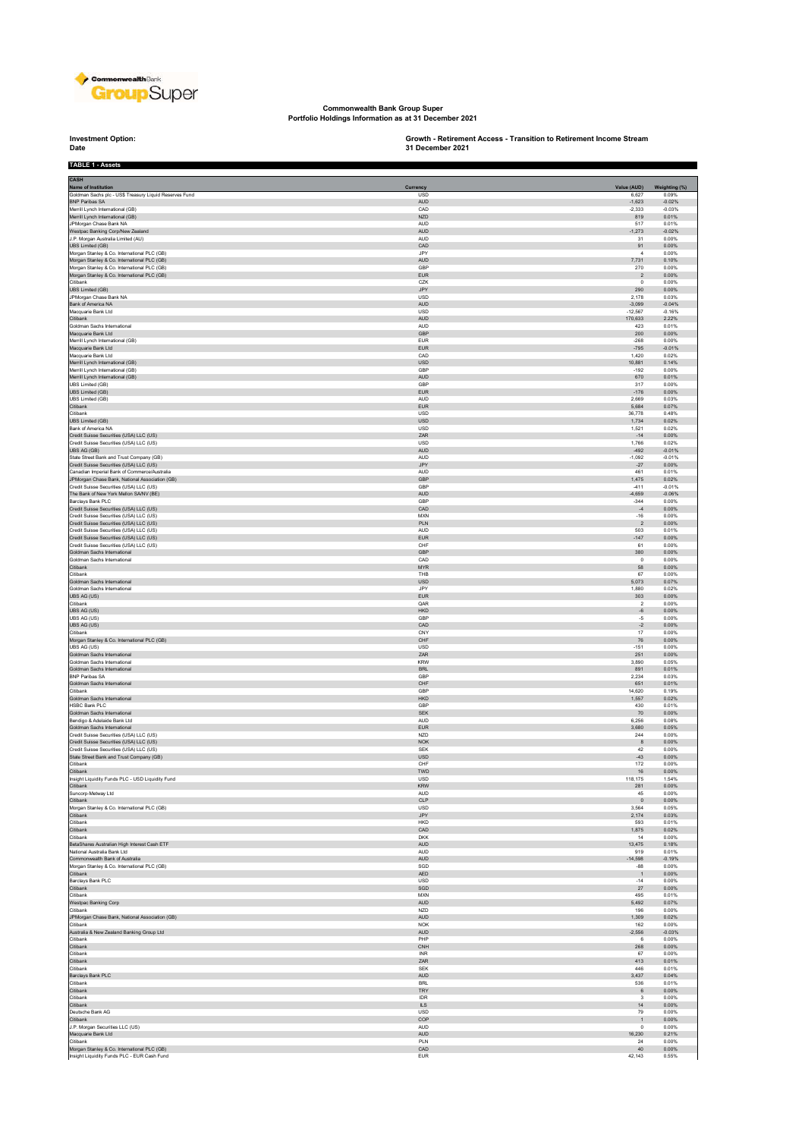

**Commonwealth Bank Group Super Portfolio Holdings Information as at 31 December 2021**

**Investment Option:**<br>Date **TABLE 1 - Assets**

**Investment Option: Growth - Retirement Access - Transition to Retirement Income Stream 31 December 2021**

۲

| CASH                                                                                           |                          |                       |                      |
|------------------------------------------------------------------------------------------------|--------------------------|-----------------------|----------------------|
| Name of Institution                                                                            | Currency                 | Value (AUD)           | Weighting (%)        |
| Goldman Sachs plc - US\$ Treasury Liquid Reserves Fund                                         | <b>USD</b>               | 6.627                 | 0.09%                |
| BNP Paribas SA<br>Merrill Lynch International (GB)                                             | <b>AUD</b><br>CAD        | $-1,623$<br>$-2,333$  | $-0.02%$<br>$-0.03%$ |
| Merrill Lynch International (GB)                                                               | <b>NZD</b>               | 819                   | 0.01%                |
| JPMorgan Chase Bank NA                                                                         | <b>AUD</b>               | 517                   | 0.01%                |
| Westpac Banking Corp/New Zealand<br>J.P. Morgan Australia Limited (AU)                         | <b>AUD</b><br><b>AUD</b> | $-1,273$<br>31        | $-0.02%$<br>0.00%    |
| UBS Limited (GB)                                                                               | CAD                      | 91                    | 0.00%                |
| Morgan Stanley & Co. International PLC (GB)<br>Morgan Stanley & Co. International PLC (GB)     | .IPY<br>AUD              | $\overline{4}$        | 0.00%                |
| Morgan Stanley & Co. International PLC (GB)                                                    | GBP                      | 7,731<br>270          | 0.10%<br>0.00%       |
| Morgan Stanley & Co. International PLC (GB)                                                    | <b>EUR</b>               | $\sqrt{2}$            | 0.00%                |
| Citibank                                                                                       | CZK<br>JPY               | $\,0\,$<br>290        | 0.00%<br>0.00%       |
| UBS Limited (GB)<br>JPMorgan Chase Bank NA                                                     | USD                      | 2,178                 | 0.03%                |
| Bank of America NA                                                                             | <b>AUD</b>               | $-3,099$              | $-0.04%$             |
| Macquarie Bank Ltd<br>Citibank                                                                 | <b>USD</b><br>AUD        | $-12.567$<br>170,633  | $-0.16%$<br>2.22%    |
| Goldman Sachs International                                                                    | <b>AUD</b>               | 423                   | 0.01%                |
| Macquarie Bank Ltd                                                                             | GBP                      | 200                   | 0.00%                |
| Merrill Lynch International (GB)<br>Macquarie Bank Ltd                                         | <b>EUR</b><br><b>EUR</b> | $-268$<br>$-795$      | 0.00%<br>$-0.01%$    |
| Macquarie Bank Ltd                                                                             | CAD                      | 1,420                 | 0.02%                |
| Merrill Lynch International (GB)                                                               | <b>USD</b>               | 10,881                | 0.14%                |
| Merrill Lynch International (GB)                                                               | GBP                      | $-192$                | 0.00%                |
| Merrill Lynch International (GB)<br>UBS Limited (GB)                                           | <b>AUD</b><br>GBP        | 670<br>317            | 0.01%<br>0.00%       |
| UBS Limited (GB)                                                                               | ${\sf EUR}$              | $-176$                | 0.00%                |
| UBS Limited (GB)                                                                               | <b>AUD</b>               | 2.669                 | 0.03%                |
| Citibank<br>Citibank                                                                           | EUR<br>USD               | 5,684<br>36,778       | 0.07%<br>0.48%       |
| <b>UBS Limited (GB)</b>                                                                        | <b>USD</b>               | 1,734                 | 0.02%                |
| Bank of America NA                                                                             | USD                      | 1,521                 | 0.02%                |
| Credit Suisse Securities (USA) LLC (US)                                                        | ZAR                      | $-14$                 | 0.00%                |
| Credit Suisse Securities (USA) LLC (US)<br>UBS AG (GB)                                         | USD<br>AUD               | 1,766<br>$-492$       | 0.02%<br>$-0.01%$    |
| State Street Bank and Trust Company (GB)                                                       | <b>AUD</b>               | $-1.092$              | $-0.01%$             |
| Credit Suisse Securities (USA) LLC (US)                                                        | JPY                      | $-27$                 | 0.00%                |
| Canadian Imperial Bank of Commerce/Australia<br>JPMorgan Chase Bank, National Association (GB) | <b>AUD</b><br>GBP        | 461<br>1,475          | 0.01%<br>0.02%       |
| Credit Suisse Securities (USA) LLC (US)                                                        | GBP                      | $-411$                | $-0.01%$             |
| The Bank of New York Mellon SA/NV (BE)                                                         | <b>AUD</b>               | $-4.659$              | $-0.06%$             |
| Barclays Bank PLC                                                                              | GBP                      | $-344$                | 0.00%                |
| Credit Suisse Securities (USA) LLC (US)<br>Credit Suisse Securities (USA) LLC (US)             | CAD<br><b>MXN</b>        | $-4$<br>$-16$         | 0.00%<br>0.00%       |
| Credit Suisse Securities (USA) LLC (US)                                                        | PLN                      | $\sqrt{2}$            | 0.00%                |
| Credit Suisse Securities (USA) LLC (US)                                                        | <b>AUD</b>               | 503                   | 0.01%                |
| Credit Suisse Securities (USA) LLC (US)                                                        | ${\sf EUR}$<br>CHF       | $-147$                | 0.00%                |
| Credit Suisse Securities (USA) LLC (US)<br>Goldman Sachs International                         | GBP                      | 61<br>380             | 0.00%<br>0.00%       |
| Goldman Sachs International                                                                    | CAD                      | $\,0\,$               | 0.00%                |
| Citibank                                                                                       | <b>MYR</b>               | 58                    | 0.00%                |
| Citibank                                                                                       | THB<br><b>USD</b>        | 67                    | 0.00%                |
| Goldman Sachs International<br>Goldman Sachs International                                     | JPY                      | 5,073<br>1,880        | 0.07%<br>0.02%       |
| UBS AG (US)                                                                                    | EUR                      | 303                   | 0.00%                |
| Citibank                                                                                       | QAR                      | $\overline{2}$        | 0.00%                |
| UBS AG (US)<br>UBS AG (US)                                                                     | HKD<br>GBP               | $\mbox{-}6$<br>$-5$   | 0.00%<br>0.00%       |
| UBS AG (US)                                                                                    | CAD                      | $\mathord{\text{-}2}$ | 0.00%                |
| Citibank                                                                                       | CNY                      | $17\,$                | 0.00%                |
| Morgan Stanley & Co. International PLC (GB)                                                    | CHF                      | 76                    | 0.00%                |
| UBS AG (US)<br>Goldman Sachs International                                                     | USD<br>ZAR               | $-151$<br>251         | 0.00%<br>0.00%       |
| Goldman Sachs International                                                                    | KRW                      | 3,890                 | 0.05%                |
| Goldman Sachs International                                                                    | <b>BRL</b>               | 891                   | 0.01%                |
| <b>BNP Paribas SA</b><br>Goldman Sachs International                                           | GBP<br>${\sf CHF}$       | 2.234<br>651          | 0.03%<br>0.01%       |
| Citibank                                                                                       | GBP                      | 14,620                | 0.19%                |
| Goldman Sachs International                                                                    | ${\sf HKD}$              | 1,557                 | 0.02%                |
| HSBC Bank PLC<br>Goldman Sachs International                                                   | GBP<br><b>SEK</b>        | 430<br>70             | 0.01%<br>0.00%       |
| Bendigo & Adelaide Bank Ltd                                                                    | AUD                      | 6,256                 | 0.08%                |
| Goldman Sachs International                                                                    | <b>EUR</b>               | 3,680                 | 0.05%                |
| Credit Suisse Securities (USA) LLC (US)                                                        | NZD                      | 244                   | 0.00%                |
| Credit Suisse Securities (USA) LLC (US)<br>Credit Suisse Securities (USA) LLC (US)             | NOK<br><b>SEK</b>        | $\bf8$<br>42          | 0.00%<br>0.00%       |
| State Street Bank and Trust Company (GB)                                                       | <b>USD</b>               | $-43$                 | 0.00%                |
| Citibank                                                                                       | CHF                      | 172                   | 0.00%                |
| Citibank                                                                                       | TWD                      | $16\,$                | 0.00%                |
| sight Liquidity Funds PLC - USD Liquidity Fund<br>Citibank                                     | USD<br><b>KRW</b>        | 118,175<br>281        | 1.54%<br>0.00%       |
| Suncorp-Metway Ltd                                                                             | AUD                      | 45                    | 0.00%                |
| Citibank<br>Morgan Stanley & Co. International PLC (GB)                                        | CLP<br>USD               | $\mathbf{0}$<br>3,564 | 0.00%<br>0.05%       |
| Citibank                                                                                       | JPY                      | 2,174                 | 0.03%                |
| Citibank                                                                                       | <b>HKD</b>               | 593                   | 0.01%                |
| Citibank                                                                                       | CAD                      | 1,875                 | 0.02%                |
| Citibank<br>BetaShares Australian High Interest Cash ETF                                       | <b>DKK</b><br>AUD        | 14<br>13,475          | 0.00%<br>0.18%       |
| National Australia Bank Ltd                                                                    | AUD                      | 919                   | 0.01%                |
| Commonwealth Bank of Australia                                                                 | <b>AUD</b>               | $-14.598$             | $-0.19%$             |
| Morgan Stanley & Co. International PLC (GB)<br>Citibank                                        | SGD<br>AED               | $-88$<br>$\mathbf{1}$ | 0.00%<br>0.00%       |
| Barclays Bank PLC                                                                              | USD                      | $-14$                 | 0.00%                |
| Citibank                                                                                       | $_{\rm SGD}$             | $27\,$                | 0.00%                |
| Citibank<br>Westpac Banking Corp                                                               | <b>MXN</b>               | 495                   | 0.01%                |
| Citibank                                                                                       | AUD<br><b>NZD</b>        | 5,492<br>196          | 0.07%<br>0.00%       |
| JPMorgan Chase Bank, National Association (GB)                                                 | AUD                      | 1.309                 | 0.02%                |
| Citibank<br>Australia & New Zealand Banking Group Ltd                                          | <b>NOK</b>               | 162<br>$-2.556$       | 0.00%                |
| Citibank                                                                                       | AUD<br>PHP               | 6                     | $-0.03%$<br>0.00%    |
| Citibank                                                                                       | CNH                      | 268                   | 0.00%                |
| Citibank                                                                                       | <b>INR</b>               | 67                    | 0.00%                |
| Citibank<br>Citibank                                                                           | ZAR<br><b>SEK</b>        | 413<br>446            | 0.01%<br>0.01%       |
| Barclays Bank PLC                                                                              | AUD                      | 3,437                 | 0.04%                |
| Citibank                                                                                       | <b>BRL</b>               | 536                   | 0.01%                |
| Citibank                                                                                       | TRY                      | $\,6\,$               | 0.00%                |
| Citibank<br>Citibank                                                                           | IDR<br>ILS.              | $\mathsf 3$<br>14     | 0.00%<br>0.00%       |
| Deutsche Bank AG                                                                               | USD                      | 79                    | 0.00%                |
| Citibank                                                                                       | COP                      | $\mathbf{1}$          | 0.00%                |
| J.P. Morgan Securities LLC (US)                                                                | AUD                      | $^{\circ}$            | 0.00%                |
| Macquarie Bank Ltd<br>Citibank                                                                 | AUD<br>PLN               | 16,230<br>24          | 0.21%<br>0.00%       |
| Morgan Stanley & Co. International PLC (GB)                                                    | CAD                      | 40                    | 0.00%                |
| Insight Liquidity Funds PLC - EUR Cash Fund                                                    | <b>EUR</b>               | 42,143                | 0.55%                |
|                                                                                                |                          |                       |                      |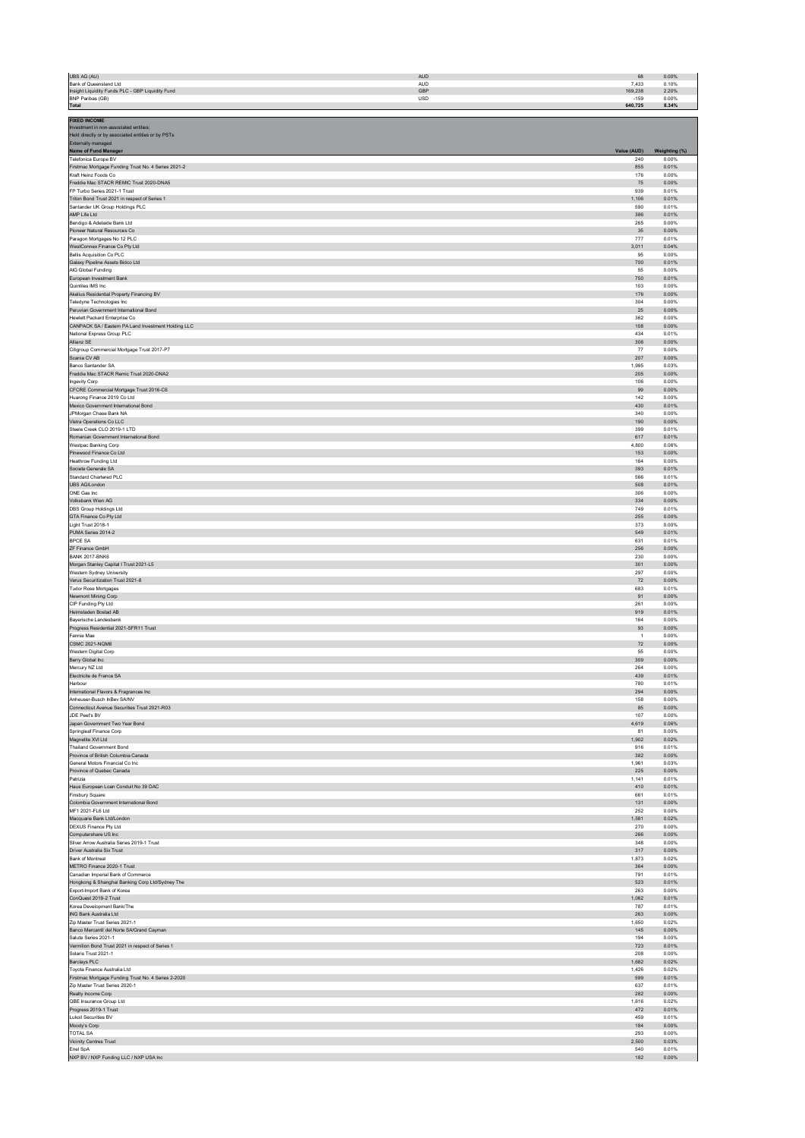| UBS AG (AU)                                                                           | <b>AUD</b>        | 68                   | 0.00%          |
|---------------------------------------------------------------------------------------|-------------------|----------------------|----------------|
| Bank of Queensland Ltd<br>Insight Liquidity Funds PLC - GBP Liquidity Fund            | <b>AUD</b><br>GBP | 7,433<br>169,238     | 0.10%<br>2.20% |
| BNP Paribas (GB)                                                                      | <b>USD</b>        | $-159$               | 0.00%          |
| Total                                                                                 |                   | 640,725              | 8.34%          |
| <b>FIXED INCOME</b><br>Investment in non-associated entities;                         |                   |                      |                |
| Held directly or by associated entities or by PSTs                                    |                   |                      |                |
| Externally managed                                                                    |                   | Value (AUD)          | Weighting (%)  |
| Name of Fund Manager<br>Telefonica Europe BV                                          |                   | 240                  | 0.00%          |
| Firstmac Mortgage Funding Trust No. 4 Series 2021-2                                   |                   | 855                  | 0.01%          |
| Kraft Heinz Foods Co<br>Freddie Mac STACR REMIC Trust 2020-DNA5                       |                   | 176<br>$75\,$        | 0.00%<br>0.00% |
| FP Turbo Series 2021-1 Trust                                                          |                   | 939                  | 0.01%          |
| Triton Bond Trust 2021 in respect of Series 1<br>Santander UK Group Holdings PLC      |                   | 1,106<br>590         | 0.01%<br>0.01% |
| AMP Life Ltd                                                                          |                   | 386                  | 0.01%          |
| Bendigo & Adelaide Bank Ltd                                                           |                   | 265                  | 0.00%<br>0.00% |
| Pioneer Natural Resources Co<br>Paragon Mortgages No 12 PLC                           |                   | 35<br>777            | 0.01%          |
| WestConnex Finance Co Pty Ltd                                                         |                   | 3,011                | 0.04%          |
| Bellis Acquisition Co PLC<br>Galaxy Pipeline Assets Bidco Ltd                         |                   | 95<br>700            | 0.00%<br>0.01% |
| AIG Global Funding                                                                    |                   | 55                   | 0.00%          |
| European Investment Bank<br>Quintiles IMS Inc                                         |                   | 750<br>103           | 0.01%<br>0.00% |
| Akelius Residential Property Financing BV                                             |                   | 176                  | 0.00%          |
| Teledyne Technologies Inc                                                             |                   | 304                  | 0.00%          |
| Peruvian Government International Bond<br>Hewlett Packard Enterprise Co               |                   | $25\,$<br>362        | 0.00%<br>0.00% |
| CANPACK SA / Eastern PA Land Investment Holding LLC                                   |                   | 108                  | 0.00%          |
| National Express Group PLC<br>Allianz SE                                              |                   | 434<br>306           | 0.01%<br>0.00% |
| Citigroup Commercial Mortgage Trust 2017-P7                                           |                   | 77                   | 0.00%          |
| Scania CV AB                                                                          |                   | 207                  | 0.00%          |
| Banco Santander SA<br>Freddie Mac STACR Remic Trust 2020-DNA2                         |                   | 1,995<br>205         | 0.03%<br>0.00% |
| Ingevity Corp                                                                         |                   | 106                  | 0.00%          |
| CFCRE Commercial Mortgage Trust 2016-C6<br>Huarong Finance 2019 Co Ltd                |                   | 99<br>142            | 0.00%<br>0.00% |
| Mexico Government International Bond                                                  |                   | 430                  | 0.01%          |
| JPMorgan Chase Bank NA<br>Vistra Operations Co LLC                                    |                   | 340<br>190           | 0.00%<br>0.00% |
| Steele Creek CLO 2019-1 LTD                                                           |                   | 399                  | 0.01%          |
| Romanian Government International Bond                                                |                   | 617                  | 0.01%          |
| Westpac Banking Corp<br>Pinewood Finance Co Ltd                                       |                   | 4,800<br>153         | 0.06%<br>0.00% |
| Heathrow Funding Ltd                                                                  |                   | 164                  | 0.00%          |
| Societe Generale SA<br>Standard Chartered PLC                                         |                   | 393<br>566           | 0.01%<br>0.01% |
| <b>UBS AG/London</b>                                                                  |                   | 508                  | 0.01%          |
| ONE Gas Inc                                                                           |                   | 306                  | 0.00%          |
| Volksbank Wien AG<br>DBS Group Holdings Ltd                                           |                   | 334<br>749           | 0.00%<br>0.01% |
| GTA Finance Co Pty Ltd                                                                |                   | 255                  | 0.00%          |
| Light Trust 2018-1<br>PUMA Series 2014-2                                              |                   | 373<br>549           | 0.00%<br>0.01% |
| BPCE SA                                                                               |                   | 631                  | 0.01%          |
| ZF Finance GmbH<br><b>BANK 2017-BNK6</b>                                              |                   | 256<br>230           | 0.00%<br>0.00% |
| Morgan Stanley Capital I Trust 2021-L5                                                |                   | 301                  | 0.00%          |
| Western Sydney University                                                             |                   | 297                  | 0.00%          |
| Verus Securitization Trust 2021-8<br><b>Tudor Rose Mortgages</b>                      |                   | ${\bf 72}$<br>683    | 0.00%<br>0.01% |
| Newmont Mining Corp                                                                   |                   | 91                   | 0.00%          |
| CIP Funding Pty Ltd<br>Heimstaden Bostad AB                                           |                   | 261                  | 0.00%<br>0.01% |
| Bayerische Landesbank                                                                 |                   | 919<br>164           | 0.00%          |
| Progress Residential 2021-SFR11 Trust                                                 |                   | 93                   | 0.00%          |
| Fannie Mae<br><b>CSMC 2021-NQM8</b>                                                   |                   | $\overline{1}$<br>72 | 0.00%<br>0.00% |
| Western Digital Corp.                                                                 |                   | 55                   | 0.00%          |
| Berry Global Inc<br>Mercury NZ Ltd                                                    |                   | 309<br>264           | 0.00%<br>0.00% |
| Electricite de Franc                                                                  |                   | 439                  | 0.01%          |
| Harbour                                                                               |                   | 780                  | 0.01%<br>0.00% |
| International Flavors & Fragrances Inc<br>Anheuser-Busch InBev SA/NV                  |                   | 294<br>158           | 0.00%          |
| Connecticut Avenue Securities Trust 2021-R03                                          |                   | 85                   | 0.00%          |
| JDE Peet's BV<br>Japan Government Two Year Bond                                       |                   | 107<br>4,619         | 0.00%<br>0.06% |
| Springleaf Finance Corp                                                               |                   | 81                   | 0.00%          |
| Magnetite XVI Ltd<br><b>Thailand Government Bond</b>                                  |                   | 1,902<br>916         | 0.02%<br>0.01% |
| Province of British Columbia Canada                                                   |                   | 382                  | 0.00%          |
| General Motors Financial Co Inc<br>Province of Quebec Canada                          |                   | 1.961<br>225         | 0.03%<br>0.00% |
| Patrizia                                                                              |                   | 1,141                | 0.01%          |
| Haus European Loan Conduit No 39 DAC                                                  |                   | 410                  | 0.01%          |
| Finsbury Square<br>Colombia Government International Bond                             |                   | 661<br>131           | 0.01%<br>0.00% |
| MF1 2021-FL6 Ltd                                                                      |                   | 252                  | 0.00%          |
| Macquarie Bank Ltd/London<br>DEXUS Finance Pty Ltd                                    |                   | 1,581<br>270         | 0.02%<br>0.00% |
| Computershare US Inc                                                                  |                   | 266                  | 0.00%          |
| Silver Arrow Australia Series 2019-1 Trust                                            |                   | 348                  | 0.00%<br>0.00% |
| Driver Australia Six Trust<br><b>Bank of Montreal</b>                                 |                   | 317<br>1.873         | 0.02%          |
| METRO Finance 2020-1 Trust                                                            |                   | 364                  | 0.00%          |
| Canadian Imperial Bank of Commerce<br>Hongkong & Shanghai Banking Corp Ltd/Sydney The |                   | 791<br>523           | 0.01%<br>0.01% |
| Export-Import Bank of Korea                                                           |                   | 263                  | 0.00%          |
| ConQuest 2019-2 Trust<br>Korea Development Bank/The                                   |                   | 1,062<br>787         | 0.01%<br>0.01% |
| ING Bank Australia Ltd                                                                |                   | 263                  | 0.00%          |
| Zip Master Trust Series 2021-1                                                        |                   | 1,650                | 0.02%          |
| Banco Mercantil del Norte SA/Grand Cayman<br>Salute Series 2021-1                     |                   | $145\,$<br>194       | 0.00%<br>0.00% |
| Vermilion Bond Trust 2021 in respect of Series 1                                      |                   | 723                  | 0.01%          |
| Solaris Trust 2021-1<br>Barclays PLC                                                  |                   | 208<br>1,682         | 0.00%<br>0.02% |
| Toyota Finance Australia Ltd                                                          |                   | 1.426                | 0.02%          |
| Firstmac Mortgage Funding Trust No. 4 Series 2-2020<br>Zip Master Trust Series 2020-1 |                   | 599<br>637           | 0.01%<br>0.01% |
| Realty Income Corp                                                                    |                   | 282                  | 0.00%          |
| QBE Insurance Group Ltd                                                               |                   | 1,616                | 0.02%          |
| Progress 2019-1 Trust<br><b>Lukoil Securities BV</b>                                  |                   | 472<br>459           | 0.01%<br>0.01% |
| Moody's Corp                                                                          |                   | 184                  | 0.00%          |
| <b>TOTAL SA</b><br><b>Vicinity Centres Trust</b>                                      |                   | 293<br>2,500         | 0.00%<br>0.03% |
| Enel SpA                                                                              |                   | 540                  | 0.01%          |
| NXP BV / NXP Funding LLC / NXP USA Inc                                                |                   | 182                  | 0.00%          |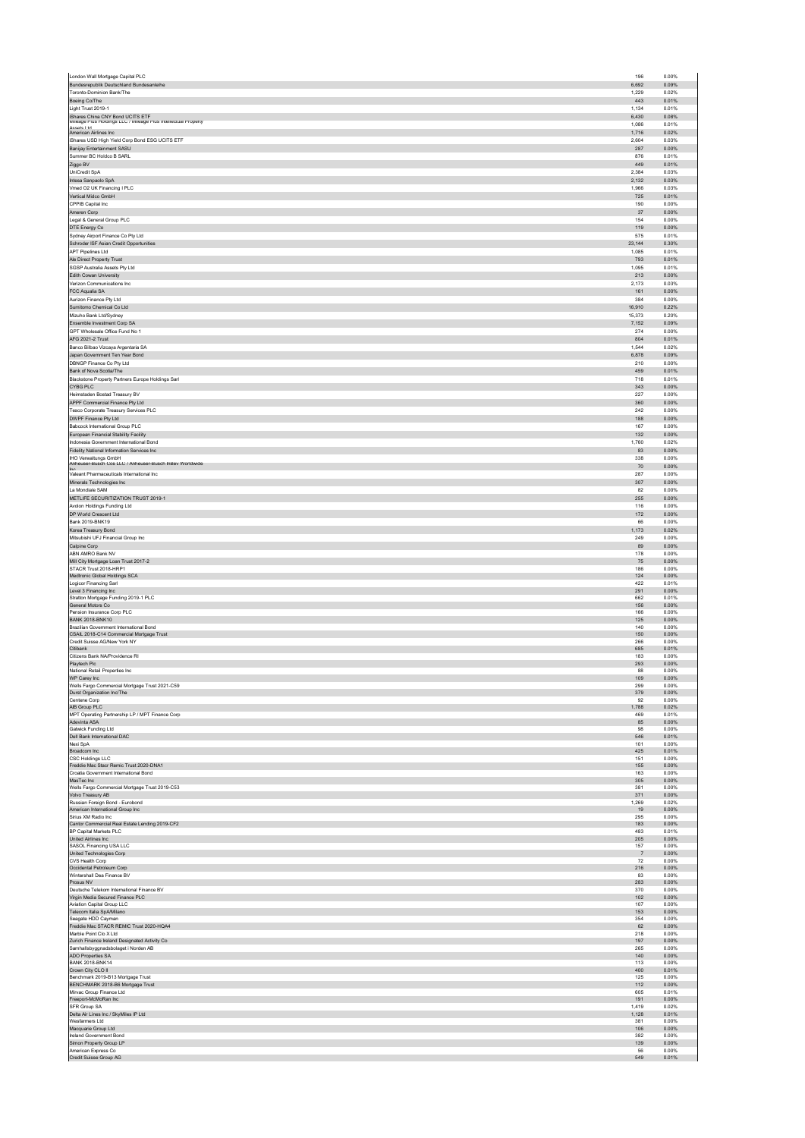|                                                                                 | 196                      | 0.00%                   |
|---------------------------------------------------------------------------------|--------------------------|-------------------------|
| Bundesrepublik Deutschland Bundesanleihe<br>Toronto-Dominion Bank/The           | 6.692<br>1.229           | 0.09%<br>0.02%          |
| Boeing Co/The                                                                   | 443                      | 0.01%                   |
| Light Trust 2019-1                                                              | 1,134                    | 0.01%                   |
| iShares China CNY Bond UCITS ETF                                                | 6,430                    | 0.08%                   |
| Mileage Plus Holdings LLC / Mileage Plus Intellectual Property                  | 1,086                    | 0.01%                   |
| Accore I tri<br>American Airlines Inc                                           | 1,716                    | 0.02%                   |
| iShares USD High Yield Corp Bond ESG UCITS ETF                                  | 2,604                    | 0.03%                   |
| Banijay Entertainment SASU                                                      | 287                      | 0.00%                   |
| Summer BC Holdco B SARL                                                         | 876                      | 0.01%                   |
| Ziggo BV                                                                        | 449<br>2.384             | 0.01%<br>0.03%          |
| UniCredit SpA                                                                   | 2,132                    | 0.03%                   |
| Intesa Sanpaolo SpA<br>Vmed O2 UK Financing I PLC                               | 1.966                    | 0.03%                   |
| Vertical Midco GmbH                                                             | 725                      | 0.01%                   |
| CPPIB Capital Inc.                                                              | 190                      | 0.00%                   |
| Ameren Corp                                                                     | $37\,$                   | 0.00%                   |
| Legal & General Group PLC                                                       | 154                      | 0.00%                   |
| DTE Energy Co                                                                   | 119                      | 0.00%                   |
| Sydney Airport Finance Co Pty Ltd                                               | 575                      | 0.01%                   |
| Schroder ISF Asian Credit Opportunities                                         | 23,144                   | 0.30%                   |
| <b>APT Pipelines Ltd</b>                                                        | 1,085                    | 0.01%                   |
| Ale Direct Property Trust                                                       | 793<br>1,095             | 0.01%<br>0.01%          |
| SGSP Australia Assets Pty Ltd<br>Edith Cowan University                         | 213                      | 0.00%                   |
| Verizon Communications Inc.                                                     | 2.173                    | 0.03%                   |
| FCC Aqualia SA                                                                  | 161                      | 0.00%                   |
| Aurizon Finance Ptv Ltd                                                         | 384                      | 0.00%                   |
| Sumitomo Chemical Co Ltd                                                        | 16,910                   | 0.22%                   |
| Mizuho Bank Ltd/Sydney                                                          | 15,373                   | 0.20%                   |
| Ensemble Investment Corp SA                                                     | 7,152                    | 0.09%                   |
| GPT Wholesale Office Fund No 1                                                  | 274                      | 0.00%                   |
| AFG 2021-2 Trust                                                                | 804                      | 0.01%                   |
| Banco Bilbao Vizcaya Argentaria SA                                              | 1,544<br>6,878           | 0.02%<br>0.09%          |
| Japan Government Ten Year Bond<br>DBNGP Finance Co Pty Ltd                      | 210                      | 0.00%                   |
| Bank of Nova Scotia/The                                                         | 459                      | 0.01%                   |
| Blackstone Property Partners Europe Holdings Sarl                               | 718                      | 0.01%                   |
| CYBG PLC                                                                        | 343                      | 0.00%                   |
| Heimstaden Bostad Treasury BV                                                   | 227                      | 0.00%                   |
| APPF Commercial Finance Pty Ltd                                                 | 360                      | 0.00%                   |
| Tesco Corporate Treasury Services PLC                                           | 242                      | 0.00%                   |
| DWPF Finance Pty Ltd                                                            | 188                      | 0.00%                   |
| Babcock International Group PLC                                                 | 167                      | 0.00%                   |
| European Financial Stability Facility                                           | 132                      | 0.00%                   |
| Indonesia Government International Bond                                         | 1,760                    | 0.02%                   |
| Fidelity National Information Services Inc                                      | 83                       | 0.00%                   |
| IHO Verwaltungs GmbH<br>Anneuser-Busch Cos LLC / Anneuser-Busch InBey Worldwide | 338<br>70                | 0.00%<br>0.00%          |
| Inc<br>Valeant Pharmaceuticals International Inc                                | 287                      | 0.00%                   |
| Minerals Technologies Inc                                                       | 307                      | 0.00%                   |
| La Mondiale SAM                                                                 | 82                       | 0.00%                   |
| METLIFE SECURITIZATION TRUST 2019-1                                             | 255                      | 0.00%                   |
| Avolon Holdings Funding Ltd                                                     | 116                      | 0.00%                   |
| DP World Crescent Ltd                                                           | 172                      | 0.00%                   |
| Bank 2019-BNK19                                                                 | 66                       | 0.00%                   |
| Korea Treasury Bond                                                             | 1,173                    | 0.02%                   |
| Mitsubishi UFJ Financial Group Inc                                              | 249                      | 0.00%                   |
| Calpine Corp                                                                    | 89                       | 0.00%                   |
| ABN AMRO Bank NV                                                                | 178                      | 0.00%                   |
| Mill City Mortgage Loan Trust 2017-2<br>STACR Trust 2018-HRP1                   | 75<br>186                | 0.00%<br>0.00%          |
| Medtronic Global Holdings SCA                                                   | 124                      | 0.00%                   |
| Logicor Financing Sarl                                                          | 422                      | 0.01%                   |
| Level 3 Financing Inc                                                           | 291                      | 0.00%                   |
| Stratton Mortgage Funding 2019-1 PLC                                            | 662                      | 0.01%                   |
| General Motors Co<br>Pension Insurance Corp PLC                                 | 156<br>166               | 0.00%<br>0.00%          |
| <b>BANK 2018-BNK10</b>                                                          | 125                      | 0.00%                   |
| Brazilian Government International Bond                                         | 140                      | 0.00%                   |
| CSAIL 2018-C14 Commercial Mortgage Trust                                        | 150                      | 0.00%                   |
|                                                                                 | 266                      | 0.00%                   |
| Credit Suisse AG/New York NY                                                    |                          | 0.01%                   |
| Citibank                                                                        | 685                      |                         |
| Citizens Bank NA/Providence RI                                                  | 183                      | 0.00%                   |
| Playtech Plc                                                                    | 293<br>88                | 0.00%<br>0.00%          |
| National Retail Properties Inc.<br>WP Carey Inc                                 | 109                      | 0.00%                   |
| Wells Fargo Commercial Mortgage Trust 2021-C59                                  | 299                      | 0.00%                   |
| Durst Organization Inc/The                                                      | 379                      | 0.00%                   |
| Centene Corp                                                                    | 92                       | 0.00%                   |
| AIB Group PLC                                                                   | 1,788                    | 0.02%                   |
| MPT Operating Partnership LP / MPT Finance Corp                                 | 469                      | 0.01%                   |
| Adevinta ASA<br>Gatwick Funding Ltd                                             | 85<br>98                 | 0.00%<br>0.00%          |
| Dell Bank International DAC                                                     | 546                      | 0.01%                   |
| Nexi SpA                                                                        | 101                      | 0.00%                   |
| Broadcom Inc                                                                    | 425                      | 0.01%                   |
| CSC Holdings LLC<br>Freddie Mac Stacr Remic Trust 2020-DNA1                     | 151<br>155               | 0.00%<br>0.00%          |
| Croatia Government International Bond                                           | 163                      | 0.00%                   |
| MasTec Inc                                                                      | 305                      | 0.00%                   |
| Wells Fargo Commercial Mortgage Trust 2019-C53                                  | 381                      | 0.00%                   |
| Volvo Treasury AB                                                               | 371                      | 0.00%                   |
| Russian Foreign Bond - Eurobond                                                 | 1.269                    | 0.02%                   |
| American International Group Inc<br>Sirius XM Radio Inc                         | 19<br>295                | 0.00%<br>0.00%          |
| Cantor Commercial Real Estate Lending 2019-CF2                                  | 183                      | 0.00%                   |
| BP Capital Markets PLC                                                          | 483                      | 0.01%                   |
| United Airlines Inc                                                             | 205                      | 0.00%                   |
| SASOL Financing USA LLC                                                         | 157                      | 0.00%                   |
| United Technologies Corp<br>CVS Health Corp                                     | $\overline{7}$<br>$72\,$ | 0.00%<br>0.00%          |
| Occidental Petroleum Corp                                                       | 216                      | 0.00%                   |
| Wintershall Dea Finance BV                                                      | 83                       | 0.00%                   |
| Prosus NV                                                                       | 283                      | 0.00%                   |
| Deutsche Telekom International Finance BV                                       | 370                      | 0.00%                   |
| Virgin Media Secured Finance PLC                                                | 102<br>107               | 0.00%<br>0.00%          |
| Aviation Capital Group LLC<br>Telecom Italia SpA/Milano                         | 153                      | 0.00%                   |
| Seagate HDD Cayman                                                              | 354                      | 0.00%                   |
| Freddie Mac STACR REMIC Trust 2020-HQA4                                         | 62                       | 0.00%                   |
| Marble Point Clo X Ltd                                                          | 218                      | 0.00%                   |
| Zurich Finance Ireland Designated Activity Co                                   | 197                      | 0.00%                   |
| Samhallsbyggnadsbolaget i Norden AB<br>ADO Properties SA                        | 265<br>140               | 0.00%<br>0.00%          |
| <b>BANK 2018-BNK14</b>                                                          | 113                      | 0.00%                   |
| Crown City CLO II                                                               | 400                      | 0.01%                   |
| Benchmark 2019-B13 Mortgage Trust                                               | 125                      | 0.00%                   |
| BENCHMARK 2018-B6 Mortgage Trust                                                | 112                      | 0.00%                   |
| Mirvac Group Finance Ltd                                                        | 605<br>191               | 0.01%<br>0.00%          |
| Freeport-McMoRan Inc<br>SFR Group SA                                            | 1,419                    | 0.02%                   |
| Delta Air Lines Inc / SkyMiles IP Ltd                                           | 1,128                    | 0.01%                   |
| Wesfarmers Ltd                                                                  | 381                      | 0.00%                   |
| Macquarie Group Ltd                                                             | 106                      | 0.00%                   |
| <b>Ireland Government Bond</b>                                                  | 382<br>139               | 0.00%                   |
| Simon Property Group LP<br>American Express Co<br>Credit Suisse Group AG        | 56<br>549                | 0.00%<br>0.00%<br>0.01% |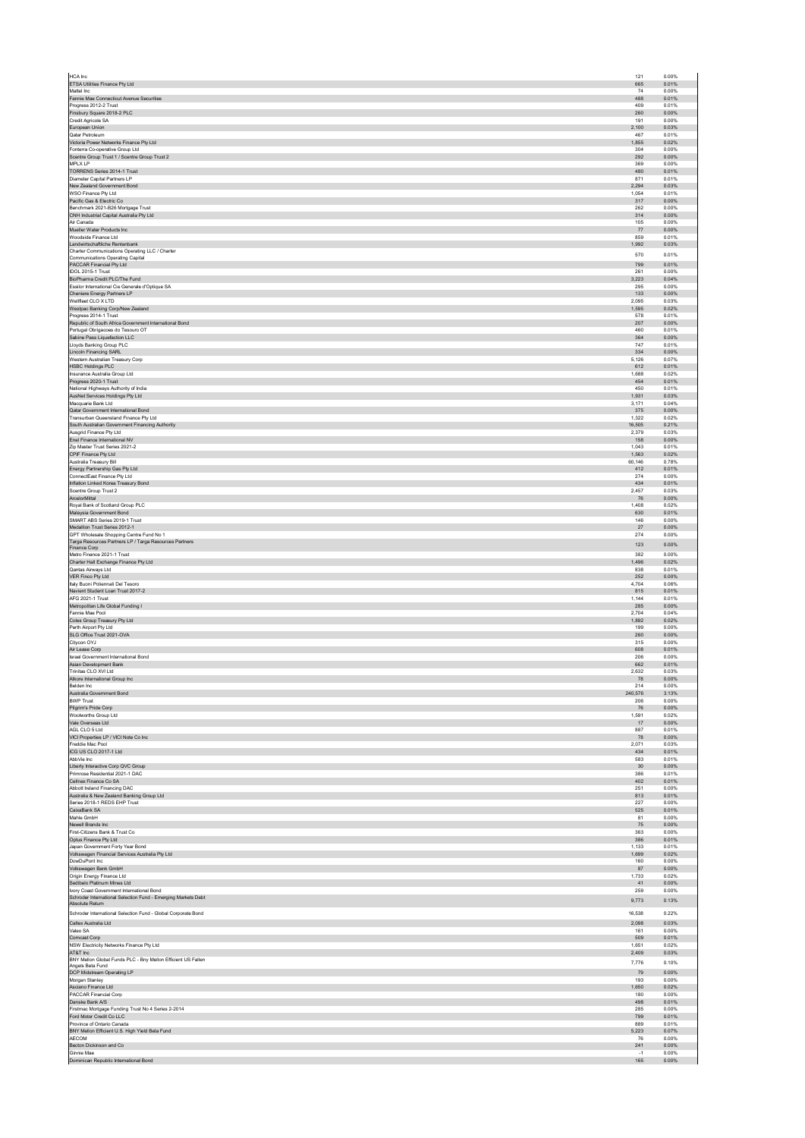| HCA Inc                                                                            | 121        | 0.00%          |
|------------------------------------------------------------------------------------|------------|----------------|
| ETSA Utilities Finance Pty Ltd                                                     | 665        | 0.01%          |
| Mattel Inc                                                                         | 74         | 0.00%          |
| Fannie Mae Connecticut Avenue Securities                                           | 488        | 0.01%          |
| Progress 2012-2 Trust                                                              | 409        | 0.01%          |
| Finsbury Square 2018-2 PLC                                                         | 260        | 0.00%          |
| Credit Agricole SA                                                                 | 191        | 0.00%          |
| European Union                                                                     | 2,100      | 0.03%          |
| Qatar Petroleum                                                                    | 467        | 0.01%          |
| Victoria Power Networks Finance Pty Ltd                                            | 1.855      | 0.02%          |
| Fonterra Co-operative Group Ltd                                                    | 304        | 0.00%          |
| Scentre Group Trust 1 / Scentre Group Trust 2                                      | 292        | 0.00%          |
| MPLX LP                                                                            | 369        | 0.00%          |
| TORRENS Series 2014-1 Trust                                                        | 480        | 0.01%          |
| Diameter Capital Partners LP                                                       | 871        | 0.01%          |
| New Zealand Government Bond                                                        | 2,294      | 0.03%          |
| WSO Finance Pty Ltd                                                                | 1.054      | 0.01%          |
| Pacific Gas & Electric Co                                                          | 317        | 0.00%          |
| Benchmark 2021-B26 Mortgage Trust                                                  | 262        | 0.00%          |
| CNH Industrial Capital Australia Pty Ltd                                           | 314        | 0.00%          |
| Air Canada                                                                         | 105        | 0.00%          |
| Mueller Water Products Inc                                                         | 77         | 0.00%          |
| Woodside Finance Ltd                                                               | 859        | 0.01%          |
| Landwirtschaftliche Rentenbank                                                     | 1,992      | 0.03%          |
| Charter Communications Operating LLC / Charter<br>Communications Operating Capital | 570        | 0.01%          |
| PACCAR Financial Pty Ltd                                                           | 799        | 0.01%          |
| IDOL 2015-1 Trust                                                                  | 261        | 0.00%          |
| BioPharma Credit PLC/The Fund                                                      | 3,223      | 0.04%          |
| Essilor International Cie Generale d'Optique SA                                    | 295        | 0.00%          |
| Cheniere Energy Partners LP                                                        | 133        | 0.00%          |
| Wellfleet CLO X LTD                                                                | 2,095      | 0.03%          |
| Westpac Banking Corp/New Zealand                                                   | 1,595      | 0.02%          |
| Progress 2014-1 Trust                                                              | 578        | 0.01%          |
| Republic of South Africa Government International Bond                             | 207        | 0.00%          |
| Portugal Obrigacoes do Tesouro OT                                                  | 460        | 0.01%          |
| Sabine Pass Liquefaction LLC                                                       | 364        | 0.00%          |
| Lloyds Banking Group PLC                                                           | 747        | 0.01%          |
| Lincoln Financing SARL                                                             | 334        | 0.00%          |
| Western Australian Treasury Corp                                                   | 5,126      | 0.07%          |
| HSBC Holdings PLC                                                                  | 612        | 0.01%          |
| Insurance Australia Group Ltd                                                      | 1,688      | 0.02%          |
| Progress 2020-1 Trust                                                              | 454        | 0.01%          |
| National Highways Authority of India                                               | 450        | 0.01%          |
| AusNet Services Holdings Pty Ltd                                                   | 1,931      | 0.03%          |
| Macquarie Bank Ltd                                                                 | 3,171      | 0.04%          |
| Qatar Government International Bond                                                | 375        | 0.00%          |
| Transurban Queensland Finance Pty Ltd                                              | 1.322      | 0.02%          |
| South Australian Government Financing Authority                                    | 16,505     | 0.21%          |
| Ausgrid Finance Pty Ltd                                                            | 2,379      | 0.03%          |
| Enel Finance International NV                                                      | 158        | 0.00%          |
| Zip Master Trust Series 2021-2                                                     | 1,043      | 0.01%          |
| CPIF Finance Pty Ltd                                                               | 1,563      | 0.02%          |
| Australia Treasury Bill                                                            | 60,146     | 0.78%          |
| Energy Partnership Gas Pty Ltd                                                     | 412        | 0.01%          |
| ConnectEast Finance Pty Ltd                                                        | 274        | 0.00%          |
| Inflation Linked Korea Treasury Bond                                               | 434        | 0.01%          |
| Scentre Group Trust 2                                                              | 2.457      | 0.03%          |
| ArcelorMittal                                                                      | 76         | 0.00%          |
| Roval Bank of Scotland Group PLC                                                   | 1.408      | 0.02%          |
| Malaysia Government Bond                                                           | 630        | 0.01%          |
| SMART ABS Series 2019-1 Trust                                                      | 146        | 0.00%          |
| Medallion Trust Series 2012-1                                                      | 27         | 0.00%          |
| GPT Wholesale Shopping Centre Fund No 1                                            | 274        | 0.00%          |
| Targa Resources Partners LP / Targa Resources Partners<br>Finance Corp             | 123        | 0.00%          |
| Metro Finance 2021-1 Trust                                                         | 382        | 0.00%          |
| Charter Hall Exchange Finance Pty Ltd                                              | 1.496      | 0.02%          |
| Qantas Airways Ltd                                                                 | 838        | 0.01%          |
| VER Finco Pty Ltd                                                                  | 252        | 0.00%          |
| Italy Buoni Poliennali Del Tesoro                                                  | 4,704      | 0.06%          |
| Navient Student Loan Trust 2017-2                                                  | 815        | 0.01%          |
| AFG 2021-1 Trust                                                                   | 1.144      | 0.01%          |
| Metropolitan Life Global Funding I                                                 | 285        | 0.00%          |
| Fannie Mae Pool                                                                    | 2,704      | 0.04%          |
| Coles Group Treasury Pty Ltd                                                       | 1,892      | 0.02%          |
| Perth Airport Pty Ltd                                                              | 199        | 0.00%          |
| SLG Office Trust 2021-OVA                                                          | 260        | 0.00%          |
| Citycon OYJ                                                                        | 315        | 0.00%          |
| Air Lease Corp                                                                     | 608        | 0.01%          |
| Israel Government International Bond                                               | 206        | 0.00%          |
| Asian Development Bank                                                             | 662        | 0.01%          |
| Trinitas CLO XVI Ltd.                                                              | 2.632      | 0.03%          |
| Atkore International Group Inc                                                     | 78         | 0.00%          |
| Belden Inc.                                                                        | 214        | 0.00%          |
| Australia Government Bond                                                          | 240,576    | 3.13%          |
| <b>BWP Trust</b>                                                                   | 206        | 0.00%          |
| Pilgrim's Pride Corp                                                               | 76         | 0.00%          |
| Woolworths Group Ltd                                                               | 1,591      | 0.02%          |
| Vale Overseas Ltd                                                                  | 17         | 0.00%          |
| AGL CLO 5 Ltd                                                                      | 887        | 0.01%          |
| VICI Properties LP / VICI Note Co Inc                                              | 78         | 0.00%          |
| Freddie Mac Pool                                                                   | 2.071      | 0.03%          |
| ICG US CLO 2017-1 Ltd                                                              | 434        | 0.01%          |
| AbbVie Inc.                                                                        | 583        | 0.01%          |
| Liberty Interactive Corp QVC Group                                                 | 30         | 0.00%          |
| Primrose Residential 2021-1 DAC                                                    | 386        | 0.01%          |
| Cellnex Finance Co SA                                                              | 402        | 0.01%          |
| Abbott Ireland Financing DAC                                                       | 251        | 0.00%          |
| Australia & New Zealand Banking Group Ltd                                          | 813        | 0.01%          |
| Series 2018-1 REDS EHP Trust                                                       | 227        | 0.00%          |
| CaixaBank SA                                                                       | 525        | 0.01%          |
| Mahle GmbH                                                                         | 81         | 0.00%          |
| Newell Brands Inc<br>First-Citizens Bank & Trust Co.                               | 75         | 0.00%          |
| Optus Finance Pty Ltd                                                              | 363<br>386 | 0.00%<br>0.01% |
| Japan Government Forty Year Bond                                                   | 1,133      | 0.01%          |
| Volkswagen Financial Services Australia Pty Ltd                                    | 1.699      | 0.02%          |
| DowDuPont Inc                                                                      | 160        | 0.00%          |
| Volkswagen Bank GmbH                                                               | 87         | 0.00%          |
| Origin Energy Finance Ltd                                                          | 1.733      | 0.02%          |
| Sedibelo Platinum Mines Ltd                                                        | 41         | 0.00%          |
| Ivory Coast Government International Bond                                          | 259        | 0.00%          |
| Schroder International Selection Fund - Emerging Markets Debt                      | 9.773      | 0.13%          |
| Absolute Return<br>Schroder International Selection Fund - Global Corporate Bond   | 16,538     | 0.22%          |
| Caltex Australia Ltd                                                               | 2,098      | 0.03%          |
| Valeo SA                                                                           | 161        | 0.00%          |
| Comcast Corp                                                                       | 509        | 0.01%          |
| NSW Electricity Networks Finance Pty Ltd                                           | 1,651      | 0.02%          |
| AT&T Inc<br>BNY Mellon Global Funds PLC - Bny Mellon Efficient US Fallen           | 2,409      | 0.03%          |
| Angels Beta Fund                                                                   | 7,776      | 0.10%          |
| DCP Midstream Operating LP                                                         | 79         | 0.00%          |
| Morgan Stanley                                                                     | 193        | 0.00%          |
| Asciano Finance Ltd                                                                | 1,650      | 0.02%          |
| PACCAR Financial Corp                                                              | 180        | 0.00%          |
| Danske Bank A/S                                                                    | 498        | 0.01%          |
| Firstmac Mortgage Funding Trust No 4 Series 2-2014                                 | 285        | 0.00%          |
| Ford Motor Credit Co LLC                                                           | 799        | 0.01%          |
| Province of Ontario Canada                                                         | 889        | 0.01%          |
| BNY Mellon Efficient U.S. High Yield Beta Fund                                     | 5,223      | 0.07%          |
| <b>AECOM</b>                                                                       | 76         | 0.00%          |
| Becton Dickinson and Co                                                            | 241        | 0.00%          |
| Ginnie Mae                                                                         | $-1$       | 0.00%          |
| Dominican Republic International Bond                                              | 165        | 0.00%          |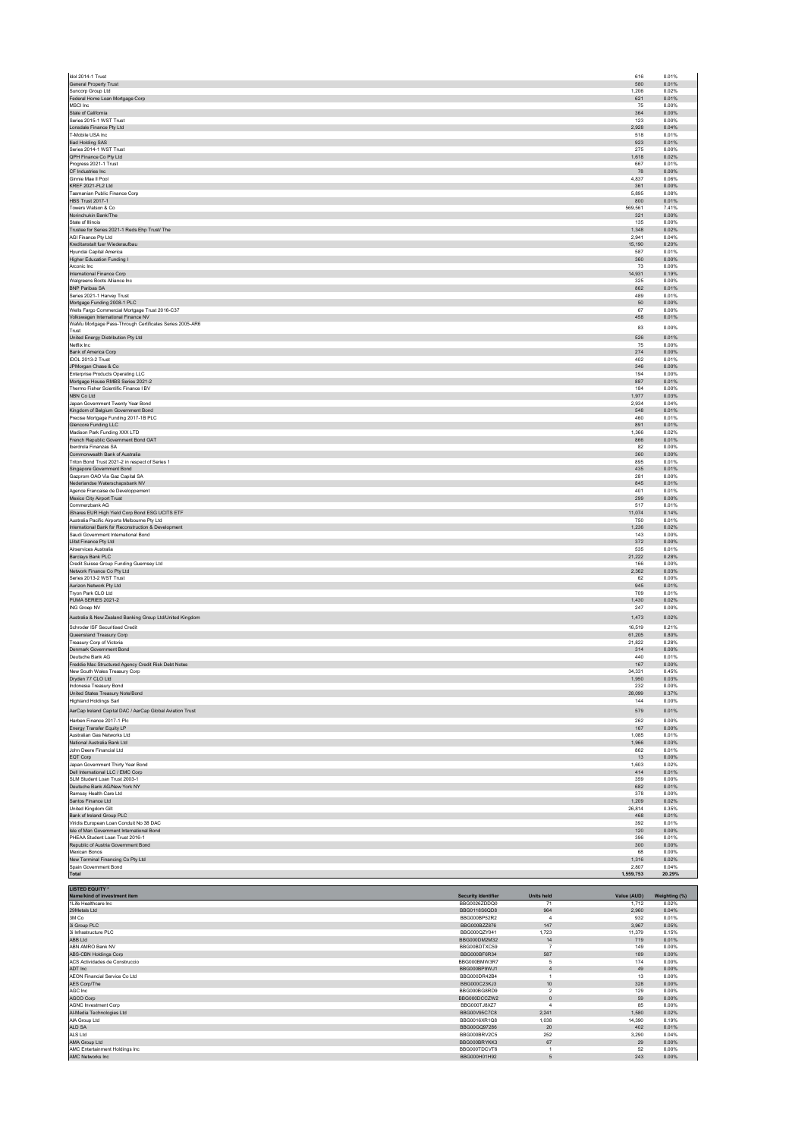| Idol 2014-1 Trust                                                             |                              |                                    | 616             | 0.01%          |
|-------------------------------------------------------------------------------|------------------------------|------------------------------------|-----------------|----------------|
| General Property Trust                                                        |                              |                                    | 580             | 0.01%          |
| Suncorp Group Ltd<br>Federal Home Loan Mortgage Corp                          |                              |                                    | 1.206<br>621    | 0.02%<br>0.01% |
| MSCI Inc.                                                                     |                              |                                    | 75              | 0.00%          |
| State of California                                                           |                              |                                    | 364             | 0.00%          |
| Series 2015-1 WST Trust<br>Lonsdale Finance Pty Ltd                           |                              |                                    | 123<br>2,928    | 0.00%<br>0.04% |
| T-Mobile USA Inc                                                              |                              |                                    | 518             | 0.01%          |
| <b>Iliad Holding SAS</b>                                                      |                              |                                    | 923             | 0.01%          |
| Series 2014-1 WST Trust<br>QPH Finance Co Pty Ltd                             |                              |                                    | 275<br>1,618    | 0.00%<br>0.02% |
| Progress 2021-1 Trust                                                         |                              |                                    | 667             | 0.01%          |
| CF Industries Inc                                                             |                              |                                    | 78              | 0.00%          |
| Ginnie Mae Il Pool<br>KREF 2021-FL2 Ltd                                       |                              |                                    | 4.837<br>361    | 0.06%<br>0.00% |
| Tasmanian Public Finance Corp                                                 |                              |                                    | 5,895           | 0.08%          |
| <b>HBS Trust 2017-1</b>                                                       |                              |                                    | 800             | 0.01%          |
| Towers Watson & Co<br>Norinchukin Bank/The                                    |                              |                                    | 569,561<br>321  | 7.41%<br>0.00% |
| State of Illinois                                                             |                              |                                    | 135             | 0.00%          |
| Trustee for Series 2021-1 Reds Ehp Trust/ The                                 |                              |                                    | 1,348           | 0.02%          |
| AGI Finance Ptv I td.                                                         |                              |                                    | 2.941<br>15,190 | 0.04%<br>0.20% |
| Kreditanstalt fuer Wiederaufbau<br>Hyundai Capital America                    |                              |                                    | 587             | 0.01%          |
| Higher Education Funding I                                                    |                              |                                    | 360             | 0.00%          |
| Arconic Inc<br>International Finance Corp                                     |                              |                                    | 73<br>14.931    | 0.00%<br>0.19% |
| Walgreens Boots Alliance Inc                                                  |                              |                                    | 325             | 0.00%          |
| BNP Paribas SA                                                                |                              |                                    | 862             | 0.01%          |
| Series 2021-1 Harvey Trust                                                    |                              |                                    | 489             | 0.01%          |
| Mortgage Funding 2008-1 PLC<br>Wells Fargo Commercial Mortgage Trust 2016-C37 |                              |                                    | $50\,$<br>67    | 0.00%<br>0.00% |
| Volkswagen International Finance NV                                           |                              |                                    | 458             | 0.01%          |
| WaMu Mortgage Pass-Through Certificates Series 2005-AR6<br>Trust              |                              |                                    | 83              | 0.00%          |
| United Energy Distribution Pty Ltd                                            |                              |                                    | 526             | 0.01%          |
| Netflix Inc.                                                                  |                              |                                    | 75              | 0.00%          |
| Bank of America Corp<br>IDOL 2013-2 Trust                                     |                              |                                    | 274<br>402      | 0.00%<br>0.01% |
| JPMorgan Chase & Co                                                           |                              |                                    | 346             | 0.00%          |
| Enterprise Products Operating LLC                                             |                              |                                    | 194             | 0.00%          |
| Mortgage House RMBS Series 2021-2<br>Thermo Fisher Scientific Finance I BV    |                              |                                    | 887<br>184      | 0.01%<br>0.00% |
| NBN Co Ltd                                                                    |                              |                                    | 1,977           | 0.03%          |
| Japan Government Twenty Year Bond                                             |                              |                                    | 2.934           | 0.04%          |
| Kingdom of Belgium Government Bond                                            |                              |                                    | 548             | 0.01%<br>0.01% |
| Precise Mortgage Funding 2017-1B PLC<br>Glencore Funding LLC                  |                              |                                    | 460<br>891      | 0.01%          |
| Madison Park Funding XXX LTD                                                  |                              |                                    | 1,366           | 0.02%          |
| French Republic Government Bond OAT<br>Iberdrola Finanzas SA                  |                              |                                    | 866<br>82       | 0.01%<br>0.00% |
| Commonwealth Bank of Australia                                                |                              |                                    | 360             | 0.00%          |
| Triton Bond Trust 2021-2 in respect of Series 1                               |                              |                                    | 895             | 0.01%          |
| Singapore Government Bond                                                     |                              |                                    | 435             | 0.01%          |
| Gazorom OAO Via Gaz Capital SA<br>Nederlandse Waterschapsbank NV              |                              |                                    | 281<br>845      | 0.00%<br>0.01% |
| Agence Francaise de Developpement                                             |                              |                                    | 401             | 0.01%          |
| Mexico City Airport Trust<br>Commerzbank AG                                   |                              |                                    | 299<br>517      | 0.00%<br>0.01% |
| iShares EUR High Yield Corp Bond ESG UCITS ETF                                |                              |                                    | 11.074          | 0.14%          |
| Australia Pacific Airports Melbourne Pty Ltd                                  |                              |                                    | 750             | 0.01%          |
| International Bank for Reconstruction & Development                           |                              |                                    | 1,236           | 0.02%          |
| Saudi Government International Bond<br>Llitst Finance Pty Ltd                 |                              |                                    | 143<br>372      | 0.00%<br>0.00% |
| Airservices Australia                                                         |                              |                                    | 535             | 0.01%          |
|                                                                               |                              |                                    |                 |                |
| Barclays Bank PLC                                                             |                              |                                    | 21,222          | 0.28%          |
| Credit Suisse Group Funding Guernsey Ltd                                      |                              |                                    | 166             | 0.00%          |
| Network Finance Co Pty Ltd<br>Series 2013-2 WST Trust                         |                              |                                    | 2,362<br>62     | 0.03%<br>0.00% |
| Aurizon Network Pty Ltd                                                       |                              |                                    | 945             | 0.01%          |
| Tryon Park CLO Ltd                                                            |                              |                                    | 709             | 0.01%          |
| PUMA SERIES 2021-2<br>ING Groep NV                                            |                              |                                    | 1,430<br>247    | 0.02%<br>0.00% |
| Australia & New Zealand Banking Group Ltd/United Kingdom                      |                              |                                    | 1,473           | 0.02%          |
| Schroder ISF Securitised Credit                                               |                              |                                    | 16,519          | 0.21%          |
| Queensland Treasury Corp                                                      |                              |                                    | 61,205          | 0.80%          |
| Treasury Corp of Victoria                                                     |                              |                                    | 21,822          | 0.28%          |
| Denmark Government Bond<br>Deutsche Bank AG                                   |                              |                                    | 314<br>440      | 0.00%<br>0.01% |
| Freddie Mac Structured Agency Credit Risk Debt Notes                          |                              |                                    | 167             | 0.00%          |
| New South Wales Treasury Corp                                                 |                              |                                    | 34.331          | 0.45%          |
| Dryden 77 CLO Ltd                                                             |                              |                                    | 1950            | 0.03%          |
| Indonesia Treasury Bond<br>United States Treasury Note/Bond                   |                              |                                    | 232<br>28.099   | 0.00%<br>0.37% |
| <b>Highland Holdings Sarl</b>                                                 |                              |                                    | 144             | 0.00%          |
| AerCap Ireland Capital DAC / AerCap Global Aviation Trust                     |                              |                                    | 579             | 0.01%          |
| Harben Finance 2017-1 Plc                                                     |                              |                                    | 262             | 0.00%          |
| Energy Transfer Equity LP<br>Australian Gas Networks Ltd                      |                              |                                    | 167             | 0.00%          |
| National Australia Bank Ltd                                                   |                              |                                    | 1,085<br>1,966  | 0.01%<br>0.03% |
| John Deere Financial Ltd                                                      |                              |                                    | 862             | 0.01%          |
| EQT Corp                                                                      |                              |                                    | 13              | 0.00%<br>0.02% |
| Japan Government Thirty Year Bond<br>Dell International LLC / EMC Corp        |                              |                                    | 1,603<br>414    | 0.01%          |
| SLM Student Loan Trust 2003-1                                                 |                              |                                    | 359             | 0.00%          |
| Deutsche Bank AG/New York NY                                                  |                              |                                    | 682             | 0.01%          |
| Ramsay Health Care Ltd<br>Santos Finance Ltd                                  |                              |                                    | 378<br>1,209    | 0.00%<br>0.02% |
| United Kingdom Gilt                                                           |                              |                                    | 26,814          | 0.35%          |
| Bank of Ireland Group PLC<br>Viridis European Loan Conduit No 38 DAC          |                              |                                    | 468<br>392      | 0.01%<br>0.01% |
| Isle of Man Government International Bond                                     |                              |                                    | 120             | 0.00%          |
| PHEAA Student Loan Trust 2016-1                                               |                              |                                    | 396             | 0.01%          |
| Republic of Austria Government Bond<br>Mexican Bonos                          |                              |                                    | 300<br>68       | 0.00%<br>0.00% |
| New Terminal Financing Co Pty Ltd                                             |                              |                                    | 1.316           | 0.02%          |
| Spain Government Bond                                                         |                              |                                    | 2,807           | 0.04%          |
| Total                                                                         |                              |                                    | 1,559,753       | 20.29%         |
| <b>LISTED EQUITY *</b>                                                        |                              |                                    |                 |                |
| Name/kind of investment item                                                  | <b>Security Identifier</b>   | <b>Units held</b>                  | Value (AUD)     | Weighting (%)  |
| 1Life Healthcare Inc<br>29Metals Ltd                                          | BBG0026ZDDQ0<br>BBG0118S6QD8 | 71<br>964                          | 1,712<br>2,960  | 0.02%<br>0.04% |
| 3M Co                                                                         | BBG000BP52R2                 | $\sqrt{4}$                         | 932             | 0.01%          |
| 3i Group PLC<br>3i Infrastructure PLC                                         | BBG000BZZ876<br>BBG000QZY041 | 147<br>1.723                       | 3,967<br>11.379 | 0.05%<br>0.15% |
| ABB Ltd                                                                       | BBG000DM2M32                 | 14                                 | 719             | 0.01%          |
| ABN AMRO Bank NV                                                              | BBG00BDTXC59                 | $\overline{7}$                     | 149             | 0.00%          |
| ABS-CBN Holdings Corp                                                         | BBG000BF6R34<br>BBG000BMW3R7 | 587<br>$\,$ 5 $\,$                 | 189<br>174      | 0.00%<br>0.00% |
| ACS Actividades de Construccio<br>ADT Inc                                     | BBG000BP9WJ1                 | $\overline{4}$                     | 49              | 0.00%          |
| AEON Financial Service Co Ltd                                                 | BBG000DR42B4                 | $\mathbf{1}$                       | 13              | 0.00%          |
| AES Corp/The<br>AGC Inc                                                       | BBG000C23KJ3<br>BBG000BG8RD9 | 10 <sup>10</sup><br>$\overline{2}$ | 328<br>129      | 0.00%<br>0.00% |
| AGCO Corp                                                                     | BBG000DCCZW2                 | $\mathbf 0$                        | 59              | 0.00%          |
| <b>AGNC Investment Corp</b>                                                   | BBG000TJ8XZ7                 | $\overline{4}$                     | 85              | 0.00%          |
| Al-Media Technologies Ltd<br>AIA Group Ltd                                    | BBG00V95C7C8<br>BBG0016XR1Q8 | 2,241                              | 1,580<br>14,390 | 0.02%<br>0.19% |
| ALD SA                                                                        | BBG00GQ97286                 | 1,038<br>20                        | 402             | 0.01%          |
| ALS Ltd                                                                       | BBG000BRV2C5                 | 252                                | 3,290           | 0.04%          |
| AMA Group Ltd<br>AMC Entertainment Holdings Inc                               | BBG000BRYKK3<br>BBG000TDCVT6 | 67<br>$\mathbf{1}$                 | 29<br>52        | 0.00%<br>0.00% |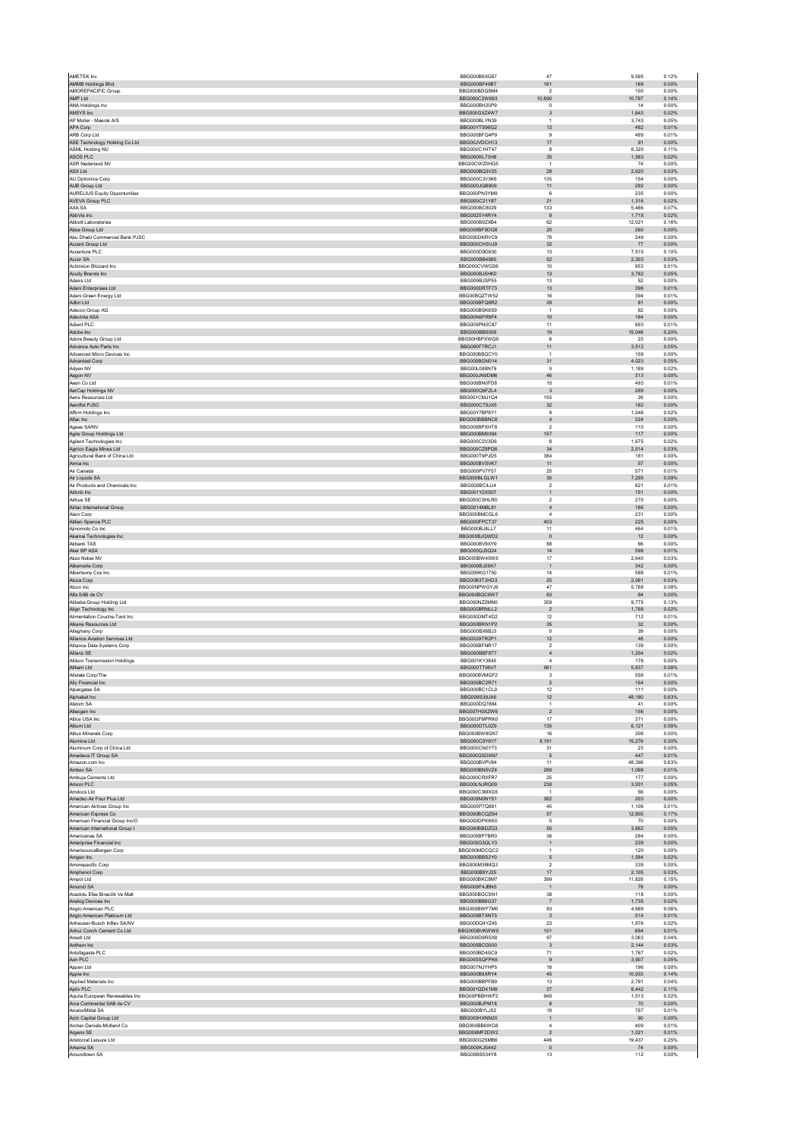| AMETEK Inc.                                           | BBG000B9XG87                        | 47                               | 9.595           | 0.12%          |
|-------------------------------------------------------|-------------------------------------|----------------------------------|-----------------|----------------|
| AMMB Holdings Bhd<br>AMOREPACIFIC Group               | BBG000BF49B7<br>BBG000BDQ5M4        | 161<br>$\sqrt{2}$                | 169<br>100      | 0.00%<br>0.00% |
| AMP Ltd                                               | BBG000C2W693                        | 10,690                           | 10,797          | 0.14%          |
| ANA Holdings Inc                                      | BBG000BH20P9                        | $\mathsf 0$                      | 14              | 0.00%          |
| ANSYS Inc                                             | BBG000GXZ4W7                        | $\mathbf{3}$                     | 1,643           | 0.02%          |
| AP Moller - Maersk A/S<br>APA Corp                    | BBG000BLYN39<br>BBG00YTS96G2        | $\mathbf{1}$<br>13               | 3,743<br>482    | 0.05%<br>0.01% |
| ARB Corp Ltd                                          | BBG000BFQ4P9                        | 9                                | 489             | 0.01%          |
| ASE Technology Holding Co Ltd                         | BBG00JVDCH13                        | $17\,$                           | 91              | 0.00%          |
| ASML Holding NV                                       | BBG000C1HT47                        | 8                                | 8.320           | 0.11%          |
| ASOS PLC<br>ASR Nederland NV                          | BBG000KL73H8<br>BBG00CWZ0HG5        | $35\,$<br>$\mathbf{1}$           | 1,563<br>74     | 0.02%<br>0.00% |
| ASX Ltd                                               | BBG000BQ3V25                        | 28                               | 2.620           | 0.03%          |
| AU Optronics Corp                                     | BBG000C3V3K6                        | 135                              | 154             | 0.00%          |
| AUB Group Ltd                                         | BBG000JQB909                        | 11                               | 292             | 0.00%          |
| <b>AURELIUS Equity Opportunities</b>                  | BBG000PN3YM9                        | 6                                | 235             | 0.00%          |
| AVEVA Group PLC<br>AXA SA                             | BBG000C21Y87<br>BBG000BC8029        | 21<br>133                        | 1,316<br>5.466  | 0.02%<br>0.07% |
| AbbVie Inc                                            | BBG0025Y4RY4                        | $\,9$                            | 1,715           | 0.02%          |
| Abbott Laboratories                                   | BBG000B9ZXB4                        | 62                               | 12,021          | 0.16%          |
| Absa Group Ltd                                        | BBG000BF9DG8                        | $20\,$                           | 260             | 0.00%          |
| Abu Dhabi Commercial Bank PJSC<br>Accent Group Ltd.   | BBG000DKRVC9<br>BBG000CHSVJ9        | 78<br>32                         | 249<br>77       | 0.00%<br>0.00% |
| Accenture PLC                                         | BBG000D9D830                        | 13                               | 7,510           | 0.10%          |
| Accor SA                                              | BBG000BB4980                        | 52                               | 2,303           | 0.03%          |
| Activision Blizzard Inc.                              | BBG000CVWGS6                        | 10                               | 953             | 0.01%          |
| Acuity Brands Inc<br>Adairs Ltd                       | BBG000BJ5HK0<br>BBG009BJSP55        | 13<br>13                         | 3,782<br>52     | 0.05%<br>0.00% |
| Adani Enterprises Ltd                                 | BBG000DRTF73                        | 13                               | 396             | 0.01%          |
| Adani Green Energy Ltd                                | BBG00BQZTW52                        | 16                               | 394             | 0.01%          |
| Adbri Ltd                                             | BBG000BFQ6R2                        | 29<br>$\overline{1}$             | 81              | 0.00%          |
| Adecco Group AG<br>Adevinta ASA                       | BBG000BSK6S9<br>BBG00N6FR9F4        | 10                               | 82<br>184       | 0.00%<br>0.00% |
| Adient PLC                                            | BBG009PN0C87                        | 11                               | 693             | 0.01%          |
| Adobe Inc                                             | BBG000BB5006                        | 19                               | 15,048          | 0.20%          |
| Adore Beauty Group Ltd<br>Advance Auto Parts Inc      | BBG00HBPXWQ9                        | 6                                | 23              | 0.00%          |
| Advanced Micro Devices Inc.                           | BBG000F7RCJ1<br>BBG000BBOCY0        | 11<br>$\overline{1}$             | 3,512<br>159    | 0.05%<br>0.00% |
| Advantest Corp                                        | BBG000BGN014                        | 31                               | 4,023           | 0.05%          |
| Adyen NV                                              | BBG00L088N79                        | $\Omega$                         | 1,189           | 0.02%          |
| Aegon NV                                              | BBG000JN9DM6                        | 46                               | 313             | 0.00%          |
| Aeon Co Ltd<br>AerCap Holdings NV                     | BBG000BN0FD8<br>BBG000Q9FZL4        | 15<br>$\overline{3}$             | 493<br>289      | 0.01%<br>0.00% |
| Aeris Resources Ltd                                   | BBG001CMJ1Q4                        | 155                              | 26              | 0.00%          |
| Aeroflot PJSC                                         | BBG000CT9JX5                        | 32                               | 182             | 0.00%          |
| Affirm Holdings Inc.                                  | BBG00Y7BP8Y1                        | 9                                | 1,246           | 0.02%          |
| Aflac Inc                                             | BBG000BBBNC6                        | $\sqrt{4}$                       | 324             | 0.00%          |
| Ageas SA/NV<br>Agile Group Holdings Ltd               | BBG000BPXHT6<br>BBG000BM9384        | $\overline{2}$<br>157            | 110<br>117      | 0.00%<br>0.00% |
| Agilent Technologies Inc                              | BBG000C2V3D6                        | 8                                | 1,675           | 0.02%          |
| Agnico Eagle Mines Ltd                                | BBG000CZ8PQ6                        | 34                               | 2.514           | 0.03%          |
| Agricultural Bank of China Ltd                        | BBG000T9PJD5                        | 384                              | 181             | 0.00%          |
| Aimia Inc                                             | BBG000BVSVK7                        | 11                               | 57              | 0.00%          |
| Air Canada<br>Air Liquide SA                          | BBG000PV7F57<br>BBG000BLGLW1        | 25<br>30                         | 571<br>7,295    | 0.01%<br>0.09% |
| Air Products and Chemicals Inc.                       | BBG000BC4JJ4                        | $\overline{2}$                   | 821             | 0.01%          |
| Airbnb Inc                                            | BBG001Y2XS07                        | $\mathbf{1}$                     | 151             | 0.00%          |
| Airbus SE                                             | BBG000CSHLR0                        | $\mathcal{P}$                    | 270             | 0.00%          |
| Airtac International Group<br>Aisin Corp              | BBG0014M8L81<br>BBG000BMCGL6        | $\overline{4}$<br>$\overline{4}$ | 186<br>231      | 0.00%<br>0.00% |
| Aitken Spence PLC                                     | BBG000FPCT37                        | 403                              | 225             | 0.00%          |
| Ajinomoto Co Inc                                      | BBG000BJ8LL7                        | 11                               | 464             | 0.01%          |
| Akamai Technologies Inc                               | BBG000BJQWD2                        | $\,$ 0                           | 12              | 0.00%          |
| Akbank TAS<br>Aker BP ASA                             | BBG000BV9XY9                        | 88                               | 66              | 0.00%          |
| Akzo Nobel NV                                         | BBG000QJ5Q24<br>BBG000BW45W5        | 14<br>17                         | 598<br>2,640    | 0.01%<br>0.03% |
| Albemarle Corp                                        | BBG000BJ26K7                        | $\overline{1}$                   | 342             | 0.00%          |
| Albertsons Cos Inc.                                   | BBG009KG1750                        | 14                               | 588             | 0.01%          |
| Alcoa Corp                                            | BBG00B3T3HD3                        | $25\,$                           | 2,061           | 0.03%          |
| Alcon Inc.<br>Alfa SAB de CV                          | BBG00NPWGYJ9<br>BBG000BQC6W7        | 47<br>83                         | 5,768<br>84     | 0.08%<br>0.00% |
| Alibaba Group Holding Ltd                             | BBG000NZ2MN0                        | 359                              | 9,775           | 0.13%          |
| Align Technology Inc                                  | BBG000BRNLL2                        | $\sqrt{2}$                       | 1.788           | 0.02%          |
| Alimentation Couche-Tard Inc                          | BBG000DMT4D2                        | 12                               | 712             | 0.01%          |
| Alkane Resources Ltd<br>Alleghany Corp                | BBG000BRN1P2<br>BBG000BX6BJ3        | 35<br>$\mathbf{0}$               | 32<br>39        | 0.00%<br>0.00% |
| Alliance Aviation Services Ltd                        | BBG0029TR2P1                        | $12 \overline{ }$                | 48              | 0.00%          |
| Alliance Data Systems Corp                            | BBG000BENR17                        | $\mathcal{P}$                    | 139             | 0.00%          |
| Allianz SE                                            | BBG000BBF8T7                        | $\overline{4}$                   | 1,204           | 0.02%          |
| <b>Allison Transmission Holdings</b><br>Allkem Ltd    | BBG001KY3845<br>BBG000TT96V7        | $\boldsymbol{A}$<br>561          | 176<br>5,837    | 0.00%<br>0.08% |
| Allstate Corp/The                                     | BBG000BVMGF2                        | 3                                | 556             | 0.01%          |
| Ally Financial Inc                                    | BBG000BC2R71                        | $\overline{2}$                   | 154             | 0.00%          |
| Alpargatas SA                                         | BBG000BC1CL9                        | 12                               | 111             | 0.00%          |
| Alphabet Inc<br>Alstom SA                             | BBG009S39JX6<br>BBG000DQ7884        | 12                               | 48,180<br>41    | 0.63%<br>0.00% |
| Alteogen Inc                                          | BBG007H0XZW6                        | $\overline{1}$<br>$\sqrt{2}$     | 156             | 0.00%          |
| Altice USA Inc.                                       | BBG00GFMPRK0                        | 17                               | 371             | 0.00%          |
| Altium Ltd                                            | BBG000DTL0Z9                        | 135                              | 6,121           | 0.08%          |
| Altius Minerals Corp                                  | BBG000BW8GN7                        | $16\,$                           | 306             | 0.00%          |
| Alumina Ltd<br>Aluminum Corp of China Ltd             | BBG000C0Y6Y7<br>BBG000CN0Y73        | 8,191<br>31                      | 15.276<br>23    | 0.20%<br>0.00% |
| Amadeus IT Group SA                                   | BBG000QSDXN7                        | $\sqrt{5}$                       | 447             | 0.01%          |
| Amazon.com Inc.                                       | BBG000BVPV84                        | 11                               | 48,398          | 0.63%          |
| Ambev SA                                              | BBG000BN5VZ4                        | 288                              | 1,098           | 0.01%          |
| Ambuia Cements Ltd<br>Amcor PLC                       | BBG000CRXFR7<br>BBG00LNJRQ09        | 25<br>238                        | 177<br>3,931    | 0.00%<br>0.05% |
| Amdore Ltd.                                           | BBG000C3MXG5                        | $\overline{1}$                   | 56              | 0.00%          |
| Amedeo Air Four Plus Ltd                              | BBG008N0NY51                        | 382                              | 203             | 0.00%          |
| American Airlines Group Inc                           | BBG005P7Q881<br>BBG000BCQZS4        | 45<br>57                         | 1,106<br>12.805 | 0.01%          |
| American Express Co<br>American Financial Group Inc/O | BBG000DPKKK0                        | $\,0\,$                          | 70              | 0.17%<br>0.00% |
| American International Group I                        | BBG000BBDZG3                        | $50\,$                           | 3,882           | 0.05%          |
| Americanas SA                                         | BBG000BP7BR0                        | $36\,$                           | 284             | 0.00%          |
| Ameriprise Financial Inc                              | BBG000G3QLY3                        | $\mathbf{1}$                     | 239             | 0.00%          |
| AmerisourceBergen Corp<br>Amgen Inc                   | BBG000MDCQC2<br>BBG000BBS2Y0        | $\overline{1}$<br>$\mathbf 5$    | 120<br>1,584    | 0.00%<br>0.02% |
| Amorepacific Corp                                     | BBG000M38MQ3                        | $\overline{2}$                   | 339             | 0.00%          |
| Amphenol Corp                                         | BBG000B9YJ35                        | $17\,$                           | 2,105           | 0.03%          |
| Ampol Ltd                                             | BBG000BKC8M7                        | 399                              | 11,828          | 0.15%          |
| Amundi SA<br>Anadolu Efes Biracilik Ve Malt           | BBG009F4JBN5<br>BBG000BGCSN1        | $\overline{1}$<br>38             | 78<br>118       | 0.00%<br>0.00% |
| Analog Devices Inc                                    | BBG000BB6G37                        | $\overline{7}$                   | 1,735           | 0.02%          |
| Anglo American PLC                                    | BBG000BWF7M0                        | 83                               | 4,689           | 0.06%          |
| Anglo American Platinum Ltd                           | BBG000BTXNT5                        | $_{\rm 3}$                       | 514             | 0.01%          |
| Anheuser-Busch InBev SA/NV                            | BBG00DQ4YZ45                        | 23                               | 1.876           | 0.02%          |
| Anhui Conch Cement Co Ltd<br>Ansell I td              | BBG000BVKWW0<br>BBG000D9RSX8        | 101<br>97                        | 694<br>3.063    | 0.01%<br>0.04% |
| Anthem Inc                                            | BBG000BCG930                        | $_{\rm 3}$                       | 2,144           | 0.03%          |
| Antofagasta PLC                                       | BBG000BD4SC9                        | 71                               | 1,767           | 0.02%          |
| Aon PLC                                               | BBG00SSQFPK6                        | 9                                | 3.907           | 0.05%          |
| Appen Ltd<br>Apple Inc                                | BBG007NJYHP5                        | 18<br>45                         | 196<br>10,933   | 0.00%<br>0.14% |
| Applied Materials Inc.                                |                                     |                                  | 2,791           | 0.04%          |
| Aptiv PLC                                             | BBG000B9XRY4<br>BBG000BBPFB9        | 13                               |                 |                |
|                                                       | BBG001QD41M9                        | $37\,$                           | 8,442           | 0.11%          |
| Aquila European Renewables Inc.                       | BBG00PBBHWF2                        | 948                              | 1.513           | 0.02%          |
| Arca Continental SAB de CV<br><b>ArcelorMittal SA</b> | BBG000BJPM18                        | $^{\rm 8}$                       | 70              | 0.00%          |
| Arch Capital Group Ltd                                | BBG000BYLJ52<br>BBG000HXNN20        | 18<br>$\mathbf{1}$               | 787<br>90       | 0.01%<br>0.00% |
| Archer-Daniels-Midland Co                             | BBG000BB6WG8                        | $\overline{4}$                   | 409             | 0.01%          |
| Argenx SE                                             | BBG006MF2DW2                        | $\overline{2}$                   | 1.021           | 0.01%          |
| Aristocrat Leisure Ltd                                | BBG000G2SMB6                        | 446                              | 19,437          | 0.25%          |
| Arkema SA<br>Aroundtown SA                            | <b>BBG000KJS442</b><br>BBG00B6S34Y8 | $\,0\,$<br>13                    | 74<br>112       | 0.00%<br>0.00% |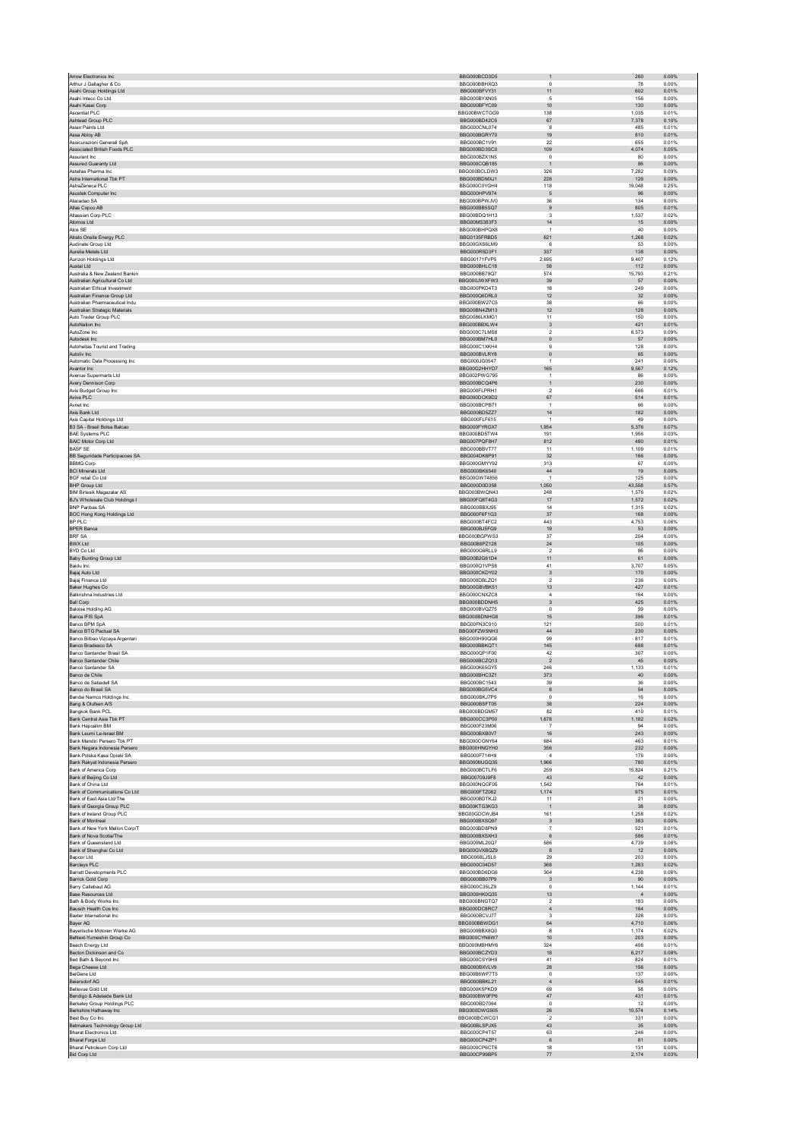| Arthur J Gallagher & Co.                                        | BBG000BCD3D5                 | $\mathbf{1}$                  | 260                    | 0.00%          |
|-----------------------------------------------------------------|------------------------------|-------------------------------|------------------------|----------------|
|                                                                 | BBG000BBHXQ3                 | $\Omega$                      | 78                     | 0.00%          |
| Asahi Group Holdings Ltd                                        | BBG000BFVY31                 | 11                            | 602                    | 0.01%          |
| Asahi Intecc Co Ltd                                             | BBG000BYXN05                 | $\sqrt{2}$                    | 156                    | 0.00%          |
| Asahi Kasei Corp                                                | BBG000BFYC09<br>BBG00BWCTGG9 | 10                            | 130                    | 0.00%<br>0.01% |
| Ascential PLC<br>Ashtead Group PLC                              | BBG000BD42C6                 | 138<br>67                     | 1,035<br>7,378         | 0.10%          |
| Asian Paints Ltd                                                | BBG000CNL074                 | 8                             | 485                    | 0.01%          |
| Assa Abloy AB                                                   | BBG000BGRY70                 | 19                            | 810                    | 0.01%          |
| Assicurazioni Generali SpA                                      | RRG000RC1V91                 | 22                            | 655                    | 0.01%          |
| Associated British Foods PLC                                    | BBG000BD3SC0                 | 109                           | 4,074                  | 0.05%          |
| Assurant Inc.                                                   | BBG000BZX1N5                 | $\Omega$                      | 80                     | 0.00%          |
| Assured Guaranty Ltd<br>Astellas Pharma Inc                     | BBG000CQB185<br>BBG000BCLDW3 | $\overline{1}$<br>326         | 86<br>7,282            | 0.00%<br>0.09% |
| Astra International Tbk PT                                      | BBG000BDMXJ1                 | 228                           | 126                    | 0.00%          |
| AstraZeneca PLC                                                 | BBG000C0YGH4                 | 118                           | 19,048                 | 0.25%          |
| Asustek Computer Inc                                            | BBG000HPV974                 | 5                             | 96                     | 0.00%          |
| Atacadao SA                                                     | BBG000BPWJV0                 | 36                            | 134                    | 0.00%          |
| Atlas Copco AB                                                  | BBG000BB5SQ7                 | $\boldsymbol{9}$              | 805                    | 0.01%          |
| Atlassian Corp PLC                                              | BBG00BDQ1H13<br>BBG00MS383F3 | $\mathbf{3}$                  | 1.537                  | 0.02%          |
| Atomos Ltd<br>Atos SE                                           | BBG000BHPQX8                 | $14\,$<br>$\overline{1}$      | 15<br>40               | 0.00%<br>0.00% |
| Atrato Onsite Energy PLC                                        | BBG0135FRBD5                 | 621                           | 1.268                  | 0.02%          |
| Audinate Group Ltd                                              | BBG00GXS6LM9                 | 6                             | 53                     | 0.00%          |
| Aurelia Metals I td                                             | BBG000R5D3F1                 | 337                           | 138                    | 0.00%          |
| Aurizon Holdings Ltd                                            | BBG00171FVP5                 | 2,695                         | 9,407                  | 0.12%          |
| Austal Ltd<br>Australia & New Zealand Bankin                    | BBG000BHLC18<br>BBG000BB79Q7 | 58<br>574                     | 112<br>15.793          | 0.00%<br>0.21% |
| Australian Agricultural Co Ltd                                  | BBG000JWXFW3                 | 39                            | 57                     | 0.00%          |
| Australian Ethical Investment                                   | BBG000PKD4T3                 | 18                            | 249                    | 0.00%          |
| Australian Finance Group Ltd                                    | BBG000Q6DRL0                 | 12                            | 32                     | 0.00%          |
| Australian Pharmaceutical Indu                                  | BBG000BW27C5                 | 38                            | 66                     | 0.00%          |
| Australian Strategic Materials                                  | BBG00BN4ZM13                 | 12                            | 128                    | 0.00%          |
| Auto Trader Group PLC<br>AutoNation Inc.                        | BBG0086LKMG1<br>BBG000BBXLW4 | 11<br>$\overline{\mathbf{3}}$ | 150<br>421             | 0.00%<br>0.01% |
| AutoZone Inc                                                    | BBG000C7LMS8                 | $\sqrt{2}$                    | 6,573                  | 0.09%          |
| Autodesk Inc                                                    | BBG000BM7HL0                 | $\mathbf 0$                   | 57                     | 0.00%          |
| Autobellas Tourist and Trading                                  | BBG000C1XKH4                 | 9                             | 128                    | 0.00%          |
| Autoliv Inc                                                     | BBG000BVLRY8                 | $\bf{0}$                      | 65                     | 0.00%          |
| Automatic Data Processing Inc.                                  | BBG000JG0547                 | $\overline{1}$                | 241                    | 0.00%          |
| Avantor Inc<br>Avenue Supermarts Ltd                            | BBG00G2HHYD7<br>BBG002PWG795 | 165<br>$\mathbf{1}$           | 9,567<br>86            | 0.12%<br>0.00% |
| Avery Dennison Corp                                             | BBG000BCQ4P6                 | $\overline{1}$                | 230                    | 0.00%          |
| Avis Budget Group Inc                                           | BBG000FLPRH1                 | $\sqrt{2}$                    | 666                    | 0.01%          |
| Aviva PLC                                                       | BBG000DCK9D2                 | 67                            | 514                    | 0.01%          |
| Avnet Inc                                                       | BBG000BCPB71                 | $\overline{1}$                | 66                     | 0.00%          |
| Axis Bank Ltd<br>Axis Capital Holdings Ltd                      | BBG000BD5ZZ7                 | 14                            | 182                    | 0.00%          |
| B3 SA - Brasil Bolsa Balcao                                     | BBG000FLF615<br>BBG000FYRGX7 | $\overline{1}$<br>1,954       | 49<br>5,376            | 0.00%<br>0.07% |
| <b>BAE Systems PLC</b>                                          | BBG000BD5TW4                 | 191                           | 1.956                  | 0.03%          |
| <b>BAIC Motor Corp Ltd</b>                                      | BBG007PQF8H7                 | 812                           | 480                    | 0.01%          |
| <b>BASF SE</b>                                                  | BBG000BBVT77                 | 11                            | 1,109                  | 0.01%          |
| BB Seguridade Participacoes SA                                  | BBG004DK6P91                 | 32                            | 166                    | 0.00%          |
| <b>BBMG Corp</b>                                                | BBG000GMYY92                 | 313                           | 67                     | 0.00%          |
| <b>BCI Minerals Ltd</b><br><b>BGF</b> retail Co Ltd             | BBG000BK6540<br>BBG00GW74856 | 44<br>$\overline{1}$          | 19<br>125              | 0.00%<br>0.00% |
| <b>BHP Group Ltd</b>                                            | BBG000D0D358                 | 1,050                         | 43,558                 | 0.57%          |
| <b>BIM Birlesik Magazalar AS</b>                                | BBG000BWQN43                 | 248                           | 1.576                  | 0.02%          |
| BJ's Wholesale Club Holdings I                                  | BBG00FQ8T4G3                 | 17                            | 1,572                  | 0.02%          |
| <b>BNP Paribas SA</b>                                           | BBG000BBXJ95                 | 14                            | 1.315                  | 0.02%          |
| BOC Hong Kong Holdings Ltd<br>BP PLC                            | BBG000F6F1G3<br>BBG000BT4FC2 | $37\,$<br>443                 | 168<br>4,753           | 0.00%<br>0.06% |
| <b>BPER Banca</b>                                               | BBG000BJ5FG9                 | 19                            | 53                     | 0.00%          |
| <b>BRF SA</b>                                                   | BBG000BGPWS3                 | $37\,$                        | 204                    | 0.00%          |
| <b>BWX Ltd</b>                                                  | BBG00B8PZ128                 | 24                            | 105                    | 0.00%          |
| BYD Co Ltd                                                      | BBG000G6RLL9                 | $\sqrt{2}$                    | 86                     | 0.00%          |
| Baby Bunting Group Ltd<br><b>Baidu</b> Inc.                     | BBG00B2G61D4<br>BBG000Q1VPS8 | 11<br>41                      | 61<br>3.707            | 0.00%<br>0.05% |
| Bajaj Auto Ltd                                                  | BBG000CKDY02                 | $_{\rm 3}$                    | 170                    | 0.00%          |
| Bajaj Finance Ltd                                               | BBG000DBLZQ1                 | $\overline{2}$                | 236                    | 0.00%          |
| Baker Hughes Co                                                 | BBG00GBVBK51                 | 13                            | 427                    | 0.01%          |
| Balkrishna Industries Ltd                                       | BBG000CNXZC8                 | $\overline{4}$                | 164                    | 0.00%          |
| <b>Ball Corp</b>                                                | BBG000BDDNH5                 |                               | 425                    | 0.01%          |
|                                                                 |                              | $\overline{3}$                |                        |                |
| <b>Baloise Holding AG</b>                                       | BBG000BVQZ75<br>BBG000BDNHG8 | $\,0\,$                       | 59<br>396              | 0.00%          |
| Banca IFIS SpA<br>Banco BPM SpA                                 | BBG00FN3C910                 | 15<br>121                     | 500                    | 0.01%<br>0.01% |
| Banco BTG Pactual SA                                            | BBG00FZW5NH3                 | $44\,$                        | 230                    | 0.00%          |
| Banco Bilbao Vizcaya Argentari                                  | BBG000H90QG6                 | 99                            | 817                    | 0.01%          |
| Banco Bradesco SA                                               | BBG000BBKQT1                 | 145                           | 688                    | 0.01%          |
| Banco Santander Brasil SA                                       | BBG000QP1F00                 | 42                            | 307                    | 0.00%          |
| Banco Santander Chile<br>Banco Santander SA                     | BBG000BCZQ13<br>BBG000K65GY5 | $\overline{2}$<br>246         | 45<br>1,133            | 0.00%<br>0.01% |
| Banco de Chile                                                  | BBG000BHC3Z1                 | 373                           | 40                     | 0.00%          |
| Banco de Sabadell SA                                            | BBG000BC1543                 | 39                            | 36                     | 0.00%          |
| Banco do Brasil SA                                              | BBG000BG5VC4                 | $\boldsymbol{8}$              | 54                     | 0.00%          |
| Bandai Namco Holdings Inc                                       | BBG000BKJ7P9                 | $\,0\,$                       | $16\,$                 | 0.00%          |
| Bang & Olufsen A/S<br>Bangkok Bank PCL                          | BBG000BSFT05<br>BBG000BDGM57 | $38\,$<br>82                  | 224<br>410             | 0.00%<br>0.01% |
| Bank Central Asia Tbk PT                                        | BBG000CC3P00                 | 1,678                         | 1,182                  | 0.02%          |
| Bank Hapoalim BM                                                | BBG000F23M06                 | $\overline{7}$                | 94                     | 0.00%          |
| Bank Leumi Le-Israel BM                                         | BBG000BXB0V7                 | 16                            | 243                    | 0.00%          |
| Bank Mandiri Persero Tbk PT                                     | BBG000CGNY64                 | 684                           | 463                    | 0.01%          |
| Bank Negara Indonesia Persero                                   | BBG000HNGYH0                 | 356                           | 232                    | 0.00%          |
| Bank Polska Kasa Opieki SA<br>Bank Rakyat Indonesia Persero     | BBG000F714H9<br>BBG000MJGQ35 | $\sqrt{4}$<br>1,966           | 176<br>780             | 0.00%<br>0.01% |
| Bank of America Corp                                            | BBG000BCTLF6                 | 259                           | 15.824                 | 0.21%          |
| Bank of Beijing Co Ltd                                          | BBG00709J9F8                 | 43                            | 42                     | 0.00%          |
| Bank of China Ltd                                               | BBG000NQGF05                 | 1.542                         | 764                    | 0.01%          |
| Bank of Communications Co Ltd                                   | BBG000FTZ082<br>BBG000BDTKJ2 | 1,174<br>11                   | 975                    | 0.01%          |
| Bank of East Asia Ltd/The<br>Bank of Georgia Group PLC          | BBG00KTG3KG3                 | $\overline{1}$                | 21<br>38               | 0.00%<br>0.00% |
| Bank of Ireland Group PLC                                       | BBG00GDCWJB4                 | 161                           | 1,258                  | 0.02%          |
| Bank of Montreal                                                | BBG000BXSQ97                 | $\overline{3}$                | 383                    | 0.00%          |
| Bank of New York Mellon Corp/T                                  | BBG000BD8PN9                 | $\scriptstyle{7}$             | 521                    | 0.01%          |
| Bank of Nova Scotia/The<br>Bank of Queensland Ltd               | BBG000BXSXH3                 | $6\phantom{1}6$               | 586                    | 0.01%          |
| Bank of Shanghai Co Ltd                                         | BBG000ML20Q7<br>BBG00GVXBQZ9 | 586<br>$^{\rm 8}$             | 4.739<br>12            | 0.06%<br>0.00% |
| Bapcor Ltd                                                      | BBG0068LJSL6                 | 29                            | 203                    | 0.00%          |
| Barclays PLC                                                    | BBG000C04D57                 | 368                           | 1,283                  | 0.02%          |
| <b>Barratt Developments PLC</b>                                 | BBG000BD6DG6                 | 304                           | 4,238                  | 0.06%          |
| Barrick Gold Corp                                               | BBG000BB07P9                 | $\overline{\mathbf{3}}$       | 90                     | 0.00%          |
| Barry Callebaut AG<br><b>Base Resources Ltd</b>                 | BBG000C35LZ9<br>BBG000HK0Q35 | $\mathsf 0$<br>13             | 1,144<br>$\frac{4}{3}$ | 0.01%<br>0.00% |
| Bath & Body Works Inc                                           | BBG000BNGTQ7                 | $\sqrt{2}$                    | 183                    | 0.00%          |
| Bausch Health Cos Inc                                           | BBG000DC8RC7                 | $\sqrt{4}$                    | 164                    | 0.00%          |
| Baxter International Inc.                                       | BBG000BCVJ77                 | 3                             | 328                    | 0.00%          |
| Bayer AG<br>Baverische Motoren Werke AG                         | BBG000BBWDG1<br>BBG000BBX8Q0 | $64\,$<br>8                   | 4,710<br>1.174         | 0.06%<br>0.02% |
| BeNext-Yumeshin Group Co                                        | BBG000CYN6W7                 | $10$                          | 203                    | 0.00%          |
| Beach Energy Ltd                                                | BBG000MBHMY6                 | 324                           | 408                    | 0.01%          |
| Becton Dickinson and Co.                                        | BBG000BCZYD3                 | 18                            | 6,217                  | 0.08%          |
| Bed Bath & Beyond Inc                                           | BBG000CSY9H9                 | 41                            | 824                    | 0.01%          |
| Bega Cheese Ltd                                                 | BBG000BXVLV9                 | 28                            | 156                    | 0.00%          |
| BeiGene Ltd<br><b>Beiersdorf AG</b>                             | BBG00B6WF7T5<br>BBG000BBKL21 | $\,0\,$<br>$\overline{4}$     | 137<br>545             | 0.00%<br>0.01% |
| Bellevue Gold Ltd                                               | BBG000K5PKD9                 | 69                            | 58                     | 0.00%          |
| Bendigo & Adelaide Bank Ltd                                     | BBG000BW9FP6                 | $47\,$                        | 431                    | 0.01%          |
| Berkeley Group Holdings PLC                                     | BBG000BD7064                 | $\Omega$                      | 12                     | 0.00%          |
| Berkshire Hathaway Inc                                          | BBG000DWG505                 | ${\bf 26}$                    | 10,574                 | 0.14%          |
| Best Buy Co Inc                                                 | BBG000BCWCG1<br>BBG00BLSPJX5 | $\overline{2}$<br>43          | 331<br>35              | 0.00%<br>0.00% |
| Betmakers Technology Group Ltd<br><b>Bharat Electronics Ltd</b> | BBG000CP4T57                 | 63                            | 246                    | 0.00%          |
| Bharat Forge Ltd                                                | BBG000CP4ZP1                 | $\,6\,$                       | 81                     | 0.00%          |
| Bharat Petroleum Corp Ltd<br><b>Bid Corp Ltd</b>                | BBG000CP6CT6<br>BBG00CP99BP5 | 18<br>$77\,$                  | 131<br>2,174           | 0.00%<br>0.03% |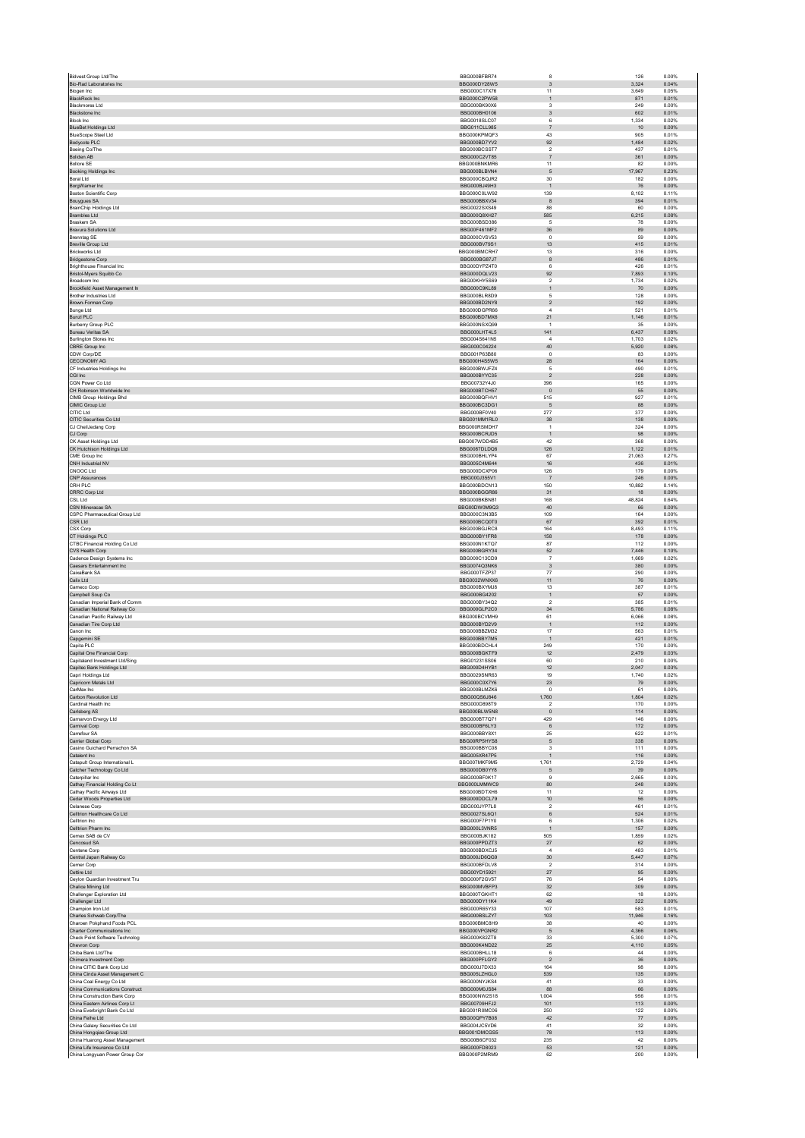| Bio-Rad Laboratories Inc.                                      | BBG000BFBR74                        | 8                                       | 126                 | 0.00%          |
|----------------------------------------------------------------|-------------------------------------|-----------------------------------------|---------------------|----------------|
| Biogen Inc.                                                    | BBG000DY28W5<br>BBG000C17X76        | 3<br>11                                 | 3.324<br>3.649      | 0.04%<br>0.05% |
| <b>BlackRock Inc</b>                                           | BBG000C2PW58                        | $\mathbf{1}$                            | 871                 | 0.01%          |
| <b>Blackmores Ltd</b>                                          | BBG000BK90X6                        | $\overline{\mathbf{3}}$                 | 249                 | 0.00%          |
| Blackstone Inc<br><b>Block Inc</b>                             | BBG000BH0106<br>BBG0018SLC07        | $_{3}$<br>6                             | 602<br>1,334        | 0.01%<br>0.02% |
| <b>BlueBet Holdings Ltd</b>                                    | <b>BBG011CLL985</b>                 | $\overline{7}$                          | 10                  | 0.00%          |
| <b>BlueScope Steel Ltd</b>                                     | BBG000KPMQF3                        | 43                                      | 905                 | 0.01%          |
| Bodycote PLC<br>Boeing Co/The                                  | BBG000BD7YV2<br>BBG000BCSST7        | 92<br>$\sqrt{2}$                        | 1,484<br>437        | 0.02%<br>0.01% |
| Boliden AB                                                     | BBG000C2VT85                        | $\overline{7}$                          | 361                 | 0.00%          |
| <b>Bollore SE</b><br>Booking Holdings Inc                      | <b>BBG000BNKMR6</b><br>BBG000BLBVN4 | 11<br>$\sqrt{5}$                        | 82<br>17,967        | 0.00%<br>0.23% |
| Boral Ltd.                                                     | BBG000CBQJR2                        | 30                                      | 182                 | 0.00%          |
| BorgWarner Inc<br><b>Boston Scientific Corp</b>                | BBG000BJ49H3<br>BBG000C0LW92        | $\mathbf{1}$<br>139                     | 76<br>8,102         | 0.00%<br>0.11% |
| Bouygues SA                                                    | BBG000BBXV34                        | 8                                       | 394                 | 0.01%          |
| BrainChip Holdings Ltd                                         | BBG0022SXS49                        | 88                                      | 60                  | 0.00%          |
| <b>Brambles Ltd</b><br>Braskem SA                              | BBG000Q8XH27<br>BBG000BSD386        | 585<br>5                                | 6,215<br>78         | 0.08%<br>0.00% |
| <b>Bravura Solutions Ltd</b>                                   | BBG00F461MF2                        | 36                                      | 89                  | 0.00%          |
| Brenntag SE<br><b>Breville Group Ltd</b>                       | BBG000CVSV53<br>BBG000BV79S1        | $\circ$<br>13                           | 59<br>415           | 0.00%<br>0.01% |
| Rrickworks Ltd.                                                | BBG000BMCRH7                        | 13                                      | 316                 | 0.00%          |
| <b>Bridgestone Corp</b><br>Brighthouse Financial Inc.          | BBG000BG87J7                        | $^{\rm 8}$                              | 486                 | 0.01%          |
| Bristol-Myers Squibb Co                                        | BBG00DYPZ4T0<br>BBG000DQLV23        | 6<br>92                                 | 426<br>7.893        | 0.01%<br>0.10% |
| Broadcom Inc                                                   | BBG00KHY5S69                        | $\sqrt{2}$                              | 1,734               | 0.02%          |
| Brookfield Asset Management In<br>Brother Industries Ltd       | BBG000C9KL89<br>BBG000BLR8D9        | $\mathbf{1}$<br>5                       | 70<br>128           | 0.00%<br>0.00% |
| Brown-Forman Corp                                              | BBG000BD2NY8                        | $\sqrt{2}$                              | 192                 | 0.00%          |
| <b>Bunge Ltd</b><br><b>Bunzl PLC</b>                           | BBG000DGPR66<br>BBG000BD7MX6        | $\overline{4}$<br>21                    | 521<br>1,146        | 0.01%<br>0.01% |
| Burberry Group PLC                                             | BBG000NSXQ99                        | $\overline{1}$                          | 35                  | 0.00%          |
| Bureau Veritas SA                                              | BBG000LHT4L5                        | 141                                     | 6,437               | 0.08%          |
| <b>Burlington Stores Inc.</b><br>CBRE Group Inc                | BBG004S641N5<br>BBG000C04224        | $\overline{a}$<br>40                    | 1,703<br>5.920      | 0.02%<br>0.08% |
| CDW Corp/DE                                                    | BBG001P63B80                        | $\pmb{0}$                               | 83                  | 0.00%          |
| CECONOMY AG<br>CF Industries Holdings Inc                      | BBG000H4S5W5<br>BBG000BWJFZ4        | 28<br>5                                 | 164<br>490          | 0.00%<br>0.01% |
| CGI Inc                                                        | BBG000BYYC35                        | $\sqrt{2}$                              | 228                 | 0.00%          |
| CGN Power Co Ltd                                               | BBG00732Y4J0                        | 396                                     | 165                 | 0.00%          |
| CH Robinson Worldwide Inc<br>CIMB Group Holdings Bhd           | BBG000BTCH57<br>BBG000BQFHV1        | $\mathbb O$<br>515                      | 55<br>927           | 0.00%<br>0.01% |
| CIMIC Group Ltd                                                | BBG000BC3DG1                        | $\sqrt{5}$                              | 88                  | 0.00%          |
| CITIC Ltd<br>CITIC Securities Co Ltd                           | BBG000BF0V40<br>BBG001MM1RL0        | 277<br>38                               | 377<br>138          | 0.00%<br>0.00% |
| CJ CheilJedang Corp                                            | BBG000RSMDH7                        | $\,$ 1 $\,$                             | 324                 | 0.00%          |
| CJ Corp                                                        | BBG000BCRJD5                        | $\mathbf{1}$                            | 98                  | 0.00%          |
| CK Asset Holdings Ltd<br>CK Hutchison Holdings Ltd             | BBG007WDD4B5<br>BBG0087DLDQ6        | 42<br>126                               | 368<br>1,122        | 0.00%<br>0.01% |
| CME Group Inc.                                                 | BBG000BHLYP4                        | 67                                      | 21.063              | 0.27%          |
| CNH Industrial NV<br>CNOOC Ltd                                 | BBG005C4M644<br>BBG000DCXP06        | 16<br>126                               | 436<br>179          | 0.01%<br>0.00% |
| <b>CNP Assurances</b>                                          | BBG000J355V1                        | $\overline{7}$                          | 246                 | 0.00%          |
| CRH PLC                                                        | BBG000BDCN13                        | 150                                     | 10,882              | 0.14%          |
| CRRC Corp Ltd<br>CSL Ltd                                       | BBG000BGGR86<br>BBG000BKBN81        | 31<br>168                               | 18<br>48,824        | 0.00%<br>0.64% |
| CSN Mineracao SA                                               | BBG00DW0M9Q3                        | 40                                      | 66                  | 0.00%          |
| CSPC Pharmaceutical Group Ltd<br>CSR Ltd                       | BBG000C3N3B5<br>BBG000BCQ0T0        | 109<br>67                               | 164<br>392          | 0.00%<br>0.01% |
| CSX Corp                                                       | BBG000BGJRC8                        | 164                                     | 8.493               | 0.11%          |
| CT Holdings PLC                                                | BBG000BY1FR8                        | 158                                     | 178                 | 0.00%          |
| CTBC Financial Holding Co Ltd<br>CVS Health Corp               | BBG000N1KTQ7<br>BBG000BGRY34        | 87<br>52                                | 112<br>7,446        | 0.00%<br>0.10% |
| Cadence Design Systems Inc                                     | BBG000C13CD9                        | $\overline{7}$                          | 1,669               | 0.02%          |
| Caesars Entertainment Inc.                                     | BBG0074Q3NK6                        | 3                                       | 380                 | 0.00%<br>0.00% |
|                                                                |                                     |                                         |                     |                |
| CaixaBank SA<br>Calix Ltd                                      | BBG000TFZP37<br>BBG0032WNXX6        | 77                                      | 290                 | 0.00%          |
| Cameco Corp                                                    | BBG000BXYMJ8                        | $11$<br>13                              | 76<br>387           | 0.01%          |
| Campbell Soup Co                                               | BBG000BG4202                        | $\,$ 1 $\,$                             | 57                  | 0.00%          |
| Canadian Imperial Bank of Comm<br>Canadian National Railway Co | BBG000BY34Q2<br>BBG000GLP2C0        | $\overline{2}$<br>34                    | 385<br>5,786        | 0.01%<br>0.08% |
| Canadian Pacific Railway Ltd                                   | BBG000BCVMH9                        | 61                                      | 6,066               | 0.08%          |
| Canadian Tire Corp Ltd<br>Canon Inc                            | BBG000BYD2V9<br>BBG000BBZM32        | $\,$ 1 $\,$<br>17                       | 112<br>563          | 0.00%<br>0.01% |
| Capgemini SE                                                   | BBG000BBY7M5                        | $\overline{1}$                          | 421                 | 0.01%          |
| Capita PLC                                                     | BBG000BDCHL4                        | 249                                     | 170                 | 0.00%          |
| Capital One Financial Corp<br>Capitaland Investment Ltd/Sing   | BBG000BGKTF9<br>BBG01231SS06        | 12<br>60                                | 2,479<br>210        | 0.03%<br>0.00% |
| Capitec Bank Holdings Ltd                                      | BBG000D4HYB1                        | 12                                      | 2,047               | 0.03%          |
| Capri Holdings Ltd<br>Capricorn Metals Ltd                     | BBG0029SNR63<br>BBG000C0X7Y6        | 19<br>23                                | 1.740<br>${\bf 79}$ | 0.02%<br>0.00% |
| CarMax Inc                                                     | BBG000BLMZK6                        | $\mathbf{0}$                            | 61                  | 0.00%          |
| Carbon Revolution Ltd                                          | BBG00QS6J846                        | 1,760<br>$\overline{2}$                 | 1,804               | 0.02%          |
| Cardinal Health Inc<br>Carlsberg AS                            | BBG000D898T9<br>BBG000BLW5N8        | $\circ$                                 | 170<br>114          | 0.00%<br>0.00% |
| Carnarvon Energy Ltd                                           | BBG000BT7Q71                        | 429                                     | 146                 | 0.00%          |
| Carnival Corp<br>Carrefour SA                                  | BBG000BF6LY3<br>BBG000BBY8X1        | 6<br>25                                 | 172<br>622          | 0.00%<br>0.01% |
| Carrier Global Corp                                            | BBG00RP5HYS8                        | $\sqrt{5}$                              | 338                 | 0.00%          |
| Casino Guichard Perrachon SA<br>Catalent Inc                   | BBG000BBYC08<br>BBG005XR47P5        | $\overline{\mathbf{3}}$<br>$\mathbf{1}$ | 111<br>116          | 0.00%<br>0.00% |
| Catapult Group International L                                 | BBG007MKF9M5                        | 1,761                                   | 2,729               | 0.04%          |
| Catcher Technology Co Ltd<br>Caterpillar Inc                   | BBG000DB0YY8<br>BBG000BF0K17        | 5<br>$\overline{9}$                     | 39<br>2,665         | 0.00%<br>0.03% |
| Cathay Financial Holding Co Lt                                 | BBG000LMMWC9                        | 80                                      | 248                 | 0.00%          |
| Cathay Pacific Airways Ltd                                     | BBG000BDTXH6<br>BBG000DDCL79        | 11                                      | 12                  | 0.00%          |
| Cedar Woods Properties Ltd<br>Celanese Corp                    | BBG000JYP7L8                        | $10$<br>$\overline{2}$                  | 56<br>461           | 0.00%<br>0.01% |
| Celltrion Healthcare Co Ltd                                    | BBG0027SL6Q1                        | $\,6\,$                                 | 524                 | 0.01%          |
| Celltrion Inc.<br>Celltrion Pharm Inc                          | BBG000F7P1Y0<br>BBG000L3VNR5        | 6<br>$\mathbf{1}$                       | 1.306<br>157        | 0.02%<br>0.00% |
| Cemex SAB de CV                                                | <b>BBG000BJK182</b>                 | 505                                     | 1,859               | 0.02%          |
| Cencosud SA                                                    | BBG000PPDZT3                        | 27<br>$\overline{4}$                    | 62                  | 0.00%          |
| Centene Corp<br>Central Japan Railway Co                       | BBG000BDXCJ5<br>BBG000JD6QG9        | 30                                      | 483<br>5.447        | 0.01%<br>0.07% |
| Cerner Corp                                                    | BBG000BFDLV8                        | $\overline{2}$                          | 314                 | 0.00%          |
| Cettire Ltd<br>Cevion Guardian Investment Tru                  | BBG00YD15921<br>BBG000F2GV57        | 27<br>76                                | 95<br>54            | 0.00%<br>0.00% |
| Chalice Mining Ltd                                             | BBG000MVBFP3                        | 32                                      | 309                 | 0.00%          |
| Challenger Exploration Ltd                                     | BBG000TGKHT1                        | 62                                      | 18                  | 0.00%          |
| Challenger Ltd<br>Champion Iron Ltd                            | BBG000DY11K4<br>BBG000R65Y33        | 49<br>107                               | 322<br>583          | 0.00%<br>0.01% |
| Charles Schwab Corp/The                                        | BBG000BSLZY7                        | 103                                     | 11,946              | 0.16%          |
| Charoen Pokphand Foods PCL<br>Charter Communications Inc.      | BBG000BMC8H9<br>BBG000VPGNR2        | 38<br>5                                 | 40<br>4.366         | 0.00%<br>0.06% |
| Check Point Software Technolog                                 | BBG000K82ZT8                        | 33                                      | 5,300               | 0.07%          |
| Chevron Corp<br>Chiba Bank Ltd/The                             | BBG000K4ND22<br>BBG000BHLL18        | 25<br>6                                 | 4,110<br>44         | 0.05%<br>0.00% |
| Chimera Investment Corp                                        | BBG000PFLGY2                        | $\overline{2}$                          | $36\,$              | 0.00%          |
| China CITIC Bank Corp Ltd                                      | BBG000J7DX33                        | 164                                     | 98                  | 0.00%          |
| China Cinda Asset Management C<br>China Coal Energy Co Ltd     | BBG005LZHGL0<br>BBG000NYJKS4        | 539<br>41                               | 135<br>33           | 0.00%<br>0.00% |
| China Communications Construct                                 | BBG000M0JS84                        | 88                                      | 66                  | 0.00%          |
| China Construction Bank Corp                                   | BBG000NW2S18                        | 1,004                                   | 956                 | 0.01%          |
| China Eastern Airlines Corp Lt<br>China Everbright Bank Co Ltd | BBG00709HFJ2<br>BBG001R0MC06        | 101<br>250                              | 113<br>122          | 0.00%<br>0.00% |
| China Feihe Ltd                                                | BBG00QPY7B08                        | 42                                      | 77                  | 0.00%          |
| China Galaxy Securities Co Ltd<br>China Hongqiao Group Ltd     | BBG004JC5VD6<br>BBG001DMCGS5        | 41<br>78                                | 32<br>113           | 0.00%<br>0.00% |
| China Huarong Asset Management                                 | BBG00B6CF032                        | 235                                     | 42                  | 0.00%          |
| China Life Insurance Co Ltd<br>China Longyuan Power Group Cor  | BBG000FD8023<br>BBG000P2MRM9        | 53<br>62                                | 121<br>200          | 0.00%<br>0.00% |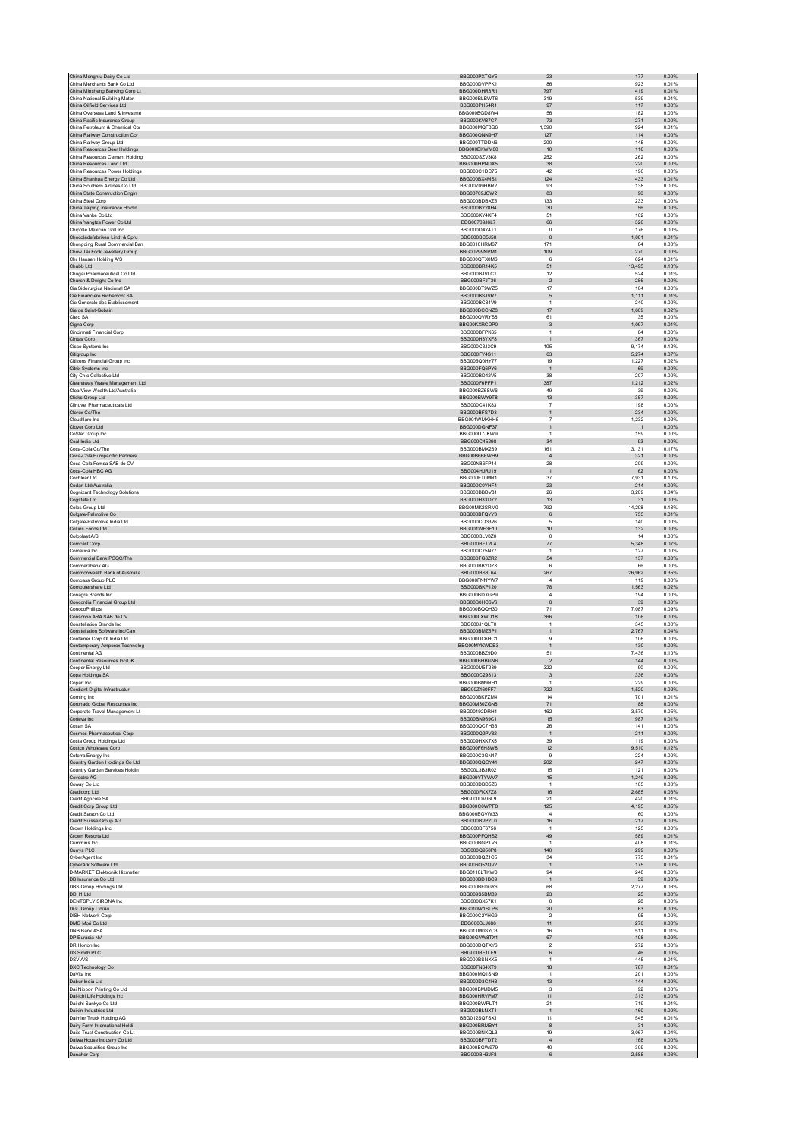| China Mengniu Dairy Co Ltd                                      | BBG000PXTGY5                  | 23                         | 177            | 0.00%          |
|-----------------------------------------------------------------|-------------------------------|----------------------------|----------------|----------------|
| China Merchants Bank Co Ltd                                     | BBG000DVPPK1                  | 86                         | 923            | 0.01%          |
| China Minsheng Banking Corp Lt                                  | BBG000DHR8R1                  | 797                        | 419            | 0.01%          |
| China National Building Materi                                  | BBG000BLBWT6                  | 319                        | 539            | 0.01%          |
| China Oilfield Services Ltd                                     | BBG000PH54R1                  | $97\,$                     | 117            | 0.00%          |
| China Overseas Land & Investme<br>China Pacific Insurance Group | BBG000BGD8W4                  | 56                         | 182            | 0.00%          |
| China Petroleum & Chemical Cor                                  | BBG000KVB7C7<br>BBG000MQF8G6  | 73<br>1,390                | 271<br>924     | 0.00%<br>0.01% |
| China Railway Construction Cor                                  | BBG000QNN9H7                  | 127                        | 114            | 0.00%          |
| China Railway Group Ltd                                         | BBG000TTDDN6                  | 200                        | 145            | 0.00%          |
| China Resources Beer Holdings                                   | BBG000BKWM80                  | 10                         | 116            | 0.00%          |
| China Resources Cement Holding                                  | BBG000SZV3K8                  | 252                        | 262            | 0.00%          |
| China Resources Land Ltd                                        | BBG000HPNDX5                  | $38\,$                     | 220            | 0.00%          |
| China Resources Power Holdings                                  | BBG000C1DC75                  | 42                         | 196            | 0.00%          |
| China Shenhua Energy Co Ltd                                     | BBG000BX4MS1                  | 124                        | 433            | 0.01%          |
| China Southern Airlines Co Ltd                                  | BBG00709HBR2                  | 93                         | 138            | 0.00%          |
| China State Construction Engin                                  | BBG00709JCW2                  | 83                         | 90             | 0.00%          |
| China Steel Corp                                                | BBG000BDBXZ5                  | 133                        | 233            | 0.00%          |
| China Taiping Insurance Holdin                                  | BBG000BY28H4                  | 30                         | 56             | 0.00%          |
| China Vanke Co Ltd<br>China Yangtze Power Co Ltd                | BBG006KY4KF4<br>BBG00709J6L7  | 51<br>66                   | 162<br>326     | 0.00%<br>0.00% |
| Chipotle Mexican Grill Inc                                      | BBG000QX74T1                  | $\,$ 0 $\,$                | 176            | 0.00%          |
| Chocoladefabriken Lindt & Spru                                  | BBG000BC5J58                  | $\mathsf{O}\xspace$        | 1,081          | 0.01%          |
| Chongging Rural Commercial Ban                                  | <b>BBG0018HRM67</b>           | 171                        | 84             | 0.00%          |
| Chow Tai Fook Jewellery Group                                   | BBG00299NPM1                  | 109                        | 270            | 0.00%          |
| Chr Hansen Holding A/S                                          | BBG000QTX0M6                  | $6 \,$                     | 624            | 0.01%          |
| Chubb Ltd                                                       | BBG000BR14K5                  | 51                         | 13.495         | 0.18%          |
| Chugai Pharmaceutical Co Ltd                                    | BBG000BJVLC1                  | 12                         | 524            | 0.01%          |
| Church & Dwight Co Inc                                          | BBG000BFJT36                  | $\overline{2}$             | 286            | 0.00%          |
| Cia Siderurgica Nacional SA                                     | BBG000BT9WZ5                  | 17                         | 104            | 0.00%          |
| Cie Financiere Richemont SA                                     | BBG000BSJVR7                  | 5                          | 1,111          | 0.01%          |
| Cie Generale des Etablissement                                  | BBG000BC84V9                  | $\overline{1}$             | 240            | 0.00%          |
| Cie de Saint-Gobain<br>Cielo SA                                 | BBG000BCCNZ8<br>BBG000QVRYS8  | 17<br>61                   | 1,609          | 0.02%<br>0.00% |
|                                                                 | BBG00KXRCDP0                  |                            | 35             | 0.01%          |
| Cigna Corp<br>Cincinnati Financial Corp                         | BBG000BFPK65                  | $_{\rm 3}$<br>$\mathbf{1}$ | 1,097<br>84    | 0.00%          |
| Cintas Corp                                                     | BBG000H3YXF8                  | $\overline{1}$             | 367            | 0.00%          |
| Cisco Systems Inc.                                              | BBG000C3J3C9                  | 105                        | 9,174          | 0.12%          |
| Citigroup Inc                                                   | BBG000FY4S11                  | 63                         | 5.274          | 0.07%          |
| Citizens Financial Group Inc                                    | BBG006Q0HY77                  | 19                         | 1,227          | 0.02%          |
| Citrix Systems Inc                                              | BBG000FQ6PY6                  | $\mathbf{1}$               | 69             | 0.00%          |
| City Chic Collective Ltd                                        | BBG000BD42V5                  | 38                         | 207            | 0.00%          |
| Cleanaway Waste Management Ltd                                  | BBG000F6PFP1                  | 387                        | 1,212          | 0.02%          |
| ClearView Wealth I td/Australia                                 | BBG000BZ6SW6                  | 49                         | 39             | 0.00%          |
| Clicks Group Ltd                                                | BBG000BWY9T8                  | 13                         | 357            | 0.00%          |
| Clinuvel Pharmaceuticals Ltd                                    | BBG000C41K83                  | $\overline{7}$             | 198            | 0.00%          |
| Clorox Co/The                                                   | BBG000BFS7D3                  | $\mathbf{1}$               | 234            | 0.00%          |
| Cloudflare Inc                                                  | BBG001WMKHH5                  | $\overline{7}$             | 1,232          | 0.02%          |
| Clover Corp Ltd                                                 | BBG000DGNE37                  | $\mathbf{1}$               | $\overline{1}$ | 0.00%          |
| CoStar Group Inc                                                | BBG000D7JKW9                  | $\mathbf{1}$               | 159            | 0.00%          |
| Coal India Ltd                                                  | BBG000C45298                  | 34                         | 93             | 0.00%          |
| Coca-Cola Co/The                                                | BBG000BMX289                  | 161                        | 13.131         | 0.17%          |
| Coca-Cola Europacific Partners<br>Coca-Cola Femsa SAB de CV     | BBG00B6BFWH9<br>BBG00N86FP14  | $\overline{4}$<br>28       | 321<br>209     | 0.00%<br>0.00% |
| Coca-Cola HBC AG                                                | BBG004HJRJ19                  | $\overline{1}$             | 62             | 0.00%          |
| Cochlear Ltd.                                                   | BBG000FT0MR1                  | 37                         | 7,931          | 0.10%          |
| Codan Ltd/Australia                                             | BBG000C0YHF4                  | 23                         | 214            | 0.00%          |
| Cognizant Technology Solutions                                  | BBG000BBDV81                  | 26                         | 3,209          | 0.04%          |
| Cogstate Ltd                                                    | BBG000H3XD72                  | 13                         | 31             | 0.00%          |
| Coles Group Ltd                                                 | BBG00MK2SRM0                  | 792                        | 14,208         | 0.18%          |
| Colgate-Palmolive Co                                            | BBG000BFQYY3                  | $\,6\,$                    | 755            | 0.01%          |
| Colgate-Palmolive India Ltd                                     | BBG000CQ3326                  | 5                          | 140            | 0.00%          |
| Collins Foods Ltd                                               | BBG001WF3F10                  | 10 <sup>10</sup>           | 132            | 0.00%          |
| Coloplast A/S                                                   | BBG000BLV8Z0                  | $\Omega$                   | 14             | 0.00%          |
| Comcast Corp                                                    | BBG000BFT2L4                  |                            |                | 0.07%          |
|                                                                 |                               | 77                         | 5,348          |                |
| Comerica Inc.                                                   | BBG000C75N77                  | $\overline{1}$             | 127            | 0.00%          |
| Commercial Bank PSQC/The                                        | BBG000FG8ZR2                  | 54                         | 137            | 0.00%          |
| Commerzbank AG                                                  | BBG000BBYDZ8                  | 6                          | 66             | 0.00%          |
| Commonwealth Bank of Australia                                  | BBG000BS8L64                  | 267                        | 26,962         | 0.35%          |
| Compass Group PLC                                               | BBG000FNNYW7                  | $\overline{4}$             | 119            | 0.00%          |
| Computershare Ltd                                               | BBG000BKP120                  | 78                         | 1,563          | 0.02%          |
| Conagra Brands Inc.                                             | BBG000BDXGP9                  | $\overline{4}$             | 194            | 0.00%          |
| Concordia Financial Group Ltd                                   | BBG00B0HC6V6                  | $^{\rm 8}$                 | $39\,$         | 0.00%          |
| <b>ConocoPhillips</b>                                           | BBG000BQQH30                  | 71                         | 7.087          | 0.09%          |
| Consorcio ARA SAB de CV<br><b>Constellation Brands Inc.</b>     | BBG000LXWD18<br>BBG000.I1OLT0 | 366<br>$\overline{1}$      | 106<br>345     | 0.00%<br>0.00% |
| Constellation Software Inc/Can                                  | BBG000BM75P1                  | $\mathbf{1}$               |                |                |
|                                                                 |                               |                            | 2,767<br>106   | 0.04%          |
| Container Corp Of India Ltd                                     | BBG000DC6HC1<br>BBG00MYKWDB3  | 9<br>$\mathbf{1}$          | 130            | 0.00%<br>0.00% |
| Contemporary Amperex Technolog<br>Continental AG                | BBG000BBZ9D0                  | 51                         | 7,436          | 0.10%          |
| Continental Resources Inc/OK                                    | BBG000BHBGN6                  | $\overline{2}$             | 144            | 0.00%          |
| Cooper Energy Ltd                                               | BBG000M5T289                  | 322                        | 90             | 0.00%          |
| Copa Holdings SA                                                | BBG000C29813                  | 3                          | 336            | 0.00%          |
| Copart Inc                                                      | BBG000BM9RH1                  |                            | 229            | 0.00%          |
| Cordiant Digital Infrastructur                                  | BBG00Z160FF7                  | 722                        | 1,520          | 0.02%          |
| Corning Inc                                                     | BBG000BKFZM4                  | 14                         | 701            | 0.01%          |
| Coronado Global Resources Inc.                                  | BBG00M30ZGN8                  | 71                         | 88             | 0.00%          |
| Corporate Travel Management Lt                                  | BBG00192DRH1                  | 162                        | 3,570          | 0.05%          |
| Corteva Inc                                                     | BBG00BN969C1                  | 15                         | 987            | 0.01%          |
| Cosan SA                                                        | BBG000QC7H36                  | 26                         | 141            | 0.00%          |
| Cosmos Pharmaceutical Corp                                      | BBG000Q2PV82<br>BBG009HXK7X5  | $\overline{1}$<br>39       | 211<br>119     | 0.00%<br>0.00% |
| Costa Group Holdings Ltd                                        | BBG000F6H8W8                  | 12                         | 9,510          | 0.12%          |
| Costco Wholesale Corp                                           | BBG000C3GN47                  | 9                          | 224            | 0.00%          |
| Coterra Energy Inc<br>Country Garden Holdings Co Ltd            | BBG000QQCY41                  | 202                        | 247            | 0.00%          |
| Country Garden Services Holdin                                  | BBG00L3B3R02                  | 15                         | 121            | 0.00%          |
| Covestro AG                                                     | BBG009YTYWV7                  | 15                         | 1.249          | 0.02%          |
| Coway Co Ltd                                                    | BBG000DBD5Z6                  | $\mathbf{1}$               | 105            | 0.00%          |
| Credicorp Ltd                                                   | BBG000FKX7Z8                  | 16                         | 2,685          | 0.03%          |
| Credit Agricole SA                                              | BBG000DVJ6L9                  | 21                         | 420            | 0.01%          |
| Credit Corp Group Ltd                                           | BBG000C0WPF8                  | 125                        | 4,195          | 0.05%          |
| Credit Saison Co Ltd                                            | BBG000BGVW33                  | $\overline{4}$             | 60             | 0.00%          |
| Credit Suisse Group AG                                          | BBG000BVPZL0                  | 16                         | 217            | 0.00%          |
| Crown Holdings Inc                                              | BBG000BF6756                  | $\overline{1}$             | 125            | 0.00%          |
| Crown Resorts Ltd                                               | BBG000PFQHS2                  | 49                         | 589            | 0.01%          |
| Cummins Inc                                                     | BBG000BGPTV6<br>BBG000Q950P8  | $\overline{1}$             | 408            | 0.01%          |
| Currys PLC                                                      | BBG000BQZ1C5                  | 140<br>34                  | 299<br>775     | 0.00%          |
| CyberAgent Inc                                                  | BBG006Q52QV2                  | $\mathbf{1}$               | 175            | 0.01%<br>0.00% |
| CyberArk Software Ltd<br>D-MARKET Elektronik Hizmetler          | BBG0118LTKW0                  | 94                         | 248            | 0.00%          |
| DB Insurance Co Ltd                                             | BBG000BD1BC9                  | $\mathbf{1}$               | 59             | 0.00%          |
| <b>DBS Group Holdings Ltd</b>                                   | BBG000BFDGY6                  | 68                         | 2.277          | 0.03%          |
| DDH1 Ltd                                                        | BBG009S5BM89                  | 23                         | 25             | 0.00%          |
| DENTSPLY SIRONA Inc                                             | BBG000BX57K1                  | $^{\circ}$                 | 28             | 0.00%          |
| DGL Group Ltd/Au                                                | BBG010W1SLP6                  | $20\,$                     | 63             | 0.00%          |
| <b>DISH Network Corp</b>                                        | BBG000C2YHG9                  | $\sqrt{2}$                 | 95             | 0.00%          |
| DMG Mori Co Ltd                                                 | BBG000BLJ688                  | 11                         | 270            | 0.00%          |
| DNB Bank ASA                                                    | BBG011M0SYC3                  | 16                         | 511            | 0.01%          |
| DP Eurasia NV                                                   | BBG00GVW8TX1                  | 67                         | 108            | 0.00%          |
| DR Horton Inc                                                   | BBG000DQTXY6                  | $\overline{2}$             | 272            | 0.00%          |
| DS Smith PLC                                                    | BBG000BF1LF9                  | 6                          | 46             | 0.00%          |
| DSV A/S                                                         | BBG000BSNXK5                  | 1                          | 445            | 0.01%          |
| DXC Technology Co                                               | BBG00FN64XT9                  | 18                         | 787            | 0.01%          |
| DaVita Inc.                                                     | BBG000MQ1SN9                  | $\overline{1}$             | 201            | 0.00%          |
| Dabur India Ltd                                                 | BBG000D3C4H8                  | 13                         | 144            | 0.00%          |
| Dai Nippon Printing Co Ltd<br>Dai-ichi Life Holdings Inc        | BBG000BMJDM5<br>BBG000HRVPM7  | $\mathsf 3$<br>11          | 92<br>313      | 0.00%<br>0.00% |
| Daiichi Sankyo Co Ltd                                           | BBG000BWPLT1                  | 21                         | 719            | 0.01%          |
| Daikin Industries Ltd                                           | BBG000BLNXT1                  | $\overline{1}$             | 160            | 0.00%          |
| Daimler Truck Holding AG                                        | BBG012SQ7SX1                  | 11                         | 545            | 0.01%          |
| Dairy Farm International Holdi                                  | BBG000BRMBY1                  | $^{\rm 8}$                 | 31             | 0.00%          |
| Daito Trust Construction Co Lt                                  | BBG000BNKQL3                  | 19                         | 3.067          | 0.04%          |
| Daiwa House Industry Co Ltd                                     | BBG000BFTDT2                  | $\overline{4}$             | 168            | 0.00%          |
| Daiwa Securities Group Inc<br>Danaher Corp                      | BBG000BGW979<br>BBG000BH3JF8  | 40<br>$\,6\,$              | 309<br>2,585   | 0.00%<br>0.03% |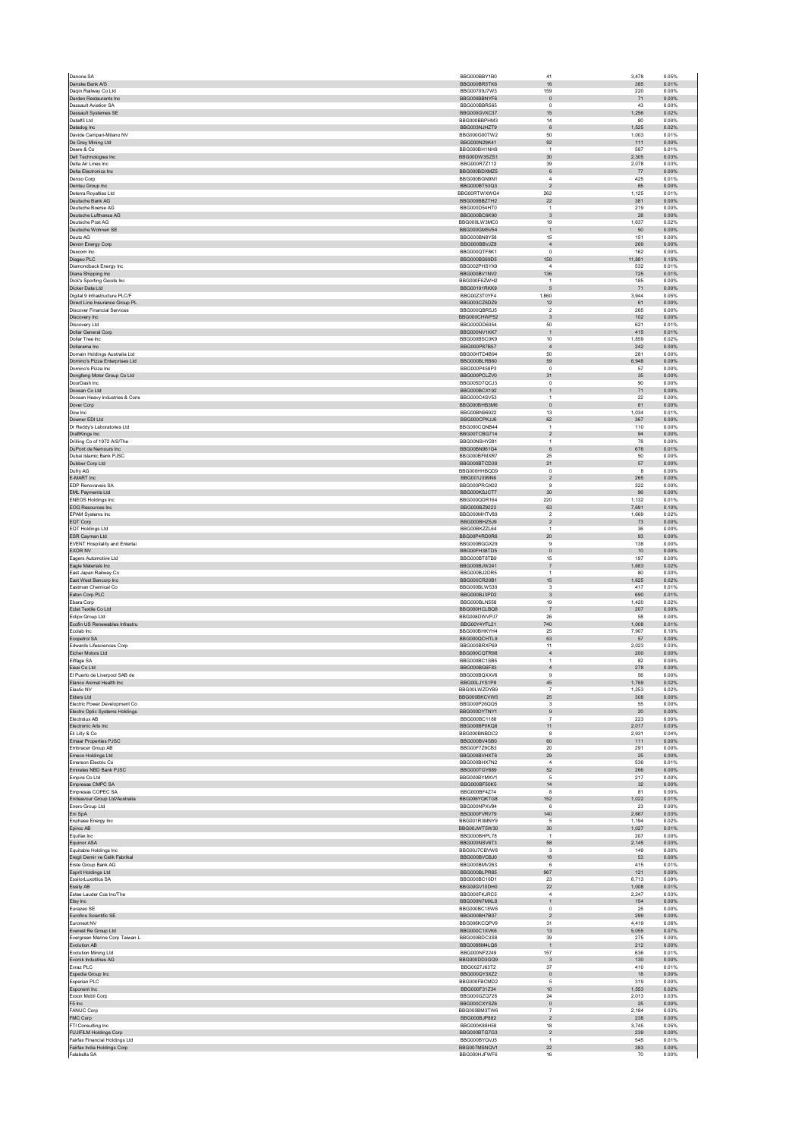| Danone SA                                                     | BBG000BBY1B0                        | 41                               | 3,478            | 0.05%          |
|---------------------------------------------------------------|-------------------------------------|----------------------------------|------------------|----------------|
| Danske Bank A/S                                               | BBG000BR5TK6                        | $16\,$                           | 385              | 0.01%          |
| Dagin Railway Co Ltd                                          | BBG00709.I7W3                       | 159                              | 220              | 0.00%          |
| Darden Restaurants Inc                                        | BBG000BBNYF6                        | $\mathbb O$                      | 71               | 0.00%          |
| Dassault Aviation SA<br><b>Dassault Systemes SE</b>           | BBG000BBR565<br>BBG000GVXC37        | $\,$ 0 $\,$                      | 43<br>1,256      | 0.00%<br>0.02% |
| Data#3 Ltd                                                    | BBG000BBPHM3                        | 15<br>14                         | 80               | 0.00%          |
| Datadog Inc                                                   | BBG003NJHZT9                        | $\,6\,$                          | 1,525            | 0.02%          |
| Davide Campari-Milano NV                                      | BBG000G00TW2                        | 50                               | 1,003            | 0.01%          |
| De Grey Mining Ltd                                            | BBG000N29K41                        | 92                               | 111              | 0.00%          |
| Deere & Co.                                                   | BBG000BH1NH9                        | $\overline{1}$                   | 587              | 0.01%          |
| Dell Technologies Inc                                         | BBG00DW3SZS1                        | 30 <sub>2</sub>                  | 2,305            | 0.03%          |
| Delta Air Lines Inc.<br>Delta Electronics Inc.                | BBG000R7Z112                        | 39                               | 2,078            | 0.03%          |
| Denso Corp                                                    | BBG000BDXMZ5<br>BBG000BGN9N1        | $\,6\,$<br>$\boldsymbol{4}$      | $77\,$<br>425    | 0.00%<br>0.01% |
| Dentsu Group Inc.                                             | BBG000BT53Q3                        | $\overline{2}$                   | 85               | 0.00%          |
| Deterra Royalties Ltd                                         | BBG00RTWXWG4                        | 262                              | 1,125            | 0.01%          |
| Deutsche Bank AG                                              | BBG000BBZTH2                        | 22                               | 381              | 0.00%          |
| Deutsche Boerse AG                                            | BBG000D54HT0                        | $\mathbf{1}$                     | 219              | 0.00%          |
| Deutsche Lufthansa AG                                         | BBG000BC6K90                        | $\overline{\mathbf{3}}$          | 28               | 0.00%          |
| Deutsche Post AG                                              | BBG000LW3MC0                        | 19                               | 1.637            | 0.02%          |
| Deutsche Wohnen SE<br>Deutz AG                                | BBG000GM5V54<br>BBG000BN8Y58        | $\mathbf{1}$<br>15               | $50\,$<br>151    | 0.00%<br>0.00% |
| Devon Energy Corp                                             | BBG000BBVJZ8                        | $\sqrt{4}$                       | 269              | 0.00%          |
| Dexcom Inc                                                    | BBG000QTF8K1                        | $\,$ 0 $\,$                      | 162              | 0.00%          |
| Diageo PLC                                                    | BBG000BS69D5                        | 158                              | 11,881           | 0.15%          |
| Diamondback Energy Inc                                        | BBG002PHSYX9                        | $\overline{4}$                   | 532              | 0.01%          |
| Diana Shipping Inc                                            | BBG000BV1NV2                        | 136                              | 725              | 0.01%          |
| Dick's Sporting Goods Inc.                                    | BBG000F6ZWH2                        | $\mathbf{1}$                     | 185              | 0.00%          |
| Dicker Data Ltd<br>Digital 9 Infrastructure PLC/F             | <b>BBG00191RKK9</b><br>BBG00Z3T0YF4 | 5<br>1.860                       | 71<br>3.944      | 0.00%<br>0.05% |
| Direct Line Insurance Group PL                                | BBG003CZ6DZ9                        | 12                               | 61               | 0.00%          |
| <b>Discover Financial Services</b>                            | BBG000QBR5J5                        | $\overline{2}$                   | 265              | 0.00%          |
| Discovery Inc                                                 | BBG000CHWP52                        | $\overline{\mathbf{3}}$          | 102              | 0.00%          |
| Discovery Ltd                                                 | BBG000DD6054                        | 50                               | 621              | 0.01%          |
| Dollar General Corp<br>Dollar Tree Inc                        | BBG000NV1KK7                        | $\overline{1}$                   | 415              | 0.01%          |
| Dollarama Inc                                                 | BBG000BSC0K9<br>BBG000P87B57        | 10<br>$\overline{4}$             | 1,859<br>242     | 0.02%<br>0.00% |
| Domain Holdings Australia Ltd                                 | BBG00HTD4B94                        | 50                               | 281              | 0.00%          |
| Domino's Pizza Enterprises Ltd                                | BBG000BLRB60                        | 59                               | 6,948            | 0.09%          |
| Domino's Pizza Inc.                                           | BBG000P458P3                        | $^{\circ}$                       | 57               | 0.00%          |
| Dongfeng Motor Group Co Ltd                                   | BBG000PCLZV0                        | 31                               | $35\,$           | 0.00%          |
| DoorDash Inc.                                                 | BBG005D7QCJ3                        | $\Omega$                         | 90               | 0.00%          |
| Doosan Co Ltd<br>Doosan Heavy Industries & Cons               | BBG000BCX192<br>BBG000C4SV53        | $\mathbf{1}$<br>$\mathbf{1}$     | $71\,$<br>$22\,$ | 0.00%<br>0.00% |
| Dover Corp                                                    | BBG000BHB3M6                        | $\mathbf{0}$                     | 81               | 0.00%          |
| Dow Inc                                                       | BBG00BN96922                        | 13                               | 1,034            | 0.01%          |
| Downer EDI Ltd                                                | BBG000CPKJJ6                        | 62                               | 367              | 0.00%          |
| Dr Reddy's Laboratories Ltd                                   | BBG000CQNB44                        | $\mathbf{1}$                     | 110              | 0.00%          |
| DraftKings Inc                                                | BBG00TCBG714<br>BBG00NSHY281        | $\mathbf{2}$                     | 94               | 0.00%          |
| Drilling Co of 1972 A/S/The<br>DuPont de Nemours Inc          |                                     | $\mathbf{1}$                     | 78               | 0.00%          |
| Dubai Islamic Bank PJSC                                       | BBG00BN961G4<br>BBG000BFMXR7        | $\,6\,$<br>25                    | 676<br>50        | 0.01%<br>0.00% |
| Dubber Corp Ltd                                               | BBG000BTCD38                        | 21                               | $57\,$           | 0.00%          |
| Dufry AG                                                      | BBG000HHBQD9                        | $\,0\,$                          | 8                | 0.00%          |
| E-MART Inc                                                    | BBG001J399N6                        | $\overline{2}$                   | 265              | 0.00%          |
| EDP Renovaveis SA                                             | BBG000PRGX02                        | $\boldsymbol{9}$                 | 322              | 0.00%          |
| EML Payments Ltd                                              | BBG000KSJCT7                        | 30                               | 96               | 0.00%          |
| <b>ENEOS Holdings Inc.</b>                                    | BBG000QDR164                        | 220                              | 1.132            | 0.01%          |
| EOG Resources Inc<br><b>EPAM Systems Inc.</b>                 | BBG000BZ9223<br>BBG000MHTV89        | 63<br>$\overline{2}$             | 7,691<br>1.669   | 0.10%<br>0.02% |
| EQT Corp                                                      | BBG000BHZ5J9                        | $\boldsymbol{2}$                 | $73\,$           | 0.00%          |
| EQT Holdings Ltd                                              | BBG00BKZZL64                        | $\mathbf{1}$                     | 36               | 0.00%          |
| ESR Cayman Ltd                                                | BBG00P4RD0R6                        | 20                               | 93               | 0.00%          |
| <b>EVENT Hospitality and Entertai</b>                         | BBG000BGGX29                        | $\boldsymbol{9}$                 | 138              | 0.00%          |
| <b>EXOR NV</b>                                                | BBG00FH38TD5                        | $\mathbf{0}$                     | 10               | 0.00%          |
| Eagers Automotive Ltd                                         | BBG000BT8TB9<br>BBG000BJW241        | 15                               | 197              | 0.00%          |
| Eagle Materials Inc<br>East Japan Railway Co.                 | BBG000BJ2DR5                        | $\overline{7}$<br>$\overline{1}$ | 1,683<br>80      | 0.02%<br>0.00% |
| East West Bancorp Inc                                         | BBG000CR20B1                        | 15                               | 1,625            | 0.02%          |
| Eastman Chemical Co.                                          | BBG000BLW530                        | 3                                | 417              | 0.01%          |
| Eaton Corp PLC                                                | BBG000BJ3PD2                        | $\ensuremath{\mathsf{3}}$        | 690              | 0.01%          |
| Ebara Corp                                                    | BBG000BLN558                        | 19                               | 1,420            | 0.02%          |
| Eclat Textile Co Ltd                                          | BBG000HCLBQ8                        | $\overline{7}$                   | 207              | 0.00%          |
| Eclipx Group Ltd<br>Ecofin US Renewables Infrastru            | BBG008DWVPJ7<br>BBG00Y4YFL21        | 26<br>740                        | 58<br>1,008      | 0.00%<br>0.01% |
| Ecolab Inc                                                    | BBG000BHKYH4                        | 25                               | 7,907            | 0.10%          |
| Ecopetrol SA                                                  | BBG000QCHTL9                        | 63                               | 57               | 0.00%          |
| Edwards Lifesciences Corp                                     | BBG000BRXP69                        | 11                               | 2.023            | 0.03%          |
| Eicher Motors Ltd                                             | BBG000CQTR98                        | $\sqrt{4}$                       | 200              | 0.00%          |
| Eiffage SA                                                    | BBG000BC1SB5                        | 1                                | 82               | 0.00%<br>0.00% |
| Eisai Co Ltd<br>El Puerto de Liverpool SAB de                 | BBG000BG6F83<br>BBG000BOXXV6        | $\bf{4}$<br>$\mathbf{Q}$         | 278<br>56        | 0.00%          |
| Elanco Animal Health Inc                                      | BBG00LJYS1P8                        | 45                               | 1.769            | 0.02%          |
| Elastic NV                                                    | BBG00LWZDYB9                        | $\scriptstyle{7}$                | 1,253            | 0.02%          |
| Elders Ltd                                                    | BBG000BKCVW5                        | 25                               | 308              | 0.00%          |
| Electric Power Development Co                                 | BBG000P26QQ5                        | 3                                | 55               | 0.00%          |
| Electro Optic Systems Holdings<br>Flectrolux AB               | BBG000DYTNY1                        | $\bf{9}$                         | 20               | 0.00%          |
| Electronic Arts Inc                                           | BBG000BC1188<br>BBG000BP0KQ8        | $\overline{7}$<br>11             | 223<br>2,017     | 0.00%<br>0.03% |
| Eli Lilly & Co                                                | BBG000BNBDC2                        | 8                                | 2.931            | 0.04%          |
| Emaar Properties PJSC                                         | BBG000BV4SB0                        | 60                               | 111              | 0.00%          |
| Embracer Group AB                                             | BBG00F7Z9CB3                        | 20                               | 291              | 0.00%          |
| Emeco Holdings Ltd.                                           | BBG000BVHXT6                        | 29                               | 25               | 0.00%          |
| Emerson Electric Co                                           | BBG000BHX7N2                        | $\sqrt{4}$<br>52                 | 536<br>266       | 0.01%          |
| Emirates NBD Bank PJSC<br>Empire Co Ltd                       | BBG000TGY889<br>BBG000BYMXV1        | 5                                | 217              | 0.00%<br>0.00% |
| Empresas CMPC SA                                              | BBG000BF50K5                        | 14                               | 32               | 0.00%          |
| Empresas COPEC SA                                             | BBG000BF4Z74                        | 8                                | 81               | 0.00%          |
| Endeavour Group Ltd/Australia                                 | BBG006YQKTG8                        | 152                              | 1,022            | 0.01%          |
| Enero Group Ltd                                               | BBG000NPXV94                        | $6\overline{6}$                  | 23               | 0.00%          |
| Eni SpA<br>Enphase Energy Inc.                                | BBG000FVRV79<br>BBG001R3MNY9        | 140<br>-5                        | 2,667<br>1,194   | 0.03%<br>0.02% |
| Fniroc AB                                                     | BBG00JWT5W30                        | 30                               | 1.027            | 0.01%          |
| Equifax Inc                                                   | BBG000BHPL78                        | $\mathbf{1}$                     | 207              | 0.00%          |
| Equinor ASA                                                   | BBG000NSV6T3                        | 58                               | 2,145            | 0.03%          |
| Equitable Holdings Inc                                        | BBG00J7CBVW8                        | $\mathsf 3$                      | 149              | 0.00%          |
| Eregli Demir ve Celik Fabrikal                                | BBG000BVCBJ0                        | 18                               | 53               | 0.00%          |
| Erste Group Bank AG<br>Esprit Holdings Ltd                    | BBG000BMV263<br>BBG000BLPR85        | 6<br>967                         | 415<br>121       | 0.01%<br>0.00% |
| EssilorLuxottica SA                                           | BBG000BC16D1                        | 23                               | 6,713            | 0.09%          |
| Essity AB                                                     | BBG00GV10DH0                        | $22\,$                           | 1,008            | 0.01%          |
| Estee Lauder Cos Inc/The                                      | BBG000FKJRC5                        | $\overline{a}$                   | 2,247            | 0.03%          |
| Etsy Inc                                                      | BBG000N7MXL8                        | 1                                | 154              | 0.00%          |
| Eurazeo SE                                                    | BBG000BC18W6                        | $\,0\,$                          | $25\,$           | 0.00%          |
| Eurofins Scientific SE                                        | BBG000BH7B07                        | $\overline{2}$                   | 299              | 0.00%          |
| Euronext NV<br>Everest Re Group Ltd                           | BBG006KCQPV9<br>BBG000C1XVK6        | 31<br>13                         | 4,419<br>5,055   | 0.06%<br>0.07% |
| Evergreen Marine Corp Taiwan L                                | BBG000BDC3S8                        | 39                               | 275              | 0.00%          |
| Evolution AB                                                  | BBG0088M4LQ6                        | $\overline{1}$                   | 212              | 0.00%          |
| <b>Evolution Mining Ltd</b>                                   | BBG000NF2249                        | 157                              | 636              | 0.01%          |
| Evonik Industries AG                                          | BBG000DD3GQ9                        | $\overline{\mathbf{3}}$          | 130              | 0.00%          |
| Evraz PLC                                                     | BBG0027J63T2                        | 37                               | 410              | 0.01%          |
| Expedia Group Inc<br>Experian PLC                             | BBG000QY3XZ2<br>BBG000FBCMD2        | $\circ$<br>5                     | 18<br>319        | 0.00%<br>0.00% |
| Exponent Inc                                                  | BBG000F31Z34                        | 10                               | 1,553            | 0.02%          |
| Exxon Mobil Corp                                              | BBG000GZQ728                        | $\sqrt{24}$                      | 2,013            | 0.03%          |
| F5 Inc                                                        | BBG000CXYSZ6                        | $\mathbf 0$                      | 25               | 0.00%          |
| <b>FANUC Corp</b>                                             | BBG000BM3TW6                        | 7                                | 2.184            | 0.03%          |
| FMC Corp                                                      | BBG000BJP882                        | $\boldsymbol{2}$                 | 238              | 0.00%          |
| FTI Consulting Inc                                            | BBG000K88H58                        | 18                               | 3,745            | 0.05%          |
| <b>FUJIFILM Holdings Corp</b>                                 |                                     |                                  |                  |                |
|                                                               | BBG000BTG7G3                        | $\sqrt{2}$                       | 239              | 0.00%          |
| Fairfax Financial Holdings Ltd<br>Fairfax India Holdings Corp | BBG000BYQVJ5<br>BBG007MSNQV1        | $\mathbf{1}$<br>22               | 545<br>383       | 0.01%<br>0.00% |
| Falabella SA                                                  | BBG000HJFWF6                        | 16                               | 70               | 0.00%          |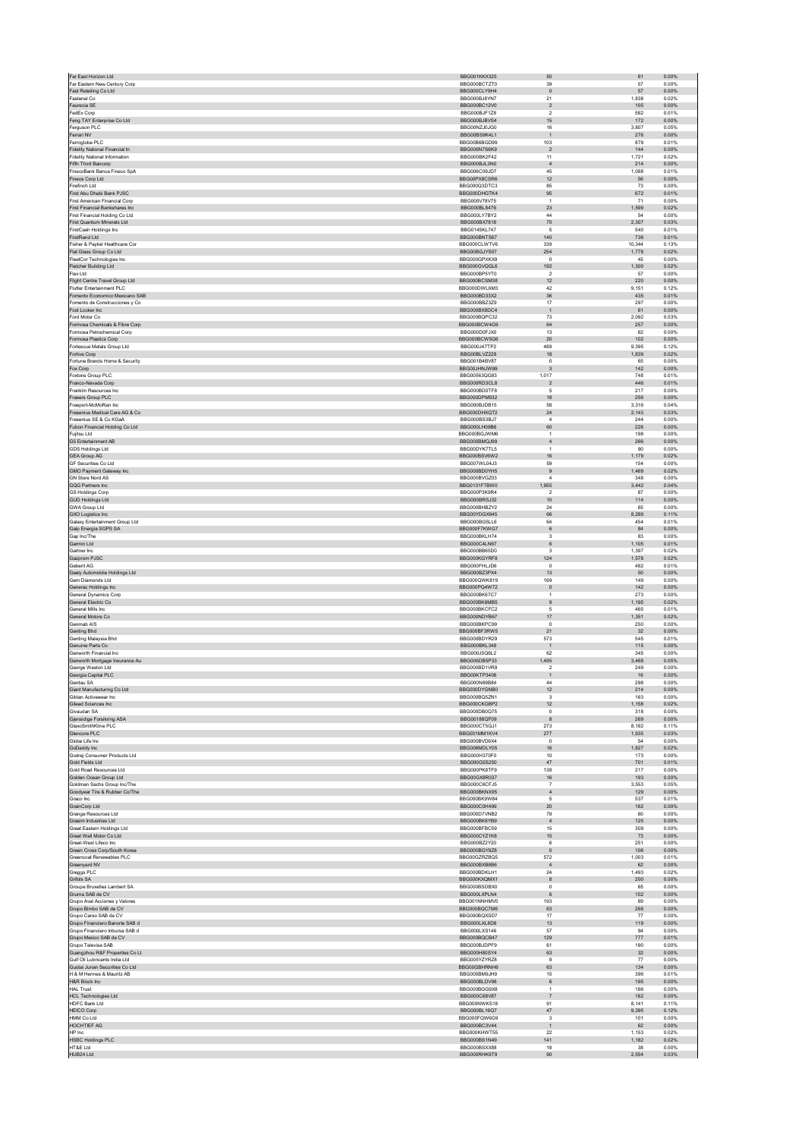| Far Eastern New Century Corp                                  | <b>BBG001KKX325</b>                 |                              |                 | 0.00%          |
|---------------------------------------------------------------|-------------------------------------|------------------------------|-----------------|----------------|
|                                                               | BBG000BCTZT0                        | 39                           | 57              | 0.00%          |
| Fast Retailing Co Ltd<br>Fastenal Co.                         | BBG000CLY9H4<br>BBG000BJ8YN7        | $\pmb{0}$<br>21              | $57\,$<br>1,838 | 0.00%<br>0.02% |
| Faurecia SE                                                   | BBG000BC12V0                        | $\overline{2}$               | 105             | 0.00%          |
| FedEx Corp                                                    | BBG000BJF1Z8                        | $\overline{2}$               | 582             | 0.01%          |
| Feng TAY Enterprise Co Ltd                                    | BBG000BJBVS4                        | 15                           | 172             | 0.00%          |
| Ferguson PLC<br>Ferrari NV                                    | BBG00NZJ0JG0<br>BBG00BS9K4L1        | 16                           | 3,807<br>276    | 0.05%<br>0.00% |
| Ferroglobe PLC                                                | BBG00B6BGD99                        | $\mathbf{1}$<br>103          | 879             | 0.01%          |
| Fidelity National Financial In                                | BBG006N7S6K9                        | $\overline{2}$               | 144             | 0.00%          |
| <b>Fidelity National Information</b>                          | BBG000BK2F42                        | 11                           | 1.721           | 0.02%          |
| Fifth Third Bancorp                                           | BBG000BJL3N0                        | $\overline{4}$               | 214             | 0.00%          |
| FinecoBank Banca Fineco SpA<br>Fineos Corp Ltd                | BBG006C09JD7<br>BBG00PX8CSR6        | 45<br>12                     | 1,088<br>56     | 0.01%<br>0.00% |
| Firefinch Ltd                                                 | BBG000Q3DTC3                        | 85                           | 73              | 0.00%          |
| First Abu Dhabi Bank PJSC                                     | BBG000DHGTK4                        | 95                           | 672             | 0.01%          |
| First American Financial Corp                                 | BBG000V78V75                        | $\overline{1}$               | 71              | 0.00%          |
| First Financial Bankshares Inc                                | BBG000BL8476                        | 23                           | 1,599           | 0.02%          |
| First Financial Holding Co Ltd.<br>First Quantum Minerals Ltd | <b>BBG000LY7BY2</b><br>BBG000BX7818 | 44<br>70                     | 54<br>2,307     | 0.00%<br>0.03% |
| FirstCash Holdings Inc.                                       | <b>BBG0145KL747</b>                 | 5                            | 540             | 0.01%          |
| FirstRand Ltd                                                 | BBG000BNTS67                        | 140                          | 736             | 0.01%          |
| Fisher & Paykel Healthcare Cor                                | BBG000CLWTV6                        | 339                          | 10,344          | 0.13%          |
| Flat Glass Group Co Ltd                                       | BBG00BG.IYS07                       | 254                          | 1,778           | 0.02%          |
| FleetCor Technologies Inc<br>Fletcher Building Ltd            | BBG000GPXKX9<br>BBG000GVQGL6        | $\pmb{0}$<br>192             | 45<br>1,300     | 0.00%<br>0.02% |
| Flex Ltd                                                      | BBG000BP5YT0                        | $\overline{2}$               | 57              | 0.00%          |
| Flight Centre Travel Group Ltd                                | BBG000BCSM38                        | 12                           | 220             | 0.00%          |
| Flutter Entertainment PLC                                     | BBG000DWL6M3                        | 42                           | 9,151           | 0.12%          |
| Fomento Economico Mexicano SAB                                | BBG000BD33X2                        | $36\,$                       | 435             | 0.01%          |
| Fomento de Construcciones y Co<br>Foot Locker Inc             | BBG000BBZ3Z9<br>BBG000BX8DC4        | 17<br>$\overline{1}$         | 297<br>61       | 0.00%<br>0.00% |
| Ford Motor Co.                                                | BBG000BQPC32                        | 73                           | 2,092           | 0.03%          |
| Formosa Chemicals & Fibre Corp                                | BBG000BCW4G9                        | 64                           | 257             | 0.00%          |
| Formosa Petrochemical Corp                                    | BBG000D0FJX0                        | 13                           | 62              | 0.00%          |
| Formosa Plastics Corp<br>Fortescue Metals Group Ltd           | BBG000BCW5G6<br>BBG000J47TP2        | $20\,$<br>489                | 102<br>9,395    | 0.00%<br>0.12% |
| Fortive Corp                                                  | BBG00BLVZ228                        | 18                           | 1,839           | 0.02%          |
| Fortune Brands Home & Security                                | BBG001B4BV87                        | $^{\circ}$                   | 65              | 0.00%          |
| Fox Corp                                                      | BBG00JHNJW99                        | $\sqrt{3}$                   | 142             | 0.00%          |
| Foxtons Group PLC                                             | BBG00563QG83                        | 1,017                        | 748             | 0.01%          |
| Franco-Nevada Corp<br>Franklin Resources Inc.                 | BBG000RD3CL8<br>BBG000BD0TF8        | $\overline{2}$               | 446<br>217      | 0.01%<br>0.00% |
| Frasers Group PLC                                             | BBG000DPM932                        | 5<br>18                      | 256             | 0.00%          |
| Freeport-McMoRan Inc                                          | BBG000BJDB15                        | 58                           | 3,316           | 0.04%          |
| Fresenius Medical Care AG & Co                                | BBG000DHXQT2                        | 24                           | 2,143           | 0.03%          |
| Fresenius SE & Co KGaA                                        | BBG000BS3BJ7                        | $\overline{4}$               | 244             | 0.00%          |
| Fubon Financial Holding Co Ltd<br><b>Fujitsu Ltd</b>          | BBG000LH09B6<br>BBG000BGJWM6        | 60                           | 226<br>198      | 0.00%<br>0.00% |
| G5 Entertainment AB                                           | BBG000BMQJ99                        | $\overline{1}$<br>$\sqrt{4}$ | 266             | 0.00%          |
| <b>GDS Holdings Ltd</b>                                       | BBG00DYK7TL5                        | $\overline{1}$               | 90              | 0.00%          |
| <b>GEA Group AG</b>                                           | BBG000BSV6W2                        | 16                           | 1,179           | 0.02%          |
| <b>GF Securities Co Ltd</b>                                   | BBG007WL04J3                        | 59                           | 154             | 0.00%          |
| GMO Payment Gateway Inc                                       | BBG000BD0YH5                        | $\,9$<br>$\overline{4}$      | 1,469           | 0.02%          |
| GN Store Nord AS<br>GQG Partners Inc.                         | BBG000BVGZ03<br>BBG0131F7BW0        | 1,955                        | 348<br>3,442    | 0.00%<br>0.04% |
| <b>GS Holdings Corp</b>                                       | BBG000P3K9R4                        | $\overline{2}$               | 87              | 0.00%          |
| <b>GUD Holdings Ltd</b>                                       | BBG000BRSJ32                        | 10                           | 114             | 0.00%          |
| <b>GWA Group Ltd</b>                                          | BBG000BHBZY2                        | 24                           | 65              | 0.00%          |
| <b>GXO Logistics Inc</b>                                      | BBG00YDGX945                        | 66                           | 8,289           | 0.11%          |
| Galaxy Entertainment Group Ltd<br>Galp Energia SGPS SA        | BBG000BG5LL6<br>BBG000F7KWG7        | 64<br>$\,6$                  | 454<br>84       | 0.01%<br>0.00% |
| Gap Inc/The                                                   | BBG000BKLH74                        | $\mathsf 3$                  | 83              | 0.00%          |
| Garmin Ltd                                                    | BBG000C4LN67                        | 6                            | 1.105           | 0.01%          |
| Gartner Inc                                                   | BBG000BB65D0                        | $\overline{\mathbf{3}}$      | 1,397           | 0.02%          |
| Gazprom PJSC                                                  | BBG000KGYRF8                        | 124                          | 1,578           | 0.02%          |
| Geberit AG<br>Geely Automobile Holdings Ltd                   | BBG000FHLJD6<br>BBG000BZ3PX4        | $\pmb{0}$<br>13              | 482<br>$50\,$   | 0.01%<br>0.00% |
| Gem Diamonds Ltd                                              | BBG000QWK819                        | 169                          | 149             | 0.00%          |
| Generac Holdings Inc                                          | BBG000PQ4W72                        | $\mathbf 0$                  | 142             | 0.00%          |
|                                                               | <b>BBG000BK67C7</b>                 | $\overline{1}$               | 273             | 0.00%          |
| General Dynamics Corp                                         |                                     |                              |                 |                |
| General Electric Co                                           | BBG000BK6MB5                        | $\overline{9}$               | 1,195           | 0.02%          |
| General Mills Inc                                             | BBG000BKCFC2                        | $\,$ 5 $\,$                  | 465             | 0.01%          |
| General Motors Co                                             | BBG000NDYB67                        | 17                           | 1.351           | 0.02%          |
| Genmab A/S<br>Genting Bhd                                     | BBG000BKPC99<br>BBG000BF3RW5        | $\mathbf 0$                  | 250             | 0.00%<br>0.00% |
| Genting Malaysia Bhd                                          | BBG000BDYR29                        | 21<br>573                    | 32<br>545       | 0.01%          |
| Genuine Parts Co                                              | BBG000BKL348                        | $\overline{1}$               | 115             | 0.00%          |
| Genworth Financial Inc.                                       | BBG000J5Q6L2                        | 62                           | 345             | 0.00%          |
| Genworth Mortgage Insurance Au                                | BBG006DB5P33                        | 495<br>$\mathcal{P}$         | 3,468           | 0.05%          |
| George Weston Ltd                                             | BBG000BD1VR9<br>BBG00KTP3406        |                              | 249<br>16       | 0.00%<br>0.00% |
| Georgia Capital PLC<br>Gerdau SA                              | BBG000N89B84                        | 44                           | 298             | 0.00%          |
| Giant Manufacturing Co Ltd.                                   | BBG000DYGNB0                        | 12                           | 214             | 0.00%          |
| Gildan Activewear Inc                                         | BBG000BQ5ZN1                        | $\mathbf 3$                  | 163             | 0.00%          |
| Gilead Sciences Inc.                                          | BBG000CKGBP2<br>BBG000DB0Q75        | 12                           | 1,158           | 0.02%          |
| Givaudan SA<br>Gjensidige Forsikring ASA                      | BBG00188QF09                        | $\pmb{0}$<br>8               | 318<br>269      | 0.00%<br>0.00% |
| GlaxoSmithKline PLC                                           | BBG000CT5GJ1                        | 273                          | 8.182           | 0.11%          |
| Glencore PLC                                                  | BBG001MM1KV4                        | 277                          | 1,935           | 0.03%          |
| Globe Life Inc.                                               | BBG000BVD6X4                        | $\Omega$                     | 54              | 0.00%          |
| GoDaddy Inc                                                   | BBG006MDLY05<br>BBG000H370F0        | 16                           | 1,827           | 0.02%          |
| Godrej Consumer Products Ltd<br>Gold Fields Ltd               | BBG000G5S250                        | $10$<br>47                   | 173<br>701      | 0.00%<br>0.01% |
| Gold Road Resources Ltd                                       | BBG000PK8TF9                        | 138                          | 217             | 0.00%          |
| Golden Ocean Group Ltd                                        | BBG00GX8R037                        | 16                           | 193             | 0.00%          |
| Goldman Sachs Group Inc/The                                   | BBG000C6CFJ5                        | $\overline{7}$               | 3,553           | 0.05%          |
| Goodyear Tire & Rubber Co/The<br>Graco Inc                    | BBG000BKNX95<br>BBG000BK9W84        | $\sqrt{4}$<br>5              | 129<br>537      | 0.00%<br>0.01% |
| GrainCorp Ltd                                                 | BBG000C0H499                        | $20\,$                       | 162             | 0.00%          |
| Grange Resources Ltd                                          | BBG000D7VNB2                        | 79                           | 60              | 0.00%          |
| Grasim Industries Ltd                                         | BBG000BK6YB9                        | $\sqrt{4}$                   | 125             | 0.00%          |
| Great Eastern Holdings Ltd                                    | BBG000BFBC59                        | 15                           | 309             | 0.00%          |
| Great Wall Motor Co Ltd<br>Great-West Lifeco Inc              | BBG000CYZ1K8<br>BBG000BZ2Y20        | 15<br>6                      | 73<br>251       | 0.00%<br>0.00% |
| Green Cross Corp/South Korea                                  | BBG000BGY8Z8                        | $\mathbf 0$                  | 106             | 0.00%          |
| Greencoat Renewables PLC                                      | BBG00GZRZBQ5                        | 572                          | 1,003           | 0.01%          |
| Greenyard NV                                                  | BBG000BXB6B6                        | $\overline{4}$               | 62              | 0.00%          |
| Gregas PLC                                                    | BBG000BDKLH1                        | 24                           | 1.493           | 0.02%          |
| Grifols SA<br>Groupe Bruxelles Lambert SA                     | BBG000KXQMX1<br>BBG000BSDBX0        | $^{\rm 8}$<br>$^{\circ}$     | 200<br>65       | 0.00%<br>0.00% |
| Gruma SAB de CV                                               | BBG000LXPLN4                        | 6                            | 102             | 0.00%          |
| Grupo Aval Acciones y Valores                                 | BBG001NNHMV0                        | 193                          | 69              | 0.00%          |
| Grupo Bimbo SAB de CV                                         | BBG000BQC7M6                        | 63                           | 268             | 0.00%          |
| Grupo Carso SAB de CV                                         | BBG000BQXSD7                        | 17                           | $77 \,$         | 0.00%          |
| Grupo Financiero Banorte SAB d                                | BBG000LXL8D8                        | 13                           | 119<br>94       | 0.00%          |
| Grupo Financiero Inbursa SAB d<br>Grupo Mexico SAB de CV      | BBG000LXS146<br>BBG000BQCB47        | 57<br>129                    | 777             | 0.00%<br>0.01% |
| Grupo Televisa SAB                                            | BBG000BJDPF9                        | 61                           | 190             | 0.00%          |
| Guangzhou R&F Properties Co Lt                                | BBG000H80SY4                        | 63                           | 32              | 0.00%          |
| Gulf Oil Lubricants India Ltd                                 | BBG005YZYRZ8                        | $\mathbf{Q}$                 | 77              | 0.00%          |
| Guotai Junan Securities Co Ltd                                | BBG00GBHRNH6                        | 63                           | 134             | 0.00%          |
| H & M Hennes & Mauritz AB<br>H&R Block Inc                    | BBG000BM9JH9<br>BBG000BLDV98        | 15<br>6                      | 396<br>195      | 0.01%<br>0.00% |
| <b>HAL Trust</b>                                              | BBG000BGG9X8                        | $\mathbf{1}$                 | 166             | 0.00%          |
| <b>HCL Technologies Ltd</b>                                   | BBG000C68V87                        | $\overline{7}$               | 162             | 0.00%          |
| <b>HDFC Bank Ltd</b>                                          | BBG000NWKS18                        | 91                           | 8.141           | 0.11%          |
| <b>HEICO Corp</b><br>HMM Co Ltd                               | BBG000BL16Q7<br>BBG000FQW6G9        | $47\,$<br>3                  | 9,395<br>101    | 0.12%<br>0.00% |
| HOCHTIEF AG                                                   | BBG000BC3V44                        | $\mathbf{1}$                 | 62              | 0.00%          |
| HP Inc                                                        | BBG000KHWT55                        | 22                           | 1,153           | 0.02%          |
| <b>HSBC Holdings PLC</b>                                      | BBG000BS1N49                        | 141                          | 1,182           | 0.02%          |
| HT&E Ltd<br>HUB24 Ltd                                         | BBG000BSXX88<br>BBG000RHK9T9        | 18<br>90                     | 38<br>2.554     | 0.00%<br>0.03% |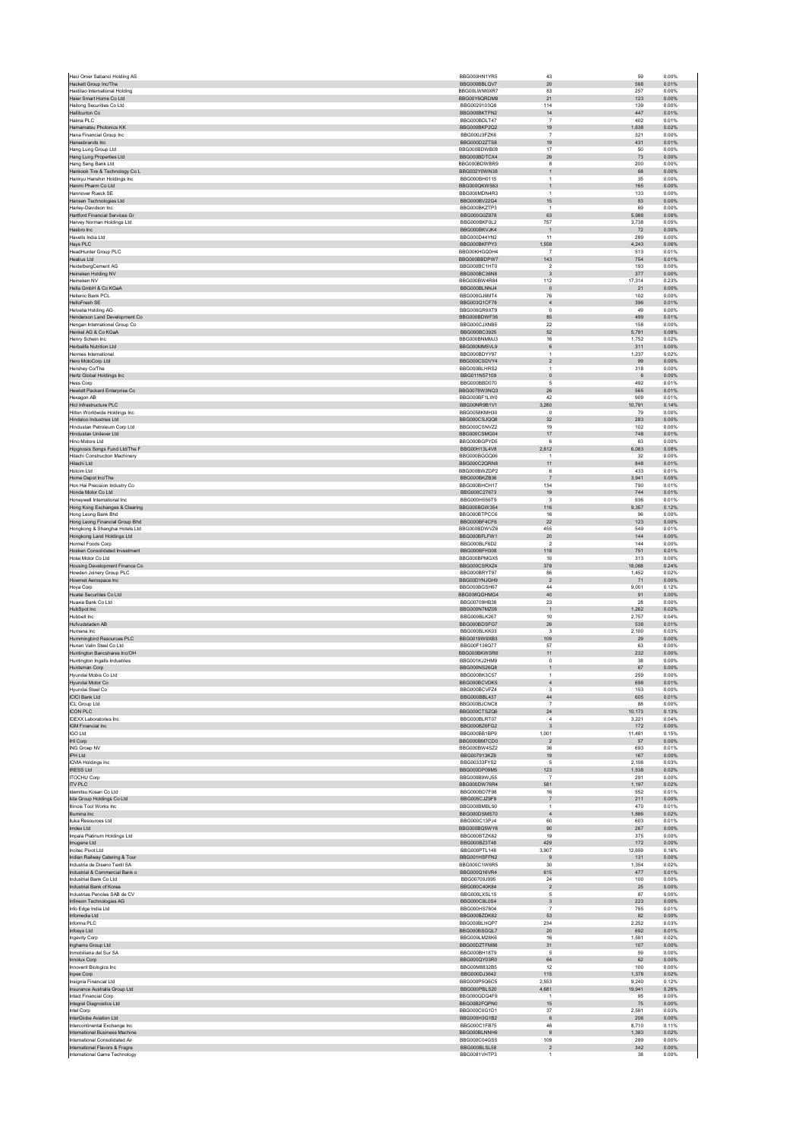| Haci Omer Sabanci Holding AS                                     | BBG000HN1YR5                 | 43                          | 59<br>0.00%                      |
|------------------------------------------------------------------|------------------------------|-----------------------------|----------------------------------|
| Hackett Group Inc/The                                            | BBG000BBI QV7                | 20                          | 568<br>0.01%                     |
| Haidilao International Holding<br>Haier Smart Home Co Ltd        | BBG00LWM0XR7<br>BBG00Y6QRDM9 | 83<br>21                    | 257<br>0.00%<br>123<br>0.00%     |
| Haitong Securities Co Ltd                                        | BBG0029103Q8                 | 114                         | 139<br>0.00%                     |
| Halliburton Co                                                   | BBG000BKTFN2                 | $14\,$                      | 447<br>0.01%                     |
| Halma PLC                                                        | BBG000BDLT47                 | $\overline{7}$              | 402<br>0.01%                     |
| Hamamatsu Photonics KK<br>Hana Financial Group Inc               | BBG000BKP2Q2<br>BBG000J3FZK6 | 19<br>$\overline{7}$        | 1,638<br>0.02%<br>321<br>0.00%   |
| Hanesbrands Inc.                                                 | BBG000D2ZTS8                 | 19                          | 431<br>0.01%                     |
| Hang Lung Group Ltd                                              | BBG000BDWB08                 | 17                          | 50<br>0.00%                      |
| Hang Lung Properties Ltd                                         | BBG000BDTCX4                 | 26                          | $73\,$<br>0.00%                  |
| Hang Seng Bank Ltd                                               | BBG000BDWBR9<br>BBG002Y0WN38 | 8<br>$\mathbf{1}$           | 200<br>0.00%<br>68<br>0.00%      |
| Hankook Tire & Technology Co L<br>Hankvu Hanshin Holdings Inc.   | BBG000BH0115                 | $\overline{1}$              | 35<br>0.00%                      |
| Hanmi Pharm Co Ltd                                               | BBG000QKWS63                 | $\mathbf{1}$                | 165<br>0.00%                     |
| Hannover Rueck SE                                                | BBG000MDN4R3                 | $\overline{1}$              | 133<br>0.00%                     |
| Hansen Technologies Ltd                                          | BBG000BV22G4                 | 15                          | 83<br>0.00%                      |
| Harley-Davidson Inc<br><b>Hartford Financial Services Gr</b>     | BBG000BKZTP3<br>BBG000G0Z878 | $\overline{1}$<br>63        | 69<br>0.00%<br>5,988<br>0.08%    |
| Harvey Norman Holdings Ltd                                       | BBG000BKF0L2                 | 757                         | 3,738<br>0.05%                   |
| Hasbro Inc.                                                      | BBG000BKVJK4                 | $\overline{1}$              | 72<br>0.00%                      |
| Havells India Ltd                                                | BBG000D44YN2                 | 11                          | 289<br>0.00%                     |
| Hays PLC                                                         | BBG000BKFPY3                 | 1,558                       | 4,243<br>0.06%                   |
| HeadHunter Group PLC<br><b>Healius Ltd</b>                       | BBG00KHGQ0H4<br>BBG000BBDPW7 | -7<br>143                   | 513<br>0.01%<br>754<br>0.01%     |
| HeidelbergCement AG                                              | BBG000BC1HT0                 | $\overline{2}$              | 193<br>0.00%                     |
| Heineken Holding NV                                              | BBG000BC36N8                 | $_{\rm 3}$                  | 377<br>0.00%                     |
| Heineken NV                                                      | BBG000BW4R84                 | 112                         | 17,314<br>0.23%                  |
| Hella GmbH & Co KGaA                                             | BBG000BLNNJ4                 | $\overline{0}$              | 21<br>0.00%                      |
| Hellenic Bank PCL<br><b>HelloFresh SE</b>                        | BBG000GJ6MT4<br>BBG003Q1CF78 | 76<br>$\overline{4}$        | 102<br>0.00%<br>396<br>0.01%     |
| <b>Helvetia Holding AG</b>                                       | BBG000GR9XT9                 | $\,0\,$                     | 49<br>0.00%                      |
| Henderson Land Development Co                                    | BBG000BDWF36                 | 85                          | 499<br>0.01%                     |
| Hengan International Group Co                                    | BBG000CJXNB5                 | 22                          | 158<br>0.00%                     |
| Henkel AG & Co KGaA<br>Henry Schein Inc.                         | BBG000BC3925<br>BBG000BNMMJ3 | $52\,$                      | 5,791<br>0.08%<br>0.02%          |
| Herbalife Nutrition Ltd                                          | BBG000MM5VL9                 | 16<br>$\,6$                 | 1,752<br>311<br>0.00%            |
| Hermes International                                             | BBG000BDYY97                 | $\overline{1}$              | 1,237<br>0.02%                   |
| Hero MotoCorp Ltd                                                | BBG000CSDVY4                 | $\overline{2}$              | 99<br>0.00%                      |
| Hershey Co/The                                                   | BBG000BLHRS2                 | $\mathbf{1}$                | 318<br>0.00%                     |
| Hertz Global Holdings Inc                                        | BBG011N57109                 | $\bf{0}$                    | 0.00%<br>$6\phantom{.}6$         |
| Hess Corp<br>Hewlett Packard Enterprise Co                       | BBG000BBD070<br>BBG0078W3NQ3 | $\sqrt{5}$<br>26            | 492<br>0.01%<br>565<br>0.01%     |
| Hexagon AB                                                       | BBG000BF1LW0                 | 42                          | 909<br>0.01%                     |
| Hicl Infrastructure PLC                                          | BBG00NR9B1V1                 | 3,280                       | 10,791<br>0.14%                  |
| Hilton Worldwide Holdings Inc.                                   | BBG0058KMH30                 | $\Omega$                    | 79<br>0.00%                      |
| Hindalco Industries Ltd                                          | BBG000CSJQQ8                 | $32\,$                      | 283<br>0.00%                     |
| Hindustan Petroleum Corp Ltd<br>Hindustan Unilever Ltd           | BBG000CSNVZ2<br>BBG000CSMG04 | 19<br>17                    | 102<br>0.00%<br>748<br>0.01%     |
| Hino Motors Ltd                                                  | BBG000BGPYD5                 | 6                           | 63<br>0.00%                      |
| Hipgnosis Songs Fund Ltd/The F                                   | BBG00H13L4V8                 | 2,612                       | 0.08%<br>6,083                   |
| Hitachi Construction Machinery                                   | BBG000BGGQ06                 | $\overline{1}$              | $32\,$<br>0.00%                  |
| Hitachi Ltd<br><b>Holcim Ltd</b>                                 | BBG000C2QRN8<br>BBG000BWZDP2 | 11                          | 848<br>0.01%<br>433<br>0.01%     |
| Home Depot Inc/The                                               | BBG000BKZB36                 | 6<br>$\overline{7}$         | 3,941<br>0.05%                   |
| Hon Hai Precision Industry Co                                    | BBG000BHCH17                 | 134                         | 790<br>0.01%                     |
| Honda Motor Co Ltd                                               | BBG000C27673                 | 19                          | 744<br>0.01%                     |
| Honeywell International Inc                                      | BBG000H556T9                 | $\overline{\mathbf{3}}$     | 936<br>0.01%                     |
| Hong Kong Exchanges & Clearing                                   | BBG000BGW354                 | 116                         | 9,357<br>0.12%                   |
| Hong Leong Bank Bhd<br>Hong Leong Financial Group Bhd            | BBG000BTPCC6<br>BBG000BF4CF6 | $16\,$<br>$22\,$            | 96<br>0.00%<br>123<br>0.00%      |
| Hongkong & Shanghai Hotels Ltd                                   | BBG000BDWVZ6                 | 455                         | 549<br>0.01%                     |
| Hongkong Land Holdings Ltd                                       | BBG000BFLFW1                 | $20\,$                      | 144<br>0.00%                     |
| Hormel Foods Corp                                                | BBG000BLF8D2                 | $\overline{2}$              | 0.00%<br>144                     |
| Hosken Consolidated Investment                                   | BBG000BFH308                 | 118                         | 751<br>0.01%                     |
|                                                                  |                              |                             |                                  |
| Hotai Motor Co Ltd                                               | BBG000BPMGX5                 | 10                          | 313<br>0.00%                     |
| Housing Development Finance Co                                   | BBG000CSRXZ4                 | 378                         | 18,088<br>0.24%                  |
| Howden Joinery Group PLC<br>Howmet Aerospace Inc.                | BBG000BRYT97<br>BBG00DYNJGH9 | 86<br>$\overline{2}$        | 1,452<br>0.02%<br>0.00%<br>71    |
| Hoya Corp                                                        | BBG000BGSH67                 | 44                          | 9,001<br>0.12%                   |
| Huatai Securities Co Ltd                                         | BBG008QGHMG4                 | $40\,$                      | 91<br>0.00%                      |
| Huaxia Bank Co Ltd                                               | BBG00709HB38                 | 23                          | 28<br>0.00%                      |
| HubSpot Inc                                                      | BBG000N7MZ06<br>BBG000BLK267 | $\mathbf{1}$<br>10          | 1,262<br>0.02%<br>0.04%<br>2.757 |
| Hubbell Inc.<br>Hufvudstaden AB                                  | BBG000BDSFG7                 | ${\bf 26}$                  | 538<br>0.01%                     |
| Humana Inc.                                                      | BBG000BLKK03                 | $\mathbf{3}$                | 2,100<br>0.03%                   |
| Hummingbird Resources PLC                                        | BBG0019W9XB3                 | 109                         | 29<br>0.00%                      |
| Hunan Valin Steel Co Ltd                                         | BBG00F136Q77                 | 57                          | 63<br>0.00%                      |
| Huntington Bancshares Inc/OH                                     | BBG000BKWSR6                 | 11                          | 232<br>0.00%                     |
| Huntington Ingalls Industries                                    | BBG001KJ2HM9<br>BBG000NS26Q8 | $\mathsf 0$<br>$\mathbf{1}$ | $38\,$<br>0.00%<br>67<br>0.00%   |
| Huntsman Corp<br>Hyundai Mobis Co Ltd                            | BBG000BK3C57                 | $\overline{1}$              | 259<br>0.00%                     |
| Hyundai Motor Co                                                 | BBG000BCVDK5                 | $\overline{4}$              | 698<br>0.01%                     |
| Hyundai Steel Co                                                 | BBG000BCVE74                 | -3                          | 153<br>0.00%                     |
| <b>ICICI Bank Ltd</b>                                            | BBG000BBL437<br>BBG000BJCNC8 | $\bf 44$<br>$\overline{7}$  | 605<br>0.01%                     |
| ICL Group Ltd<br><b>ICON PLC</b>                                 | BBG000CTSZQ6                 | $\bf 24$                    | 88<br>0.00%<br>10,173<br>0.13%   |
| <b>IDEXX Laboratories Inc.</b>                                   | BBG000BLRT07                 | $\overline{4}$              | 3,221<br>0.04%                   |
| IGM Financial Inc                                                | BBG000BZ6FG2                 | $\overline{3}$              | 0.00%<br>172                     |
| <b>IGO Ltd</b>                                                   | BBG000BB1BP9                 | 1,001                       | 11,481<br>0.15%                  |
| IHI Corp<br><b>ING Groep NV</b>                                  | BBG000BM7CD0<br>BBG000BW4SZ2 | $\overline{2}$<br>$36\,$    | 57<br>0.00%<br>693<br>0.01%      |
| IPH Ltd                                                          | BBG007913KZ6                 | 19                          | 167<br>0.00%                     |
| IQVIA Holdings Inc                                               | BBG00333FYS2                 | -5                          | 2.106<br>0.03%                   |
| <b>IRESS Ltd</b>                                                 | BBG000DP09M5                 | 123                         | 0.02%<br>1,538                   |
| <b>ITOCHU Corp</b>                                               | BBG000B9WJ55                 | $\overline{7}$              | 291<br>0.00%                     |
| <b>ITV PLC</b><br>Idemitsu Kosan Co Ltd                          | BBG000DW76R4<br>BBG000BD7F98 | 581<br>$16\,$               | 1,197<br>0.02%<br>0.01%<br>552   |
| lida Group Holdings Co Ltd                                       | BBG005CJZ9F9                 | $\overline{7}$              | 211<br>0.00%                     |
| Illinois Tool Works Inc                                          | BBG000BMBL90                 | $\overline{1}$              | 470<br>0.01%                     |
| Illumina Inc                                                     | BBG000DSMS70                 | $\overline{4}$              | 1,886<br>0.02%                   |
| Iluka Resources Ltd<br>Imdex Ltd                                 | BBG000C13PJ4<br>BBG000BQ5WY6 | 60<br>$90\,$                | 603<br>0.01%<br>267<br>0.00%     |
| Imnala Platinum Holdings I td.                                   | BBG000BT7K82                 | 19                          | 0.00%<br>375                     |
| Imugene Ltd                                                      | BBG000BZ3T48                 | 429                         | 0.00%<br>172                     |
| Incited Pivot Ltd                                                | BBG000PTL148                 | 3,907                       | 12.659<br>0.16%                  |
| Indian Railway Catering & Tour                                   | BBG001HSFFN2                 | $\,9$                       | 131<br>0.00%                     |
| Industria de Diseno Textil SA<br>Industrial & Commercial Bank o  | BBG000C1W6R5<br>BBG000Q16VR4 | $30\,$<br>615               | 1,354<br>0.02%<br>0.01%<br>477   |
| Industrial Bank Co Ltd                                           | BBG00709J995                 | $\bf 24$                    | 100<br>0.00%                     |
| Industrial Bank of Korea                                         | BBG000C40K84                 | $\overline{2}$              | 25<br>0.00%                      |
| Industrias Penoles SAB de CV                                     | BBG000LXSL15                 | $\,$ 5 $\,$                 | 87<br>0.00%                      |
| Infineon Technologies AG                                         | BBG000C8L0S4<br>BBG000HS7804 | 3<br>$\overline{7}$         | 223<br>0.00%<br>765<br>0.01%     |
| Info Edge India Ltd<br>Infomedia Ltd                             | BBG000BZDK82                 | $53\,$                      | 82<br>0.00%                      |
| Informa PLC                                                      | BBG000BLHQP7                 | 234                         | 2,252<br>0.03%                   |
| Infosys Ltd                                                      | BBG000BSGQL7                 | $20\,$                      | 692<br>0.01%                     |
| Ingevity Corp                                                    | BBG009LM28K6                 | $16\,$                      | 1,591<br>0.02%                   |
| Inghams Group Ltd                                                | BBG00DZTFM86                 | 31<br>5                     | 0.00%<br>107                     |
| Inmobiliaria del Sur SA<br>Innolux Corp                          | BBG000BH18T9<br>BBG000QY03R0 | 64                          | 59<br>0.00%<br>62<br>0.00%       |
| Innovent Biologics Inc                                           | BBG00M8832B5                 | 12                          | 100<br>0.00%                     |
| Inpex Corp                                                       | BBG000DJ3642                 | 115                         | 1,378<br>0.02%                   |
| Insignia Financial Ltd                                           | BBG000P5Q6C5                 | 2.553                       | 0.12%<br>9.240                   |
| Insurance Australia Group Ltd                                    | BBG000PBLS20                 | 4,681<br>$\overline{1}$     | 19,941<br>0.26%                  |
| <b>Intact Financial Corp</b><br>Integral Diagnostics Ltd         | BBG000QDQ4F9<br>BBG00B2FQPN0 | 15                          | 95<br>0.00%<br>0.00%<br>75       |
| Intel Corp                                                       | BBG000C0G1D1                 | 37                          | 2,591<br>0.03%                   |
| InterGlobe Aviation Ltd                                          | BBG000H3G1B2                 | 6                           | 0.00%<br>206                     |
| Intercontinental Exchange Inc                                    | BBG000C1FB75                 | 46                          | 8,710<br>0.11%                   |
| International Business Machine                                   | BBG000BLNNH6                 | 8                           | 1,383<br>0.02%                   |
| International Consolidated Air<br>International Flavors & Fragra | BBG000C04GS5<br>BBG000BLSL58 | 109<br>$\sqrt{2}$           | 0.00%<br>289<br>342<br>0.00%     |
| International Game Technology                                    | BBG0081VHTP3                 | $\overline{1}$              | 38<br>0.00%                      |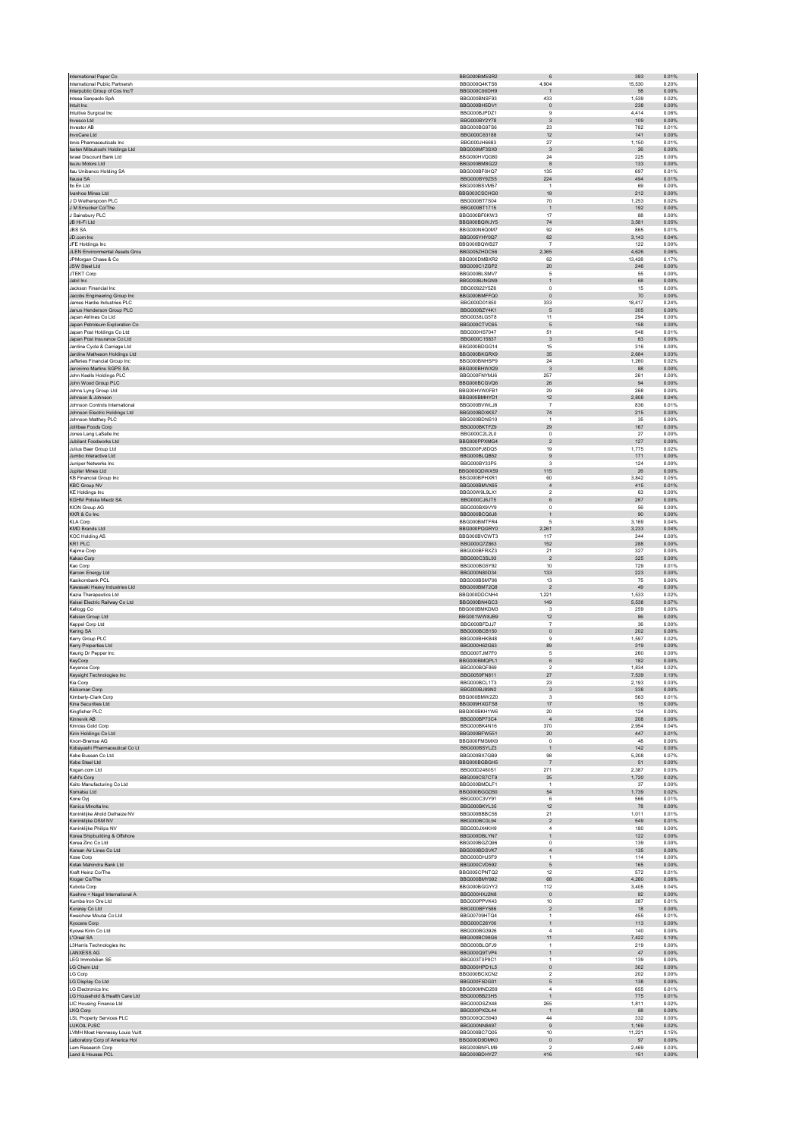| International Paper Co                                  | BBG000BM5SR2                 | $\,6$                                 | 393<br>0.01%                      |  |
|---------------------------------------------------------|------------------------------|---------------------------------------|-----------------------------------|--|
| International Public Partnersh                          | BBG000Q4KTS6                 | 4,904                                 | 15,530<br>0.20%                   |  |
| Interpublic Group of Cos Inc/T<br>Intesa Sanpaolo SpA   | BBG000C90DH9<br>BBG000BNSF93 | $\overline{1}$<br>433                 | 58<br>0.00%<br>1,539<br>0.02%     |  |
| Intuit Inc                                              | BBG000BH5DV1                 | $\mathbb O$                           | 0.00%<br>238                      |  |
| Intuitive Surgical Inc.                                 | BBG000BJPDZ1                 | $\mathbf{Q}$                          | 4,414<br>0.06%                    |  |
| Invesco Ltd                                             | BBG000BY2Y78                 | $_{\rm 3}$                            | 109<br>0.00%                      |  |
| <b>Investor AB</b><br>InvoCare Ltd                      | BBG000BG97S6<br>BBG000C63188 | $23\,$<br>12                          | 782<br>0.01%<br>141<br>0.00%      |  |
| Ionis Pharmaceuticals Inc                               | BBG000JH6683                 | 27                                    | 1,150<br>0.01%                    |  |
| Isetan Mitsukoshi Holdings Ltd                          | BBG000MF3SX0                 | $\overline{3}$                        | 26<br>0.00%                       |  |
| Israel Discount Bank Ltd                                | BBG000HVQG80                 | 24                                    | 225<br>0.00%                      |  |
| Isuzu Motors Ltd                                        | BBG000BM8G22                 | $^{\rm 8}$                            | 133<br>0.00%                      |  |
| Itau Unibanco Holding SA                                | BBG000BF0HQ7                 | 135                                   | 697<br>0.01%                      |  |
| Itausa SA<br>Ito En Ltd                                 | BBG000BY9ZS5<br>BBG000BSVM57 | 224<br>$\overline{1}$                 | 0.01%<br>494<br>69<br>0.00%       |  |
| Ivanhoe Mines Ltd                                       | BBG003CSCHG0                 | 19                                    | 212<br>0.00%                      |  |
| J D Wetherspoon PLC                                     | BBG000BT7S04                 | 70                                    | 1,253<br>0.02%                    |  |
| J M Smucker Co/The                                      | BBG000BT1715                 | $\overline{1}$                        | 192<br>0.00%                      |  |
| J Sainsbury PLC                                         | BBG000BF0KW3                 | 17                                    | 88<br>0.00%                       |  |
| JB Hi-Fi Ltd<br><b>JBS SA</b>                           | BBG000BQWJY5<br>BBG000N6Q0M7 | 74<br>92                              | 3,581<br>0.05%<br>865<br>0.01%    |  |
| JD.com Inc                                              | BBG005YHY0Q7                 | $62\,$                                | 3,143<br>0.04%                    |  |
| JFE Holdings Inc.                                       | BBG000BQWB27                 | $\overline{7}$                        | 0.00%<br>122                      |  |
| JLEN Environmental Assets Grou                          | BBG005ZHDC56                 | 2,365                                 | 4,626<br>0.06%                    |  |
| JPMorgan Chase & Co                                     | BBG000DMBXR2                 | 62                                    | 13.428<br>0.17%                   |  |
| <b>JSW Steel Ltd</b><br>JTEKT Corp                      | BBG000C1ZGP2<br>BBG000BLSMV7 | 20<br>5                               | 246<br>0.00%<br>55<br>0.00%       |  |
| Jabil Inc                                               | BBG000BJNGN9                 | $\mathbf{1}$                          | 68<br>0.00%                       |  |
| Jackson Financial Inc                                   | BBG00922Y5Z6                 | $\circ$                               | 15<br>0.00%                       |  |
| Jacobs Engineering Group Inc                            | BBG000BMFFQ0                 | $\mathbf 0$                           | $70$<br>0.00%                     |  |
| James Hardie Industries PLC                             | BBG000D01850                 | 333                                   | 18,417<br>0.24%                   |  |
| Janus Henderson Group PLC<br>Japan Airlines Co Ltd      | BBG000BZY4K1<br>BBG0038LG5T8 | 5                                     | 305<br>0.00%<br>294<br>0.00%      |  |
| Japan Petroleum Exploration Co                          | BBG000CTVC65                 | 11<br>$\sqrt{5}$                      | 158<br>0.00%                      |  |
| Japan Post Holdings Co Ltd                              | BBG000HS7047                 | 51                                    | 548<br>0.01%                      |  |
| Japan Post Insurance Co Ltd                             | BBG000C15837                 | $\overline{\mathbf{3}}$               | 63<br>0.00%                       |  |
| Jardine Cycle & Carriage Ltd                            | BBG000BDGG14                 | 15                                    | 316<br>0.00%                      |  |
| Jardine Matheson Holdings Ltd                           | BBG000BKGRX9                 | 35                                    | 2.684<br>0.03%                    |  |
| Jefferies Financial Group Inc                           | BBG000BNHSP9                 | 24                                    | 1,260<br>0.02%                    |  |
| Jeronimo Martins SGPS SA<br>John Keells Holdings PLC    | BBG000BHWX29<br>BBG000FNYMJ6 | $\mathbf{3}$<br>257                   | 88<br>0.00%<br>261<br>0.00%       |  |
| John Wood Group PLC                                     | BBG000BCGVQ6                 | ${\bf 26}$                            | 94<br>0.00%                       |  |
| Johns Lyng Group Ltd                                    | BBG00HVW0FB1                 | 29                                    | 268<br>0.00%                      |  |
| Johnson & Johnson                                       | BBG000BMHYD1                 | 12                                    | 2,808<br>0.04%                    |  |
| Johnson Controls International                          | BBG000BVWLJ6                 | $\overline{7}$                        | 836<br>0.01%                      |  |
| Johnson Electric Holdings Ltd.                          | BBG000BDXKS7                 | 74                                    | 215<br>0.00%                      |  |
| Johnson Matthey PLC<br>Jollibee Foods Corp.             | BBG000BDNS10<br>BBG000BKTFZ9 | $\overline{1}$<br>29                  | 35<br>0.00%<br>167<br>0.00%       |  |
| Jones Lang LaSalle Inc                                  | BBG000C2L2L0                 | $\mathbf{0}$                          | $27\,$<br>0.00%                   |  |
| Jubilant Foodworks Ltd                                  | BBG000PPXMG4                 | $\overline{2}$                        | 127<br>0.00%                      |  |
| Julius Baer Group Ltd                                   | BBG000PJ8DQ5                 | 19                                    | 1.775<br>0.02%                    |  |
| Jumbo Interactive Ltd                                   | BBG000BLQB52                 | $9$                                   | 171<br>0.00%                      |  |
| <b>Juniner Networks Inc.</b>                            | BBG000BY33P5                 | 3                                     | 0.00%<br>124                      |  |
| Jupiter Mines Ltd                                       | BBG000QDWX59<br>BBG000BPHXR1 | 115<br>60                             | $26\,$<br>0.00%<br>3.842<br>0.05% |  |
| <b>KB Financial Group Inc</b><br><b>KBC Group NV</b>    | BBG000BMVX65                 | $\overline{4}$                        | 415<br>0.01%                      |  |
| <b>KE Holdings Inc.</b>                                 | BBG00W9L9LX1                 | $\sqrt{2}$                            | 63<br>0.00%                       |  |
| KGHM Polska Miedz SA                                    | BBG000CJ6JT5                 | 6                                     | 267<br>0.00%                      |  |
| KION Group AG                                           | BBG000BX9VY9                 | $\mathbf 0$                           | ${\bf 56}$<br>0.00%               |  |
| KKR & Co Inc                                            | BBG000BCQ6J8                 | $\mathbf{1}$                          | 90<br>0.00%                       |  |
| <b>KLA Corp</b>                                         | BBG000BMTFR4                 | 5                                     | 3.169<br>0.04%                    |  |
| <b>KMD Brands Ltd</b>                                   | BBG000PQGRY0<br>BBG000BVCWT3 | 2,261<br>117                          | 3,233<br>0.04%<br>344<br>0.00%    |  |
| <b>KOC Holding AS</b>                                   |                              |                                       |                                   |  |
|                                                         |                              |                                       |                                   |  |
| KR1 PLC                                                 | BBG000Q7Z863<br>BBG000BFRXZ3 | 152<br>21                             | 288<br>0.00%<br>327<br>0.00%      |  |
| Kajima Corp<br>Kakao Corp                               | BBG000C3SL93                 | $\overline{2}$                        | 325<br>0.00%                      |  |
| Kao Corp                                                | BBG000BG5Y92                 | $10$                                  | 729<br>0.01%                      |  |
| Karoon Energy Ltd                                       | BBG000N80D34                 | 133                                   | 223<br>0.00%                      |  |
| Kasikornbank PCL                                        | BBG000BSM796                 | 13                                    | $75\,$<br>0.00%                   |  |
| Kawasaki Heavy Industries Ltd<br>Kazia Therapeutics Ltd | BBG000BM72Q8<br>BBG000DDCNH4 | $\overline{2}$<br>1.221               | 49<br>0.00%<br>1.533<br>0.02%     |  |
| Keisei Electric Railway Co Ltd                          | BBG000BN4GC3                 | 149                                   | 5,538<br>0.07%                    |  |
| Kellogg Co                                              | BBG000BMKDM3                 | 3                                     | 259<br>0.00%                      |  |
| Kelsian Group Ltd                                       | BBG001WW8JB9                 | $12 \overline{ }$                     | 86<br>0.00%                       |  |
| Keppel Corp Ltd                                         | BBG000BFDJJ7                 | $\overline{7}$                        | 36<br>0.00%                       |  |
| Kering SA                                               | BBG000BCB150                 | $\mathbf{0}$                          | 202<br>0.00%                      |  |
| Kerry Group PLC                                         | BBG000BHKB48<br>BBG000H62G63 | $\boldsymbol{9}$<br>89                | 1,597<br>0.02%<br>0.00%           |  |
| Kerry Properties Ltd<br>Keurig Dr Pepper Inc            | BBG000TJM7F0                 | 5                                     | 319<br>260<br>0.00%               |  |
| KeyCorp                                                 | BBG000BMQPL1                 | 6                                     | 182<br>0.00%                      |  |
| Keyence Corp                                            | BBG000BQF869                 | $\overline{2}$                        | 1.834<br>0.02%                    |  |
| Keysight Technologies Inc                               | BBG0059FN811                 | 27                                    | 7,539<br>0.10%                    |  |
| Kia Corp                                                | <b>BBG000BCL1T3</b>          | 23                                    | 2,193<br>0.03%                    |  |
| Kikkoman Corp<br>Kimberly-Clark Corp                    | BBG000BJ89N2<br>BBG000BMW2Z0 | $_{\rm 3}$<br>3                       | 338<br>0.00%<br>563<br>0.01%      |  |
| Kina Securities Ltd                                     | BBG009HXGTS8                 | 17                                    | 15<br>0.00%                       |  |
| Kingfisher PLC                                          | BBG000BKH1W6                 | $20\,$                                | 124<br>0.00%                      |  |
| Kinnevik AB                                             | BBG000BP73C4                 | $\overline{4}$                        | 208<br>0.00%                      |  |
| Kinross Gold Corp                                       | BBG000BK4N16                 | 370                                   | 2,954<br>0.04%                    |  |
| Kirin Holdings Co Ltd<br>Knorr-Bremse AG                | BBG000BFW551<br>BBG000FMSMX9 | $20\,$<br>$\circ$                     | 447<br>0.01%<br>48<br>0.00%       |  |
| Kobayashi Pharmaceutical Co Lt                          | BBG000BSYLZ3                 | $\mathbf{1}$                          | 142<br>0.00%                      |  |
| Kobe Bussan Co Ltd                                      | BBG000BX7GB9                 | 98                                    | 5,208<br>0.07%                    |  |
| Kobe Steel Ltd                                          | BBG000BGBGH5                 | $\overline{7}$                        | 51<br>0.00%                       |  |
| Kogan.com Ltd                                           | BBG00D2480S1<br>BBG000CS7CT9 | 271<br>25                             | 2,387<br>0.03%<br>1,720<br>0.02%  |  |
| Kohl's Corp<br>Koito Manufacturing Co Ltd               | BBG000BMDLF1                 | $\mathbf{1}$                          | 37<br>0.00%                       |  |
| Komatsu Ltd                                             | BBG000BGGD50                 | 54                                    | 1,739<br>0.02%                    |  |
| Kone Oyj                                                | BBG000C3VY91                 | 6                                     | 566<br>0.01%                      |  |
| Konica Minolta Inc                                      | BBG000BKYL35                 | $12 \overline{ }$                     | 78<br>0.00%                       |  |
| Koninklijke Ahold Delhaize NV                           | BBG000BBBC58                 | 21                                    | 1.011<br>0.01%                    |  |
| Koninklijke DSM NV<br>Koninklijke Philips NV            | BBG000BC0L94<br>BBG000JX4KH9 | $\sqrt{2}$<br>$\overline{4}$          | 549<br>0.01%<br>180<br>0.00%      |  |
| Korea Shipbuilding & Offshore                           | BBG000DBLYN7                 | $\mathbf{1}$                          | 122<br>0.00%                      |  |
| Korea Zinc Co Ltd                                       | BBG000BGZQ96                 | $\mathsf 0$                           | 139<br>0.00%                      |  |
| Korean Air Lines Co Ltd                                 | BBG000BDSVK7                 | $\overline{4}$                        | 0.00%<br>135                      |  |
| Kose Corp                                               | BBG000DHJ5F9                 | $\mathbf{1}$                          | 114<br>0.00%                      |  |
| Kotak Mahindra Bank Ltd<br>Kraft Heinz Co/The           | BBG000CVD592<br>BBG005CPNTQ2 | 5<br>12                               | 165<br>0.00%<br>572<br>0.01%      |  |
| Kroger Co/The                                           | BBG000BMY992                 | 68                                    | 4,260<br>0.06%                    |  |
| Kubota Corp                                             | BBG000BGGYY2                 | 112                                   | 3.405<br>0.04%                    |  |
| Kuehne + Nagel International A                          | BBG000HXJ2N8                 | $\mathbf 0$                           | 92<br>0.00%                       |  |
| Kumba Iron Ore Ltd                                      | BBG000PPVK43                 | 10                                    | 387<br>0.01%                      |  |
| Kuraray Co Ltd                                          | BBG000BFY586                 | $\sqrt{2}$                            | 18<br>0.00%                       |  |
| Kweichow Moutai Co Ltd                                  | BBG00709HTQ4<br>BBG000C26Y00 | 1<br>$\mathbf{1}$                     | 455<br>0.01%<br>113<br>0.00%      |  |
| Kyocera Corp<br>Kyowa Kirin Co Ltd                      | BBG000BG3926                 | $\overline{4}$                        | 140<br>0.00%                      |  |
| L'Oreal SA                                              | BBG000BC98G6                 | 11                                    | 7,422<br>0.10%                    |  |
| L3Harris Technologies Inc                               | BBG000BLGFJ9                 | 1                                     | 219<br>0.00%                      |  |
| LANXESS AG                                              | BBG000Q9TVP4                 | $\mathbf{1}$                          | $47\,$<br>0.00%                   |  |
| <b>LEG Immobilien SE</b>                                | BBG003T0P9C1                 | 1                                     | 139<br>0.00%                      |  |
| LG Chem Ltd                                             | BBG000HPD1L5<br>BBG000BCXCN2 | $\mathsf{O}\xspace$<br>$\overline{2}$ | 302<br>0.00%<br>202<br>0.00%      |  |
| LG Corp<br>LG Display Co Ltd                            | BBG000F5DG01                 | $\mathsf S$                           | 138<br>0.00%                      |  |
| LG Electronics Inc                                      | BBG000MND269                 | $\overline{4}$                        | 655<br>0.01%                      |  |
| LG Household & Health Care Ltd                          | BBG000BB23H5                 | $\mathbf{1}$                          | 775<br>0.01%                      |  |
| LIC Housing Finance Ltd                                 | BBG000DSZX48                 | 265                                   | 1,811<br>0.02%                    |  |
| LKQ Corp<br><b>LSL Property Services PLC</b>            | BBG000PXDL44<br>BBG000QCS940 | $\mathbf{1}$<br>$44\,$                | 88<br>0.00%<br>332<br>0.00%       |  |
| LUKOIL PJSC                                             | BBG000NN8497                 | $\,9$                                 | 1,169<br>0.02%                    |  |
| LVMH Moet Hennessy Louis Vuitt                          | BBG000BC7Q05                 | 10                                    | 11,221<br>0.15%                   |  |
| Laboratory Corp of America Hol                          | BBG000D9DMK0                 | $\mathbb O$                           | 97<br>0.00%                       |  |
| Lam Research Corp<br>Land & Houses PCL                  | BBG000BNFLM9<br>BBG000BDHYZ7 | $\overline{2}$<br>416                 | 2,469<br>0.03%<br>151<br>0.00%    |  |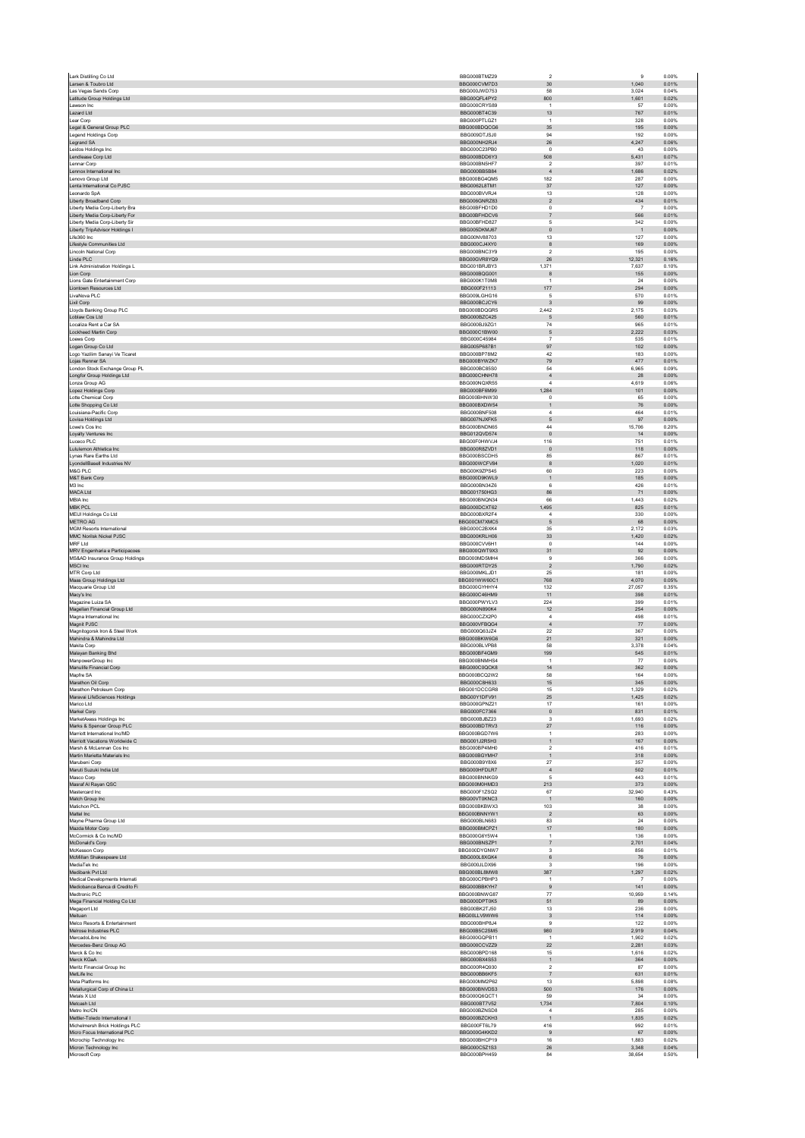| Lark Distilling Co Ltd                                           | BBG000BTMZ29                 | $\sqrt{2}$                     | 9               | 0.00%          |
|------------------------------------------------------------------|------------------------------|--------------------------------|-----------------|----------------|
| Larsen & Toubro Ltd                                              | BBG000CVM7D3                 | 30                             | 1,040           | 0.01%          |
| Las Vegas Sands Corp<br>Latitude Group Holdings Ltd              | BBG000JWD753<br>BBG00QFL4PY2 | 58<br>800                      | 3,024<br>1,601  | 0.04%<br>0.02% |
| Lawson Inc.                                                      | BBG000CRYS89                 | $\overline{1}$                 | 57              | 0.00%          |
| Lazard Ltd                                                       | BBG000BT4C39                 | 13                             | 767             | 0.01%          |
| Lear Corp                                                        | BBG000PTLGZ1                 | $\overline{1}$                 | 328             | 0.00%          |
| Legal & General Group PLC<br>Legend Holdings Corp                | BBG000BDQCG6<br>BBG009DTJSJ0 | $35\,$<br>94                   | 195<br>192      | 0.00%<br>0.00% |
| Legrand SA                                                       | BBG000NH2RJ4                 | 26                             | 4,247           | 0.06%          |
| Leidos Holdings Inc                                              | BBG000C23PB0                 | $\mathsf 0$                    | 43              | 0.00%          |
| Lendlease Corp Ltd                                               | BBG000BDD6Y3                 | 508                            | 5,431           | 0.07%          |
| Lennar Corp                                                      | BBG000BN5HF7                 | $\sqrt{2}$                     | 397             | 0.01%          |
| Lennox International Inc<br>Lenovo Group Ltd                     | BBG000BB5B84<br>BBG000BG4QM5 | $\overline{4}$<br>182          | 1,686<br>287    | 0.02%<br>0.00% |
| Lenta International Co PJSC                                      | BBG0062L8TM1                 | $37\,$                         | 127             | 0.00%          |
| Leonardo SpA                                                     | BBG000BVVRJ4                 | 13                             | 128             | 0.00%          |
| Liberty Broadband Corp                                           | BBG006GNRZ83                 | $\sqrt{2}$                     | 434             | 0.01%          |
| Liberty Media Corp-Liberty Bra                                   | BBG00BFHD1D0                 | $^{\circ}$                     | $\overline{7}$  | 0.00%          |
| Liberty Media Corp-Liberty For<br>Liberty Media Corp-Liberty Sir | BBG00BFHDCV6<br>BBG00BFHD827 | $\overline{7}$<br>5            | 566<br>342      | 0.01%<br>0.00% |
| Liberty TripAdvisor Holdings I                                   | BBG005DKMJ67                 | $\mathbf{0}$                   | $\overline{1}$  | 0.00%          |
| Life360 Inc                                                      | BBG00NV88703                 | 13                             | 127             | 0.00%          |
| Lifestyle Communities Ltd                                        | BBG000CJ4XY0                 | 8                              | 169             | 0.00%          |
| Lincoln National Corp<br>Linde PLC                               | BBG000BNC3Y9<br>BBG00GVR8YQ9 | $\overline{2}$<br>${\bf 26}$   | 195<br>12,321   | 0.00%<br>0.16% |
| Link Administration Holdings L                                   | BBG001BRJBY3                 | 1,371                          | 7,637           | 0.10%          |
| Lion Corp                                                        | BBG000BQG001                 | 8                              | 155             | 0.00%          |
| Lions Gate Entertainment Corp                                    | BBG000K1T0M8                 | $\overline{1}$                 | 24              | 0.00%          |
| Liontown Resources Ltd                                           | BBG000F21113                 | 177                            | 294             | 0.00%          |
| LivaNova PLC<br>Lixil Corp                                       | BBG009LGHG16<br>BBG000BCJCY6 | 5<br>$\mathbf{3}$              | 570<br>99       | 0.01%<br>0.00% |
| Lloyds Banking Group PLC                                         | BBG000BDQGR5                 | 2,442                          | 2,175           | 0.03%          |
| Loblaw Cos Ltd                                                   | BBG000BZC425                 | 5                              | 560             | 0.01%          |
| Localiza Rent a Car SA                                           | BBG000BJ9ZG1                 | 74                             | 965             | 0.01%          |
| Lockheed Martin Corp                                             | BBG000C1BW00                 | $\mathbf 5$                    | 2,222           | 0.03%          |
| Loews Corp<br>Logan Group Co Ltd                                 | BBG000C45984<br>BBG005P687B1 | $\overline{7}$<br>97           | 535<br>102      | 0.01%<br>0.00% |
| Logo Yazilim Sanayi Ve Ticaret                                   | BBG000BP78M2                 | 42                             | 183             | 0.00%          |
| Lojas Renner SA                                                  | BBG000BYWZK7                 | 79                             | 477             | 0.01%          |
| London Stock Exchange Group PL                                   | BBG000BC85S0                 | 54                             | 6,965           | 0.09%          |
| Longfor Group Holdings Ltd                                       | BBG000CHNH78                 | $\sqrt{4}$                     | 28              | 0.00%          |
| Lonza Group AG                                                   | BBG000NQXR55<br>BBG000BF6M99 | $\bf{4}$<br>1,284              | 4,619<br>101    | 0.06%<br>0.00% |
| Lopez Holdings Corp<br>Lotte Chemical Corp                       | BBG000BHNW30                 | $^{\circ}$                     | 65              | 0.00%          |
| Lotte Shopping Co Ltd                                            | BBG000BXDW54                 | $\mathbf{1}$                   | ${\bf 76}$      | 0.00%          |
| Louisiana-Pacific Corp                                           | <b>BBG000BNF508</b>          | $\overline{a}$                 | 464             | 0.01%          |
| Lovisa Holdings Ltd                                              | BBG007NJXFK5                 | 5                              | 97              | 0.00%          |
| Lowe's Cos Inc                                                   | BBG000BNDN65                 | 44<br>$\mathbf{0}$             | 15,706          | 0.20%<br>0.00% |
| Loyalty Ventures Inc<br>Luceco PLC                               | BBG012QVD574<br>BBG00F0HWVJ4 | 116                            | 14<br>751       | 0.01%          |
| Lululemon Athletica Inc                                          | BBG000R8ZVD1                 | $\mathbf 0$                    | 118             | 0.00%          |
| Lynas Rare Earths Ltd                                            | BBG000BSCDH5                 | 85                             | 867             | 0.01%          |
| LyondellBasell Industries NV                                     | BBG000WCFV84                 | 8                              | 1,020           | 0.01%          |
| M&G PLC<br>M&T Bank Corp                                         | BBG00K9ZPS45<br>BBG000D9KWL9 | 60<br>$\mathbf{1}$             | 223<br>185      | 0.00%<br>0.00% |
| M3 Inc                                                           | BBG000BN34Z6                 | 6                              | 426             | 0.01%          |
| MACA Ltd                                                         | BBG001750HG3                 | 86                             | 71              | 0.00%          |
| MBIA Inc                                                         | BBG000BNQN34                 | 66                             | 1,443           | 0.02%          |
| <b>MBK PCL</b>                                                   | BBG000DCXT62                 | 1,495                          | 825             | 0.01%          |
| MEIJI Holdings Co Ltd                                            | BBG000BXR2F4                 | $\bf{4}$                       | 330             | 0.00%          |
| METRO AG<br><b>MGM Resorts International</b>                     | BBG00CM7XMC5<br>BBG000C2BXK4 | 5<br>35                        | 68<br>2,172     | 0.00%<br>0.03% |
| MMC Norilsk Nickel PJSC                                          | BBG000KRLH06                 | 33                             | 1,420           | 0.02%          |
| MRF Ltd                                                          | BBG000CVV6H1                 | $^{\circ}$                     | 144             | 0.00%          |
| MRV Engenharia e Participacoes                                   | BBG000QWT9X3                 | 31                             | 92              | 0.00%          |
| MS&AD Insurance Group Holdings<br>MSCI Inc                       | BBG000MD5MH4<br>BBG000RTDY25 | $\mathbf{Q}$<br>$\overline{2}$ | 366<br>1,790    | 0.00%<br>0.02% |
| MTR Corp Ltd                                                     | BBG000MKLJD1                 | 25                             | 181             | 0.00%          |
| Maas Group Holdings Ltd                                          | BBG001WW60C1                 | 768                            | 4,070           | 0.05%          |
| Macquarie Group Ltd                                              | BBG000GYHHY4                 | 132                            | 27,057          | 0.35%          |
| Macy's Inc                                                       | BBG000C46HM9                 | 11                             | 398             | 0.01%          |
| Magazine Luiza SA<br>Magellan Financial Group Ltd                | BBG000PWYLV3<br>BBG000N890K4 | 224<br>12                      | 399<br>254      | 0.01%<br>0.00% |
| Magna International Inc.                                         | BBG000CZX2P0                 | 4                              | 498             | 0.01%          |
| Magnit PJSC                                                      | BBG000VFBQG4                 | $\sqrt{4}$                     | $77\,$          | 0.00%          |
| Magnitogorsk Iron & Steel Work                                   | BBG000Q63JZ4                 | 22                             | 367             | 0.00%          |
| Mahindra & Mahindra Ltd                                          | BBG000BKW6G6                 | 21                             | 321             | 0.00%          |
| Makita Corp<br>Malayan Banking Bhd                               | BBG000BLVPB8<br>BBG000BF4GM9 | 58<br>199                      | 3,378<br>545    | 0.04%<br>0.01% |
| ManpowerGroup Inc                                                | BBG000BNMHS4                 | $\overline{1}$                 | 77              | 0.00%          |
| Manulife Financial Corp                                          | BBG000C0QCK8                 | 14                             | 362             | 0.00%          |
| Mapfre SA                                                        | BBG000BCQ2W2                 | 58                             | 164             | 0.00%          |
| Marathon Oil Corp<br>Marathon Petroleum Corp                     | BBG000C8H633<br>BBG001DCCGR8 | 15<br>15                       | 345<br>1.329    | 0.00%<br>0.02% |
| Maravai LifeSciences Holdings                                    | BBG00Y1DFV91                 | $25\,$                         | 1,425           | 0.02%          |
| Marion Ltd                                                       | BBG000GPNZ21                 | 17                             | 161             | 0.00%          |
| Markel Corp                                                      | BBG000FC7366                 | $\mathbf 0$                    | 831             | 0.01%          |
| MarketAxess Holdings Inc                                         | BBG000BJBZ23                 | $\mathsf 3$                    | 1,693           | 0.02%          |
| Marks & Spencer Group PLC                                        | BBG000BDTRV3                 | 27                             | 116             | 0.00%          |
| Marriott International Inc/MD<br>Marriott Vacations Worldwide C  | BBG000BGD7W6<br>BBG001J2R5H3 | $\mathbf{1}$<br>$\mathbf{1}$   | 283<br>167      | 0.00%<br>0.00% |
| Marsh & McLennan Cos Inc                                         | BBG000BP4MH0                 | $\sqrt{2}$                     | 416             | 0.01%          |
| Martin Marietta Materials Inc                                    | BBG000BGYMH7                 | $\mathbf{1}$                   | 318             | 0.00%          |
| Marubeni Corp                                                    | BBG000B9Y8X6                 | 27                             | 357             | 0.00%          |
| Maruti Suzuki India Ltd<br>Masco Corp                            | BBG000HFDLR7<br>BBG000BNNKG9 | $\sqrt{4}$<br>5                | 502<br>443      | 0.01%<br>0.01% |
| Masraf Al Rayan QSC                                              | BBG000M0HMD3                 | 213                            | 373             | 0.00%          |
| Mastercard Inc                                                   | BBG000F1ZSQ2                 | 67                             | 32,940          | 0.43%          |
| Match Group Inc.                                                 | BBG00VT0KNC3                 | $\mathbf{1}$                   | 160             | 0.00%          |
| Matichon PCL<br>Mattel Inc                                       | BBG000BKBWX3<br>BBG000BNNYW1 | 103<br>$\overline{2}$          | 38<br>63        | 0.00%<br>0.00% |
| Mayne Pharma Group Ltd                                           | BBG000BLN683                 | 83                             | $\bf 24$        | 0.00%          |
| Mazda Motor Corp                                                 | BBG000BMCPZ1                 | $17\,$                         | 180             | 0.00%          |
| McCormick & Co Inc/MD                                            | BBG000G6Y5W4                 | $\overline{1}$                 | 136             | 0.00%          |
| McDonald's Corp                                                  | BBG000BNSZP1                 | $\overline{7}$<br>$\mathbf{3}$ | 2,701           | 0.04%          |
| McKesson Corp<br>McMillan Shakespeare Ltd                        |                              |                                | 856<br>76       | 0.01%<br>0.00% |
|                                                                  | BBG000DYGNW7                 |                                |                 |                |
| MediaTek Inc                                                     | BBG000L8XGK4<br>BBG000JLDX96 | $\,6$<br>$\mathsf 3$           | 196             | 0.00%          |
| Medibank Pvt Ltd                                                 | BBG000BL8MW8                 | 387                            | 1,297           | 0.02%          |
| Medical Developments Internati                                   | BBG000CPBHP3                 | $\mathbf{1}$                   | $\overline{7}$  | 0.00%          |
| Mediobanca Banca di Credito Fi                                   | BBG000BBKYH7                 | 9                              | 141             | 0.00%          |
| Medtronic PLC                                                    | BBG000BNWG87                 | $77\,$<br>51                   | 10,959          | 0.14%          |
| Mega Financial Holding Co Ltd<br>Megaport Ltd                    | BBG000DPT0K5<br>BBG00BK2TJ50 | 13                             | 89<br>236       | 0.00%<br>0.00% |
| Meituan                                                          | BBG00LLV9WW6                 | $\ensuremath{\mathsf{3}}$      | 114             | 0.00%          |
| Melco Resorts & Entertainment                                    | BBG000BHP8J4                 | $\mathbf{Q}$                   | 122             | 0.00%          |
| Melrose Industries PLC                                           | BBG00B5C2SM5                 | 980                            | 2,919           | 0.04%          |
| MercadoLibre Inc<br>Mercedes-Benz Group AG                       | BBG000GQPB11<br>BBG000CCVZZ9 | $\overline{1}$<br>22           | 1,902<br>2.281  | 0.02%<br>0.03% |
| Merck & Co Inc                                                   | BBG000BPD168                 | 15                             | 1,616           | 0.02%          |
| Merck KGaA                                                       | BBG000BX4S53                 | $\mathbf{1}$                   | 364             | 0.00%          |
| Meritz Financial Group Inc                                       | BBG000R4Q930                 | $\sqrt{2}$                     | 87              | 0.00%          |
| MetLife Inc                                                      | BBG000BB6KF5                 | $\overline{7}$                 | 631             | 0.01%          |
| Meta Platforms Inc.                                              | BBG000MM2P62                 | 13                             | 5,898           | 0.08%          |
| Metallurgical Corp of China Lt<br>Metals X Ltd                   | BBG000BNVDS3<br>BBG000Q6QCT1 | 500<br>59                      | 176<br>34       | 0.00%<br>0.00% |
| Metcash Ltd                                                      | BBG000BT7V52                 | 1,734                          | 7.804           | 0.10%          |
| Metro Inc/CN                                                     | BBG000BZNSD8                 | $\overline{4}$                 | 285             | 0.00%          |
| Mettler-Toledo International I                                   | BBG000BZCKH3                 | $\overline{1}$                 | 1.835           | 0.02%          |
| Michelmersh Brick Holdings PLC<br>Micro Focus International PLC  | BBG000FT6L79<br>BBG000G4KKD2 | 416<br>9                       | 992<br>67       | 0.01%<br>0.00% |
| Microchip Technology Inc                                         | BBG000BHCP19                 | 16                             | 1.883           | 0.02%          |
| Micron Technology Inc<br>Microsoft Corp                          | BBG000C5Z1S3<br>BBG000BPH459 | $26\,$<br>84                   | 3,348<br>38.654 | 0.04%<br>0.50% |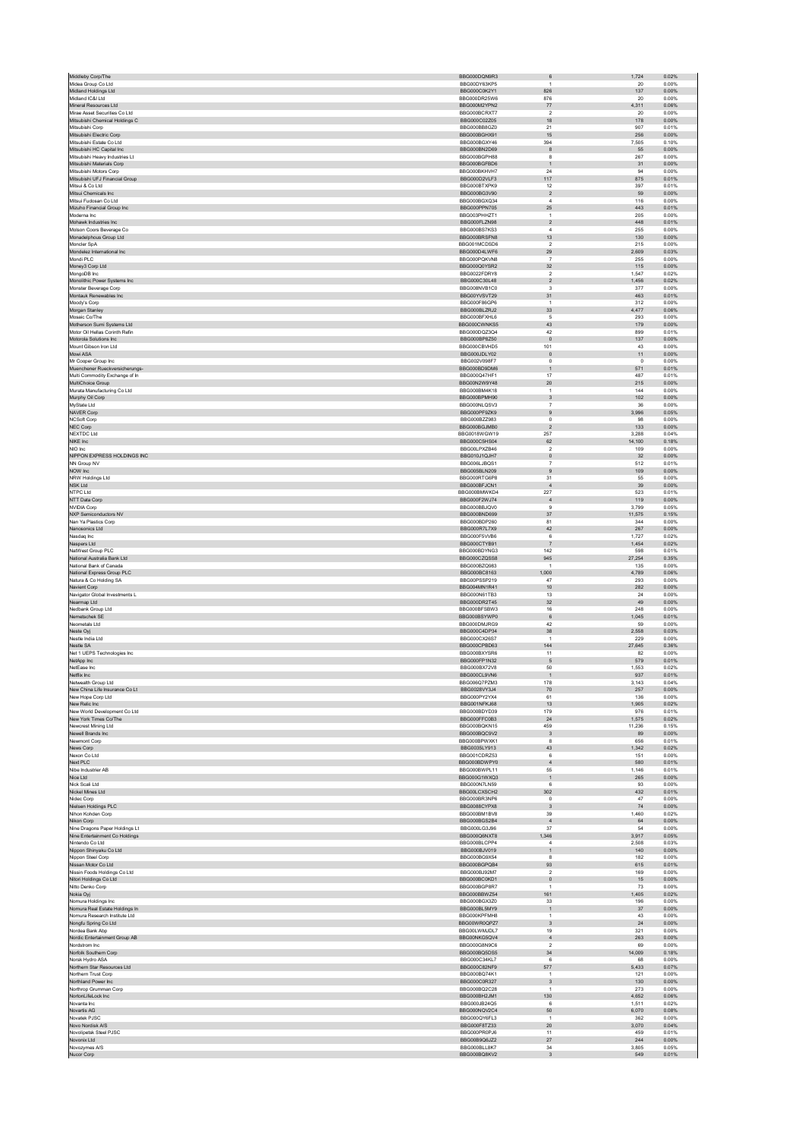| Middleby Corp/The                                               | BBG000DQN9R3                 | $\,6$                             | 1,724          | 0.02%          |
|-----------------------------------------------------------------|------------------------------|-----------------------------------|----------------|----------------|
| Midea Group Co Ltd                                              | BBG00DY63KP5                 | 1                                 | 20             | 0.00%          |
| Midland Holdings Ltd                                            | BBG000C0K2Y1                 | 826                               | 137            | 0.00%          |
| Midland IC&I Ltd                                                | BBG000DR25W6                 | 876                               | 20             | 0.00%          |
| Mineral Resources Ltd                                           | BBG000M2YPN2                 | 77                                | 4,311          | 0.06%          |
| Mirae Asset Securities Co Ltd<br>Mitsubishi Chemical Holdings C | BBG000BCRXT7<br>BBG000C02Z05 | $\overline{2}$<br>18              | $20\,$<br>178  | 0.00%<br>0.00% |
| Mitsubishi Corp                                                 | BBG000BB8GZ0                 | 21                                | 907            | 0.01%          |
| Mitsubishi Electric Corp                                        | BBG000BGHX91                 | 15                                | 256            | 0.00%          |
| Mitsubishi Estate Co Ltd                                        | BBG000BGXY46                 | 394                               | 7,505          | 0.10%          |
| Mitsubishi HC Capital Inc                                       | BBG000BN2D69                 | $^{\rm 8}$                        | 55             | 0.00%          |
| Mitsubishi Heavy Industries I t                                 | BBG000BGPH88                 | 8                                 | 267            | 0.00%          |
| Mitsubishi Materials Corp                                       | BBG000BGFBD6                 | $\mathbf{1}$                      | 31             | 0.00%          |
| Mitsubishi Motors Corp                                          | BBG000BKHVH7                 | 24                                | 94             | 0.00%          |
| Mitsubishi UFJ Financial Group                                  | BBG000D2VLF3                 | 117                               | 875            | 0.01%          |
| Mitsui & Co Ltd                                                 | BBG000BTXPK9                 | 12                                | 397            | 0.01%          |
| Mitsui Chemicals Inc.                                           | BBG000BG3V90                 | $\overline{2}$                    | 59             | 0.00%          |
| Mitsui Fudosan Co Ltd                                           | BBG000BGXQ34                 | $\overline{4}$                    | 116            | 0.00%          |
| Mizuho Financial Group Inc.                                     | BBG000PPN705                 | 25                                | 443            | 0.01%          |
| Moderna Inc.                                                    | BBG003PHHZT1                 | 1                                 | 205            | 0.00%          |
| Mohawk Industries Inc<br>Molson Coors Beverage Co.              | BBG000FLZN98                 | $\boldsymbol{2}$                  | 448            | 0.01%          |
|                                                                 | BBG000BS7KS3                 | $\overline{4}$                    | 255            | 0.00%          |
| Monadelphous Group Ltd<br>Moncler SpA                           | BBG000BRSFN8<br>BBG001MCDSD6 | 13<br>$\overline{\mathbf{2}}$     | 130<br>215     | 0.00%<br>0.00% |
| Mondelez International Inc.                                     | BBG000D4LWF6                 | 29                                | 2,609          | 0.03%          |
| Mondi PLC                                                       | BBG000PQKVN8                 | $\overline{7}$                    | 255            | 0.00%          |
| Money3 Corp Ltd                                                 | BBG000Q0YSR2                 | 32                                | 115            | 0.00%          |
| MongoDB Inc                                                     | BBG0022FDRY8                 | $\boldsymbol{2}$                  | 1,547          | 0.02%          |
| Monolithic Power Systems Inc                                    | BBG000C30L48                 | $\overline{2}$                    | 1,456          | 0.02%          |
| Monster Beverage Corp                                           | BBG008NVB1C0                 | 3                                 | 377            | 0.00%          |
| Montauk Renewables Inc                                          | BBG00YVSVT29                 | 31                                | 463            | 0.01%          |
| Moody's Corp                                                    | BBG000F86GP6                 | $\mathbf{1}$                      | 312            | 0.00%          |
| Morgan Stanley                                                  | BBG000BLZRJ2                 | 33                                | 4,477          | 0.06%          |
| Mosaic Co/The                                                   | BBG000BFXHL6                 | 5                                 | 293            | 0.00%          |
| Motherson Sumi Systems Ltd                                      | BBG000CWNKS5                 | 43                                | 179            | 0.00%          |
| Motor Oil Hellas Corinth Refin                                  | BBG000DQZ3Q4                 | 42                                | 899            | 0.01%          |
| Motorola Solutions Inc.                                         | BBG000BP8Z50                 | $\,$ 0                            | 137            | 0.00%          |
| Mount Gibson Iron Ltd                                           | BBG000CBVHD5                 | 101                               | 43             | 0.00%          |
| Mowi ASA                                                        | BBG000JDLY02                 | $\mathbf 0$                       | 11             | 0.00%          |
| Mr Cooper Group Inc.                                            | BBG002V098F7                 | $^{\circ}$                        | $\circ$        | 0.00%          |
| Muenchener Rueckversicherungs-                                  | BBG000BD9DM6                 | $\mathbf{1}$                      | 571            | 0.01%          |
| Multi Commodity Exchange of In                                  | BBG000Q47HF1                 | 17                                | 487            | 0.01%          |
| MultiChoice Group                                               | BBG00N2W9Y48<br>BBG000BM4K18 | $20\,$<br>$\mathbf{1}$            | 215<br>144     | 0.00%<br>0.00% |
| Murata Manufacturing Co Ltd<br>Murphy Oil Corp                  | BBG000BPMH90                 | 3                                 | 102            | 0.00%          |
| MyState Ltd                                                     | BBG000NLQSV3                 | $\overline{7}$                    | $36\,$         | 0.00%          |
| <b>NAVER Corp</b>                                               | BBG000PF9ZK9                 | 9                                 | 3,996          | 0.05%          |
| NCSoft Corp                                                     | BBG000BZZ983                 | $\pmb{0}$                         | 98             | 0.00%          |
| NEC Corp                                                        | BBG000BGJMB0                 | $\overline{2}$                    | 133            | 0.00%          |
| NEXTDC Ltd                                                      | BBG0018WGW19                 | 257                               | 3.288          | 0.04%          |
| NIKE Inc                                                        | BBG000C5HS04                 | 62                                | 14,100         | 0.18%          |
| NIO Inc                                                         | BBG00LPXZB46                 | $\overline{2}$                    | 109            | 0.00%          |
| NIPPON EXPRESS HOLDINGS INC                                     | BBG010J1QJH7                 | $\mathsf{O}\xspace$               | 32             | 0.00%          |
| NN Group NV                                                     | BBG006LJBQS1                 | $\overline{7}$                    | 512            | 0.01%          |
| NOW Inc                                                         | BBG005BLN209                 | $\overline{9}$                    | 109            | 0.00%          |
| NRW Holdings Ltd                                                | BBG000RTG6P8                 | 31                                | 55             | 0.00%          |
| <b>NSK Ltd</b>                                                  | BBG000BFJCN1                 | $\overline{4}$                    | $39\,$         | 0.00%          |
| NTPC Ltd                                                        | BBG000BMWKD4                 | 227                               | 523            | 0.01%          |
| NTT Data Corp                                                   | BBG000F2WJ74                 | $\sqrt{4}$                        | 119            | 0.00%          |
| NVIDIA Corp                                                     | BBG000BBJQV0                 | 9                                 | 3.799          | 0.05%          |
| NXP Semiconductors NV                                           | BBG000BND699                 | 37                                | 11,575         | 0.15%          |
| Nan Ya Plastics Corp.                                           | BBG000BDP260                 | 81                                | 344            | 0.00%          |
| Nanosonics Ltd                                                  | BBG000R7L7X9                 | 42                                | 267            | 0.00%          |
| Nasdaq Inc<br>Naspers Ltd                                       | BBG000F5VVB6<br>BBG000CTYB91 | 6<br>$\overline{7}$               | 1,727<br>1.454 | 0.02%<br>0.02% |
| NatWest Group PLC                                               | BBG000BDYNG3                 | 142                               | 598            | 0.01%          |
| National Australia Bank Ltd                                     | BBG000CZQSS8                 | 945                               | 27,254         | 0.35%          |
|                                                                 |                              |                                   |                |                |
|                                                                 |                              |                                   |                |                |
| National Bank of Canada                                         | BBG000BZQ983                 | $\mathbf{1}$                      | 135            | 0.00%          |
| National Express Group PLC<br>Natura & Co Holding SA            | BBG000BC8163<br>BBG00PSSP219 | 1,000<br>47                       | 4,789<br>293   | 0.06%<br>0.00% |
| Navient Corp                                                    | BBG004MN1R41                 | 10                                | 282            | 0.00%          |
| Navigator Global Investments L                                  | BBG000N61TB3                 | 13                                | 24             | 0.00%          |
| Nearmap Ltd                                                     | BBG000DR2T45                 | 32                                | 49             | 0.00%          |
| Nedbank Group Ltd                                               | BBG000BFSBW3                 | 16                                | 248            | 0.00%          |
| Nemetschek SE                                                   | BBG000BSYWP0                 | 6                                 | 1,045          | 0.01%          |
| Neometals Ltd                                                   | BBG000DMJRG9                 | 42                                | 59             | 0.00%          |
| Neste Oyj                                                       | BBG000C4DP34                 | 38                                | 2,558          | 0.03%          |
| Nestle India Ltd                                                | BBG000CX26S7                 | 1                                 | 229            | 0.00%          |
| Nestle SA                                                       | BBG000CPBD63                 | 144                               | 27,645         | 0.36%          |
| Net 1 UEPS Technologies Inc.                                    | BBG000BXYSR6                 | 11                                | 82             | 0.00%          |
| NetApp Inc                                                      | BBG000FP1N32                 | $\mathsf S$                       | 579            | 0.01%          |
| NetEase Inc.                                                    | <b>BBG000BX72V8</b>          | 50                                | 1.553          | 0.02%          |
| Netflix Inc                                                     | BBG000CL9VN6                 | $\mathbf{1}$                      | 937            | 0.01%          |
| Netwealth Group Ltd                                             | BBG006Q7PZM3                 | 178                               | 3,143          | 0.04%          |
| New China Life Insurance Co Lt                                  | BBG0028VY3J4                 | 70                                | 257            | 0.00%          |
| New Hope Corp Ltd                                               | BBG000PY2YX4                 | 61                                | 136            | 0.00%          |
| New Relic Inc<br>New World Development Co Ltd                   | BBG001NFKJ68<br>BBG000BDYD39 | 13<br>179                         | 1,905<br>976   | 0.02%<br>0.01% |
|                                                                 | BBG000FFC0B3                 | $24\,$                            | 1,575          | 0.02%          |
| New York Times Co/The<br>Newcrest Mining Ltd                    | BBG000BQKN15                 | 459                               | 11.236         | 0.15%          |
| Newell Brands Inc.                                              | BBG000BQC9V2                 | $_{\rm 3}$                        | 89             | 0.00%          |
| Newmont Corp                                                    | BBG000BPWXK1                 | 8                                 | 656            | 0.01%          |
| News Corp                                                       | BBG0035LY913                 | 43                                | 1,342          | 0.02%          |
| Nexon Co Ltd                                                    | BBG001CDRZ53                 | 6                                 | 151            | 0.00%          |
| Next PLC                                                        | BBG000BDWPY0                 | $\overline{4}$                    | 580            | 0.01%          |
| Nibe Industrier AB                                              | BBG000BWPL11                 | 55                                | 1,146          | 0.01%          |
| Nice Ltd                                                        | BBG000G1WXQ3                 | $\mathbf{1}$                      | 265            | 0.00%          |
| Nick Scali Ltd                                                  | BBG000N7LN59                 | 6                                 | 93             | 0.00%          |
| Nickel Mines Ltd                                                | BBG00LCXSCH2                 | 302                               | 432            | 0.01%          |
| Nidec Corp                                                      | BBG000BR3NP6                 | $^{\circ}$                        | 47             | 0.00%          |
| Nielsen Holdings PLC                                            | BBG0088CYPX8                 | $\ensuremath{\mathsf{3}}$         | ${\bf 74}$     | 0.00%          |
| Nihon Kohden Corp                                               | BBG000BM1BV8                 | 39                                | 1,460          | 0.02%          |
| Nikon Corp                                                      | BBG000BGS2B4                 | $\sqrt{4}$                        | 64             | 0.00%          |
| Nine Dragons Paper Holdings Lt                                  | BBG000LG3J96<br>BBG000Q6NXT8 | 37<br>1.346                       | 54<br>3.917    | 0.00%<br>0.05% |
| Nine Entertainment Co Holdings<br>Nintendo Co Ltd               | BBG000BLCPP4                 | $\overline{4}$                    | 2,508          | 0.03%          |
| Nippon Shinyaku Co Ltd                                          | BBG000BJV019                 | $\mathbf{1}$                      | 140            | 0.00%          |
| Nippon Steel Corp                                               | BBG000BG9X54                 | 8                                 | 182            | 0.00%          |
| Nissan Motor Co Ltd                                             | BBG000BGPQB4                 | 93                                | 615            | 0.01%          |
| Nissin Foods Holdings Co Ltd                                    | BBG000BJ92M7                 | $\overline{2}$                    | 169            | 0.00%          |
| Nitori Holdings Co Ltd                                          | BBG000BC0KD1                 | $\mathsf{O}\xspace$               | 15             | 0.00%          |
| Nitto Denko Corp                                                | BBG000BGP8R7                 | $\mathbf{1}$                      | 73             | 0.00%          |
| Nokia Oyj                                                       | BBG000BBWZ54                 | 161                               | 1,405          | 0.02%          |
| Nomura Holdings Inc                                             | BBG000BGX3Z0                 | 33                                | 196            | 0.00%          |
| Nomura Real Estate Holdings In                                  | BBG000BL5MY9                 | $\mathbf{1}$                      | 37             | 0.00%          |
| Nomura Research Institute Ltd                                   | BBG000KPFMH8                 | 1                                 | 43             | 0.00%          |
| Nongfu Spring Co Ltd                                            | BBG00WR0QPZ7                 | $\sqrt{3}$                        | 24             | 0.00%          |
| Nordea Bank Abp                                                 | BBG00LWMJDL7                 | 19                                | 321            | 0.00%          |
| Nordic Entertainment Group AB<br>Nordstrom Inc.                 | BBG00NKG5QV4<br>BBG000G8N9C6 | $\sqrt{4}$<br>$\overline{2}$      | 263<br>69      | 0.00%<br>0.00% |
|                                                                 |                              |                                   |                |                |
| Norfolk Southern Corp                                           | BBG000BQ5DS5<br>BBG000C34KL7 | 34<br>6                           | 14,009<br>68   | 0.18%<br>0.00% |
| Norsk Hydro ASA<br>Northern Star Resources Ltd                  | BBG000C82NF9                 | 577                               | 5,433          | 0.07%          |
| Northern Trust Corp                                             | BBG000BQ74K1                 | $\overline{1}$                    | 121            | 0.00%          |
| Northland Power Inc.                                            | BBG000C0R327                 | 3                                 | 130            | 0.00%          |
| Northrop Grumman Corp                                           | BBG000BQ2C28                 | $\mathbf{1}$                      | 273            | 0.00%          |
| NortonLifeLock Inc                                              | BBG000BH2JM1                 | 130                               | 4.652          | 0.06%          |
| Novanta Inc.                                                    | BBG000JB24Q5                 | 6                                 | 1.511          | 0.02%          |
| Novartis AG                                                     | BBG000NQV2C4                 | 50                                | 6,070          | 0.08%          |
| Novatek PJSC                                                    | BBG000QY6FL3                 | 1                                 | 362            | 0.00%          |
| Novo Nordisk A/S                                                | BBG000F8TZ33                 | $20\,$                            | 3,070          | 0.04%          |
| Novolipetsk Steel PJSC                                          | BBG000PR0PJ6                 | 11                                | 459            | 0.01%          |
| Novonix Ltd                                                     | BBG00B9Q6JZ2                 | 27                                | 244            | 0.00%          |
| Novozymes A/S<br>Nucor Corp                                     | BBG000BLL8K7<br>BBG000BQ8KV2 | $34\,$<br>$\overline{\mathbf{3}}$ | 3,805<br>549   | 0.05%<br>0.01% |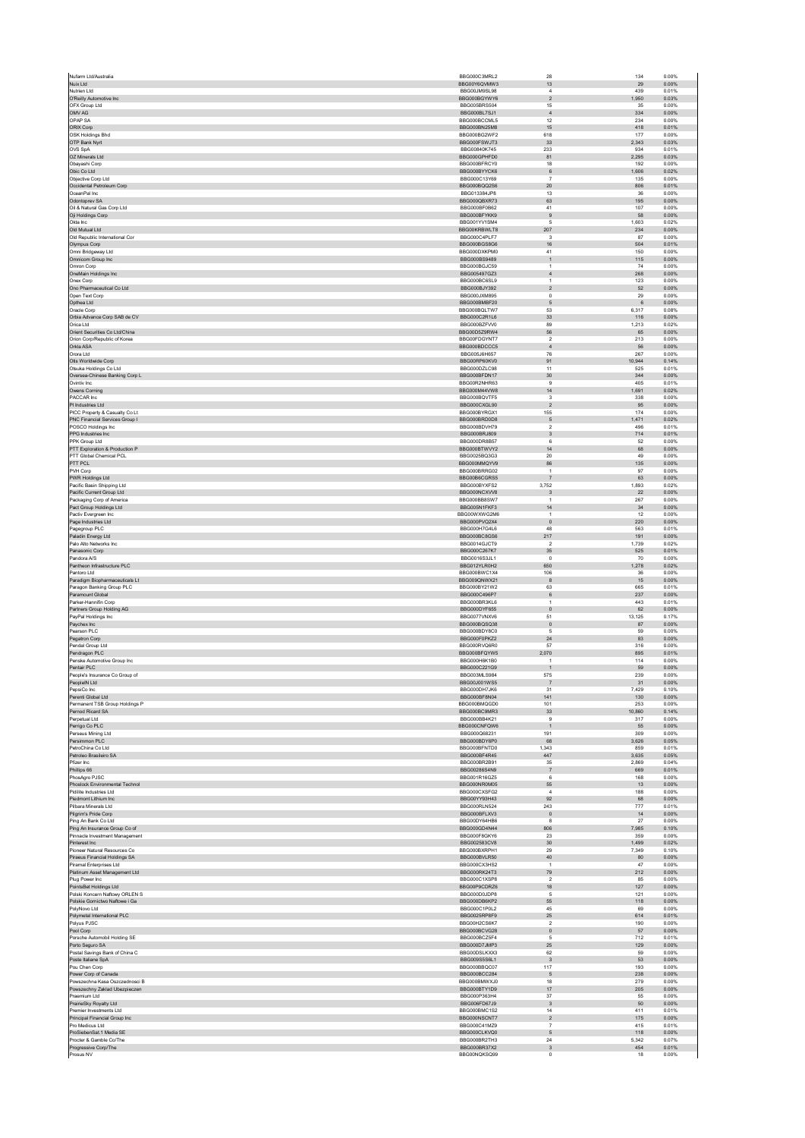| Nuix Ltd                                                        | BBG000C3MRL2                 | 28                            | 134              | 0.00%          |
|-----------------------------------------------------------------|------------------------------|-------------------------------|------------------|----------------|
|                                                                 | BBG00Y6QVMW3                 | $13\,$                        | 29               | 0.00%          |
| Nutrien I td<br>O'Reilly Automotive Inc                         | BBG00JM9SL98<br>BBG000BGYWY6 | $\overline{4}$<br>$\sqrt{2}$  | 439<br>1,950     | 0.01%<br>0.03% |
| OFX Group Ltd                                                   | BBG005BRS504                 | 15                            | 35               | 0.00%          |
| OMV AG                                                          | BBG000BL7SJ1                 | $\sqrt{4}$                    | 334              | 0.00%          |
| OPAP SA                                                         | BBG000BCCML5                 | 12                            | 234              | 0.00%          |
| ORIX Corp<br>OSK Holdings Bhd                                   | BBG000BN25M8<br>BBG000BG2WF2 | 15<br>618                     | 418<br>177       | 0.01%<br>0.00% |
| OTP Bank Nyrt                                                   | BBG000FSWJT3                 | 33                            | 2,343            | 0.03%          |
| OVS SpA                                                         | BBG00840K745                 | 233                           | 934              | 0.01%          |
| OZ Minerals Ltd                                                 | BBG000GPHFD0                 | 81                            | 2,295            | 0.03%          |
| Obavashi Corp                                                   | BBG000BFRCY0                 | 18                            | 192              | 0.00%          |
| Obic Co Ltd<br>Objective Corp Ltd                               | BBG000BYYCK6<br>BBG000C13Y69 | $\,6\,$<br>$\overline{7}$     | 1,606<br>135     | 0.02%<br>0.00% |
| Occidental Petroleum Corp                                       | BBG000BQQ2S6                 | $20\,$                        | 806              | 0.01%          |
| OceanPal Inc.                                                   | BBG013384JP8                 | 13                            | 36               | 0.00%          |
| Odontoprey SA                                                   | BBG000QBXR73                 | 63                            | 195              | 0.00%          |
| Oil & Natural Gas Corp Ltd                                      | BBG000BF0B62                 | 41                            | 107              | 0.00%          |
| Oji Holdings Corp<br>Okta Inc                                   | BBG000BFYKK9<br>BBG001YV1SM4 | 9<br>$\sqrt{5}$               | 58<br>1,603      | 0.00%<br>0.02% |
| Old Mutual Ltd                                                  | BBG00KRBWLT8                 | 207                           | 234              | 0.00%          |
| Old Republic International Cor                                  | BBG000C4PLF7                 | 3                             | 87               | 0.00%          |
| Olympus Corp                                                    | BBG000BGS8G6                 | 16                            | 504              | 0.01%          |
| Omni Bridgeway Ltd                                              | BBG000DXKPM0                 | 41                            | 150              | 0.00%          |
| Omnicom Group Inc<br>Omron Corp                                 | BBG000BS9489<br>BBG000BGJC59 | $\mathbf 1$<br>$\overline{1}$ | 115<br>74        | 0.00%<br>0.00% |
| OneMain Holdings Inc                                            | BBG005497GZ3                 | $\overline{4}$                | 268              | 0.00%          |
| Onex Corp                                                       | BBG000BC6SL9                 | $\mathbf{1}$                  | 123              | 0.00%          |
| Ono Pharmaceutical Co Ltd                                       | BBG000BJY392                 | $\overline{2}$                | 52               | 0.00%          |
| Open Text Corp                                                  | BBG000JXM895                 | $\mathsf 0$                   | 29               | 0.00%          |
| Opthea Ltd<br>Oracle Corp                                       | BBG000BMBF20<br>BBG000BQLTW7 | $\mathbf 5$<br>53             | $\,6\,$<br>6.317 | 0.00%<br>0.08% |
| Orbia Advance Corp SAB de CV                                    | BBG000C2R1L6                 | 33                            | 116              | 0.00%          |
| Orica Ltd                                                       | BBG000BZFW0                  | 89                            | 1,213            | 0.02%          |
| Orient Securities Co Ltd/China                                  | BBG00D5Z9RW4                 | 56                            | 65               | 0.00%          |
| Orion Corp/Republic of Korea<br>Orkla ASA                       | BBG00FDGYNT7<br>BBG000BDCCC5 | $\sqrt{2}$                    | 213              | 0.00%<br>0.00% |
| Orora Ltd                                                       | BBG005J6H657                 | $\overline{4}$<br>76          | 56<br>267        | 0.00%          |
| Otis Worldwide Corp                                             | BBG00RP60KV0                 | 91                            | 10,944           | 0.14%          |
| Otsuka Holdings Co Ltd                                          | BBG000DZLC98                 | 11                            | 525              | 0.01%          |
| Oversea-Chinese Banking Corp L                                  | BBG000BFDN17                 | $30\,$                        | 344              | 0.00%          |
| Ovintiv Inc.                                                    | BBG00R2NHR63                 | 9                             | 405              | 0.01%          |
| Owens Corning<br>PACCAR Inc.                                    | BBG000M44VW8<br>BBG000BQVTF5 | 14<br>3                       | 1,691<br>338     | 0.02%<br>0.00% |
| PI Industries Ltd                                               | BBG000CXGL90                 | $\sqrt{2}$                    | 95               | 0.00%          |
| PICC Property & Casualty Co Lt                                  | BBG000BYRGX1                 | 155                           | 174              | 0.00%          |
| PNC Financial Services Group I                                  | BBG000BRD0D8                 | 5                             | 1.471            | 0.02%          |
| POSCO Holdings Inc                                              | BBG000BDVH79                 | $\sqrt{2}$                    | 496              | 0.01%          |
| PPG Industries Inc<br>PPK Group Ltd                             | BBG000BRJ809<br>BBG000DR8B57 | $\mathbf{3}$<br>6             | 714<br>52        | 0.01%<br>0.00% |
| PTT Exploration & Production P                                  | BBG000BTWVY2                 | 14                            | 68               | 0.00%          |
| PTT Global Chemical PCL                                         | BBG0025BQ3G3                 | 20                            | 49               | 0.00%          |
| PTT PCL                                                         | BBG000MMQYV9                 | 86                            | 135              | 0.00%          |
| PVH Corp                                                        | BBG000BRRG02                 | $\overline{1}$                | 97               | 0.00%          |
| PWR Holdings Ltd<br>Pacific Basin Shipping Ltd                  | BBG00B6CGRS5<br>BBG000BYXFS2 | $\overline{7}$<br>3,752       | 63<br>1,893      | 0.00%<br>0.02% |
| Pacific Current Group Ltd                                       | BBG000NCXVV8                 | $\overline{\mathbf{3}}$       | 22               | 0.00%          |
| Packaging Corp of America                                       | BBG000BB8SW7                 | $\overline{1}$                | 267              | 0.00%          |
| Pact Group Holdings Ltd                                         | BBG005N1FKF3                 | 14                            | 34               | 0.00%          |
| Pactiv Evergreen Inc                                            | BBG00WXWG2M6                 | $\overline{1}$                | 12               | 0.00%          |
| Page Industries Ltd<br>Pagegroup PLC                            | BBG000PVQ2X4<br>BBG000H7G4L6 | $\mathbf 0$<br>48             | 220<br>563       | 0.00%<br>0.01% |
| Paladin Energy Ltd                                              | BBG000BC8GS6                 | 217                           | 191              | 0.00%          |
| Palo Alto Networks Inc.                                         | BBG0014GJCT9                 | $\overline{2}$                | 1,739            | 0.02%          |
| Panasonic Corp                                                  | BBG000C267K7                 | $35\,$                        | 525              | 0.01%          |
| Pandora A/S                                                     | BBG0016S3JL1                 | $\,0\,$                       | 70               | 0.00%          |
| Pantheon Infrastructure PLC<br>Pantoro Ltd                      | BBG012YLR0H2                 | 650                           | 1.278<br>$36\,$  | 0.02%<br>0.00% |
|                                                                 |                              |                               |                  |                |
|                                                                 | BBG000BWC1X4                 | 106                           |                  |                |
| Paradigm Biopharmaceuticals Lt                                  | BBG009QNWX21                 | $\boldsymbol{8}$              | 15               | 0.00%          |
| Paragon Banking Group PLC<br>Paramount Global                   | BBG000BY21W2<br>BBG000C496P7 | 63<br>$\,6\,$                 | 665<br>237       | 0.01%<br>0.00% |
| Parker-Hannifin Corp.                                           | BBG000BR3KL6                 | $\overline{1}$                | 443              | 0.01%          |
| Partners Group Holding AG                                       | BBG000DYF655                 | $\overline{0}$                | 62               | 0.00%          |
| PayPal Holdings Inc.                                            | BBG0077VNXV6                 | 51                            | 13,125           | 0.17%          |
| Paychex Inc                                                     | BBG000BQSQ38<br>BBG000BDY8C0 | $\,$ 0<br>5                   | 87               | 0.00%          |
| Pearson PLC<br>Pegatron Corp                                    | BBG000F0PKZ2                 | 24                            | 59<br>83         | 0.00%<br>0.00% |
| Pendal Group Ltd                                                | BBG000RVQ6R0                 | 57                            | 316              | 0.00%          |
| Pendragon PLC                                                   | BBG000BFQYW5                 | 2,070                         | 895              | 0.01%          |
| Penske Automotive Group Inc                                     | BBG000H6K1B0                 | $\overline{1}$                | 114              | 0.00%          |
| Pentair PLC<br>People's Insurance Co Group of                   | BBG000C221G9<br>BBG003MLS984 | $\mathbf{1}$<br>575           | 59<br>239        | 0.00%<br>0.00% |
| PeopleIN Ltd                                                    | BBG00J001WS5                 | $\overline{7}$                | 31               | 0.00%          |
| PepsiCo Inc.                                                    | BBG000DH7JK6                 | 31                            | 7,429            | 0.10%          |
| Perenti Global Ltd                                              | BBG000BF8N04                 | 141                           | 130              | 0.00%          |
| Permanent TSB Group Holdings P<br>Pernod Ricard SA              | BBG000BMQGD0<br>BBG000BC9MR3 | 101<br>33                     | 253<br>10.860    | 0.00%<br>0.14% |
| Perpetual Ltd                                                   | BBG000BB4K21                 | $\overline{9}$                | 317              | 0.00%          |
| Perrigo Co PLC                                                  | BBG000CNFQW6                 | $\mathbf{1}$                  | 55               | 0.00%          |
| Perseus Mining Ltd                                              | BBG000Q68231                 | 191                           | 309              | 0.00%          |
| Persimmon PLC                                                   | BBG000BDY6P0                 | 68                            | 3,626            | 0.05%          |
| PetroChina Co Ltd<br>Petroleo Brasileiro SA                     | BBG000BFNTD0<br>BBG000BF4R45 | 1.343<br>447                  | 859<br>3,635     | 0.01%<br>0.05% |
| Pfizer Inc.                                                     | BBG000BR2B91                 | 35                            | 2.869            | 0.04%          |
| Phillips 66                                                     | BBG00286S4N9                 | $\overline{7}$                | 669              | 0.01%          |
| PhosAgro PJSC                                                   | BBG001R16GZ5                 | 6                             | 168              | 0.00%          |
| Phoslock Environmental Technol<br>Pidilite Industries Ltd       | BBG000NR0M05<br>BBG000CXSFG2 | 55<br>$\overline{4}$          | 13<br>188        | 0.00%<br>0.00% |
| Piedmont Lithium Inc                                            | BBG00YY93H43                 | 92                            | 68               | 0.00%          |
| Pilbara Minerals Ltd                                            | <b>BBG000RLN524</b>          | 243                           | 777              | 0.01%          |
| Pilgrim's Pride Corp                                            | BBG000BFLXV3                 | $\,$ 0                        | 14               | 0.00%          |
| Ping An Bank Co Ltd                                             | BBG00DY64HB6                 | 8                             | 27               | 0.00%          |
| Ping An Insurance Group Co of<br>Pinnacle Investment Management | BBG000GD4N44<br>BBG000F8GKY6 | 806<br>23                     | 7,985<br>359     | 0.10%<br>0.00% |
| Pinterest Inc                                                   | BBG002583CV8                 | 30                            | 1.499            | 0.02%          |
| Pioneer Natural Resources Co                                    | BBG000BXRPH1                 | 29                            | 7,349            | 0.10%          |
| Piraeus Financial Holdings SA                                   | BBG000BVLR50                 | 40                            | 80               | 0.00%          |
| Piramal Enterprises Ltd                                         | BBG000CX3HS2<br>BBG000RK24T3 | $\overline{1}$<br>79          | 47<br>212        | 0.00%<br>0.00% |
| Platinum Asset Management Ltd<br>Plug Power Inc                 | BBG000C1XSP8                 | $\overline{2}$                | 85               | 0.00%          |
| PointsBet Holdings Ltd                                          | BBG00P9CDRZ6                 | 18                            | 127              | 0.00%          |
| Polski Koncern Naftowy ORLEN S                                  | BBG000D0JDP8                 | 5                             | 121              | 0.00%          |
| Polskie Gornictwo Naftowe i Ga                                  | BBG000DB6KP2                 | 55                            | 118              | 0.00%          |
| PolyNovo Ltd                                                    | BBG000C1P0L2<br>BBG0025RP8F9 | 45<br>25                      | 69<br>614        | 0.00%<br>0.01% |
| Polymetal International PLC<br>Polyus PJSC                      | BBG00H2CS6K7                 | $\overline{2}$                | 190              | 0.00%          |
| Pool Corp                                                       | BBG000BCVG28                 | $\mathbf{0}$                  | 57               | 0.00%          |
| Porsche Automobil Holding SE                                    | BBG000BCZ5F4                 | 5                             | 712              | 0.01%          |
| Porto Seguro SA                                                 | BBG000D7JMP3                 | 25                            | 129              | 0.00%          |
| Postal Savings Bank of China C                                  | BBG00DSLKXX3                 | 62                            | 59               | 0.00%          |
| Poste Italiane SpA<br>Pou Chen Corp                             | BBG009S5S6L1<br>BBG000BBQC07 | $\mathbf{3}$<br>117           | 53<br>193        | 0.00%<br>0.00% |
| Power Corp of Canada                                            | BBG000BCC284                 | 5                             | 238              | 0.00%          |
| Powszechna Kasa Oszczednosci B                                  | BBG000BMWXJ0                 | 18                            | 279              | 0.00%          |
| Powszechny Zaklad Ubezpieczen                                   | BBG000BTY1D9                 | 17                            | 205              | 0.00%          |
| Praemium Ltd                                                    | BBG000P363H4<br>BBG006FD67J9 | $37\,$                        | 55<br>50         | 0.00%<br>0.00% |
| PrairieSky Royalty Ltd<br>Premier Investments Ltd               | BBG000BMC1S2                 | $_{\rm 3}$<br>14              | 411              | 0.01%          |
| Principal Financial Group Inc                                   | BBG000NSCNT7                 | $\overline{2}$                | 175              | 0.00%          |
| Pro Medicus Ltd                                                 | BBG000C41MZ9                 | $\overline{7}$                | 415              | 0.01%          |
| ProSiebenSat.1 Media SE                                         | BBG000CLKVQ0                 | $\mathbf 5$                   | 118              | 0.00%          |
| Procter & Gamble Co/The<br>Progressive Corp/The                 | BBG000BR2TH3<br>BBG000BR37X2 | 24<br>$_{\rm 3}$              | 5.342<br>454     | 0.07%<br>0.01% |
| Prosus NV                                                       | BBG00NQKSQ99                 | $\mathbf 0$                   | 18               | 0.00%          |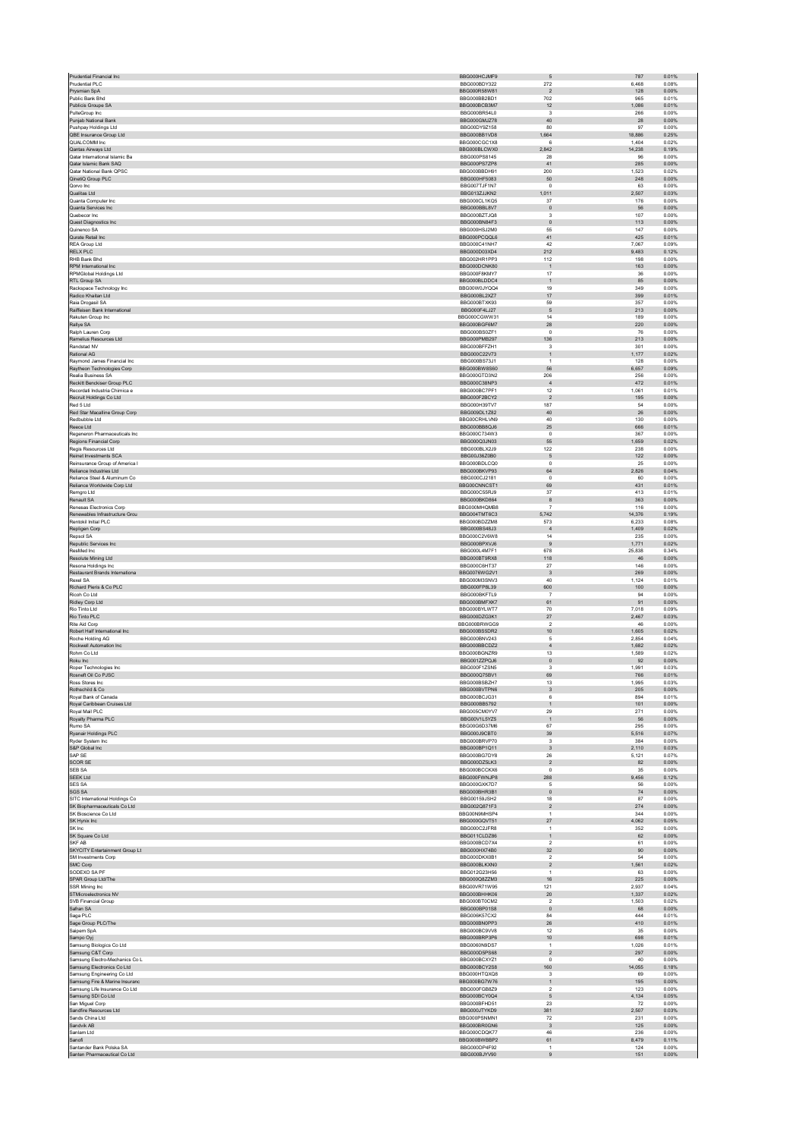| Prudential Financial Inc                                        | BBG000HCJMF9                  | 5                              | 787<br>0.01%                     |
|-----------------------------------------------------------------|-------------------------------|--------------------------------|----------------------------------|
| Prudential PLC<br>Prysmian SpA                                  | BBG000BDY322<br>BBG000R58W81  | 272<br>$\overline{2}$          | 6.468<br>0.08%<br>128<br>0.00%   |
| Public Bank Bhd                                                 | BBG000BB2BD1                  | 702                            | 965<br>0.01%                     |
| Publicis Groupe SA                                              | BBG000BCB3M7                  | 12                             | 1.086<br>0.01%                   |
| PulteGroup Inc                                                  | BBG000BR54L0                  | 3                              | 266<br>0.00%                     |
| Punjab National Bank<br>Pushpay Holdings Ltd                    | BBG000GMJZ78<br>BBG00DY9Z158  | $40\,$<br>80                   | 28<br>0.00%<br>97<br>0.00%       |
| QBE Insurance Group Ltd                                         | BBG000BB1VD8                  | 1,664                          | 18,886<br>0.25%                  |
| OLIAL COMM Inc.                                                 | BBG000CGC1X8                  | 6                              | 0.02%<br>1.404                   |
| Qantas Airways Ltd<br>Qatar International Islamic Ba            | BBG000BLCWX0<br>BBG000PS8145  | 2,842<br>28                    | 14,238<br>0.19%<br>96<br>0.00%   |
| Qatar Islamic Bank SAQ                                          | BBG000PS7ZP8                  | 41                             | 285<br>0.00%                     |
| Qatar National Bank QPSC                                        | BBG000BBDH91                  | 200                            | 1,523<br>0.02%                   |
| QinetiQ Group PLC                                               | BBG000HF5083                  | 50                             | 248<br>0.00%                     |
| Qorvo Inc<br>Qualitas Ltd                                       | BBG007TJF1N7<br>BBG013ZJJKN2  | $\mathsf 0$<br>1,011           | 63<br>0.00%<br>2,507<br>0.03%    |
| Quanta Computer Inc.                                            | BBG000CL1KQ5                  | 37                             | 176<br>0.00%                     |
| Quanta Services Inc                                             | BBG000BBL8V7                  | $\mathbf 0$                    | 56<br>0.00%                      |
| Quebecor Inc.                                                   | BBG000BZT.IO8                 | $\mathbf{3}$                   | 107<br>0.00%                     |
| Quest Diagnostics Inc<br>Quinenco SA                            | BBG000BN84F3<br>BBG000HS.I2M0 | $\mathbf 0$<br>55              | 113<br>0.00%<br>147<br>0.00%     |
| Qurate Retail Inc.                                              | BBG000PCQQL6                  | 41                             | 425<br>0.01%                     |
| REA Group Ltd                                                   | BBG000C41NH7                  | 42                             | 7,067<br>0.09%                   |
| <b>RELX PLC</b>                                                 | BBG000D03XD4                  | 212                            | 9,483<br>0.12%                   |
| RHB Bank Bhd<br>RPM International Inc                           | BBG002HR1PP3<br>BBG000DCNK80  | 112<br>$\mathbf 1$             | 198<br>0.00%<br>163<br>0.00%     |
| <b>RPMGlobal Holdings Ltd</b>                                   | BBG000F8KMY7                  | 17                             | 36<br>0.00%                      |
| RTL Group SA                                                    | BBG000BLDDC4                  | $\mathbf{1}$                   | 85<br>0.00%                      |
| Rackspace Technology Inc<br>Radico Khaitan Ltd                  | BBG00W0.IYOO4<br>BBG000BL2XZ7 | 19<br>$17\,$                   | 349<br>0.00%<br>399<br>0.01%     |
| Raia Drogasil SA                                                | BBG000BTXK93                  | 59                             | 357<br>0.00%                     |
| Raiffeisen Bank International                                   | BBG000F4LJ27                  | 5                              | 213<br>0.00%                     |
| Rakuten Group Inc                                               | BBG000CGWW31                  | 14                             | 189<br>0.00%                     |
| Rallye SA<br>Ralph Lauren Corp                                  | BBG000BGF6M7<br>BBG000BS0ZF1  | 28<br>$\mathsf 0$              | 220<br>0.00%<br>76<br>0.00%      |
| Ramelius Resources Ltd                                          | BBG000PMB297                  | 136                            | 213<br>0.00%                     |
| Randstad NV                                                     | BBG000BFFZH1                  | 3                              | 301<br>0.00%                     |
| Rational AG<br>Raymond James Financial Inc.                     | BBG000C22V73<br>BBG000BS73.11 | $\mathbf{1}$<br>$\overline{1}$ | 1,177<br>0.02%<br>128<br>0.00%   |
| Raytheon Technologies Corp                                      | BBG000BW8S60                  | 56                             | 6,657<br>0.09%                   |
| Realia Business SA                                              | BBG000GTD3N2                  | 206                            | 256<br>0.00%                     |
| Reckitt Benckiser Group PLC                                     | BBG000C38NP3                  | $\overline{4}$                 | 472<br>0.01%                     |
| Recordati Industria Chimica e<br>Recruit Holdings Co Ltd        | BBG000BC7PF1<br>BBG000F2BCY2  | 12<br>$\overline{2}$           | 1,061<br>0.01%<br>195<br>0.00%   |
| Red 5 Ltd                                                       | BBG000H39TV7                  | 187                            | 54<br>0.00%                      |
| Red Star Macalline Group Corp                                   | BBG009DL1Z82                  | $40\,$                         | ${\bf 26}$<br>0.00%              |
| Redbubble Ltd                                                   | BBG00CRHLVN9                  | 40                             | 130<br>0.00%                     |
| Reece Ltd<br>Regeneron Pharmaceuticals Inc.                     | BBG000BB8QJ6<br>BBG000C734W3  | $25\,$<br>$\Omega$             | 666<br>0.01%<br>367<br>0.00%     |
| Regions Financial Corp                                          | BBG000Q3JN03                  | 55                             | 1,659<br>0.02%                   |
| Regis Resources Ltd                                             | BBG000BLX2J9                  | 122                            | 238<br>0.00%                     |
| Reinet Investments SCA                                          | BBG00J36Z0B0                  | 5                              | 122<br>0.00%                     |
| Reinsurance Group of America I<br>Reliance Industries Ltd       | BBG000BDLCQ0<br>BBG000BKVP93  | $\mathsf 0$<br>64              | 25<br>0.00%<br>2.826<br>0.04%    |
| Reliance Steel & Aluminum Co                                    | BBG000CJ2181                  | $\mathsf 0$                    | 60<br>0.00%                      |
| Reliance Worldwide Corp Ltd                                     | BBG00CNNCST1                  | 69                             | 431<br>0.01%                     |
| Remaro Ltd                                                      | BBG000C55RJ9                  | 37                             | 413<br>0.01%                     |
| Renault SA<br>Renesas Electronics Corp                          | BBG000BKD864<br>BBG000MHQMB8  | 8<br>$\overline{7}$            | 363<br>0.00%<br>116<br>0.00%     |
| Renewables Infrastructure Grou                                  | BBG004TMT6C3                  | 5,742                          | 14,376<br>0.19%                  |
| Rentokil Initial PLC                                            | BBG000BDZZM8                  | 573                            | 6,233<br>0.08%                   |
| Repligen Corp                                                   | BBG000BS48J3                  | $\overline{4}$                 | 1.409<br>0.02%                   |
| Repsol SA<br>Republic Services Inc.                             | BBG000C2V6W8<br>BBG000BPXVJ6  | 14<br>9                        | 235<br>0.00%<br>1,771<br>0.02%   |
| ResMed Inc                                                      | BBG000L4M7F1                  | 678                            | 25,838<br>0.34%                  |
| Resolute Mining Ltd                                             | BBG000BT9RX8                  | 118                            | 46<br>0.00%                      |
| Resona Holdings Inc.                                            | BBG000C6HT37                  | 27                             | 146<br>0.00%                     |
| Restaurant Brands Internationa<br>Rexel SA                      | BBG0076WG2V1<br>BBG000M3SNV3  | $\overline{\mathbf{3}}$<br>40  | 269<br>0.00%<br>1,124<br>0.01%   |
| Richard Pieris & Co PLC                                         | BBG000FP8L39                  | 600                            | 100<br>0.00%                     |
| Ricoh Co Ltd                                                    | BBG000BKFTL9                  | $\overline{7}$                 | 94<br>0.00%                      |
| Ridley Corp Ltd<br>Rio Tinto Ltd                                | BBG000BMFXK7<br>BBG000BYLWT7  | 61<br>70                       | 91<br>0.00%<br>7,018<br>0.09%    |
| Rio Tinto PLC                                                   | BBG000DZG3K1                  | 27                             | 2,467<br>0.03%                   |
| Rite Aid Corp                                                   | BBG000BRWGG9                  | $\overline{\mathbf{2}}$        | 46<br>0.00%                      |
| Robert Half International Inc.                                  | BBG000BS5DR2                  | 10 <sub>1</sub>                | 1,605<br>0.02%                   |
| Roche Holding AG<br>Rockwell Automation Inc                     | BBG000BNV243<br>BBG000BBCDZ2  | 5<br>$\sqrt{4}$                | 2.854<br>0.04%<br>1,682<br>0.02% |
| Rohm Co Ltd                                                     | BBG000BGNZR9                  | 13                             | 1.589<br>0.02%                   |
| Roku Inc                                                        | BBG001ZZPQJ6                  | $\mathbf 0$                    | 92<br>0.00%                      |
| Roper Technologies Inc.<br>Rosneft Oil Co PJSC                  | BBG000F1ZSN5<br>BBG000Q75BV1  | $\overline{\mathbf{3}}$<br>69  | 1,991<br>0.03%<br>0.01%<br>766   |
| Ross Stores Inc                                                 | BBG000BSBZH7                  | 13                             | 1,995<br>0.03%                   |
| Rothschild & Co                                                 | BBG000BVTPN6                  | $\mathbf{3}$                   | 0.00%<br>205                     |
| Royal Bank of Canada                                            | BBG000BCJG31                  | 6                              | 894<br>0.01%                     |
| Royal Caribbean Cruises Ltd<br>Royal Mail PLC                   | BBG000BB5792<br>BBG005CM0YV7  | $\mathbf 1$<br>29              | 101<br>0.00%<br>271<br>0.00%     |
| Royalty Pharma PLC                                              | BBG00V1L5YZ5                  | $\mathbf{1}$                   | 56<br>0.00%                      |
| Rumo SA                                                         | BBG00G6D37M6                  | 67                             | 295<br>0.00%                     |
| Ryanair Holdings PLC                                            | BBG000J9CBT0                  | 39                             | 5,516<br>0.07%                   |
| Ryder System Inc<br>S&P Global Inc                              | BBG000BRVP70<br>BBG000BP1Q11  | $\mathsf 3$<br>3               | 384<br>0.00%<br>2,110<br>0.03%   |
| SAP SE                                                          | BBG000BG7DY8                  | ${\bf 26}$                     | 5,121<br>0.07%                   |
| <b>SCOR SE</b>                                                  | BBG000DZ5LK3                  | $\overline{2}$                 | 82<br>0.00%                      |
| SEB SA<br><b>SEEK Ltd</b>                                       | BBG000BCCKX6<br>BBG000FWNJP8  | $\mathbf{0}$<br>288            | 35<br>0.00%<br>9,456<br>0.12%    |
| <b>SES SA</b>                                                   | BBG000GXK7D7                  | 5                              | 56<br>0.00%                      |
| SGS SA                                                          | BBG000BHR3B1                  | $\mathbf 0$                    | 74<br>0.00%                      |
| SITC International Holdings Co<br>SK Biopharmaceuticals Co Ltd. | BBG00159JSH2<br>BBG002Q871F3  | 18<br>$\overline{2}$           | 87<br>0.00%<br>0.00%<br>274      |
| SK Bioscience Co Ltd                                            |                               |                                | 344<br>0.00%                     |
| SK Hynix Inc                                                    | BBG00N9MHSP4                  | 1                              | 4.062<br>0.05%                   |
| SK Inc                                                          | BBG000GQVT51                  | 27                             |                                  |
|                                                                 | BBG000C2JFR8                  | $\,$ 1 $\,$                    | 352<br>0.00%                     |
| SK Square Co Ltd<br>SKF AB                                      | BBG011CLDZ86<br>BBG000BCD7X4  | $\mathbf{1}$<br>$\overline{2}$ | 62<br>0.00%<br>61<br>0.00%       |
| SKYCITY Entertainment Group Lt                                  | BBG000HX74B0                  | 32                             | 90<br>0.00%                      |
| SM Investments Corp                                             | BBG000DKX0B1                  | $\overline{2}$                 | 54<br>0.00%                      |
| SMC Corp<br>SODEXO SA PF                                        | BBG000BLKXN0<br>BBG012G23H56  | $\sqrt{2}$<br>$\mathbf{1}$     | 1,561<br>0.02%<br>63<br>0.00%    |
| SPAR Group Ltd/The                                              | BBG000Q8ZZM3                  | 16                             | 225<br>0.00%                     |
| SSR Mining Inc                                                  | BBG00VR71W95                  | 121                            | 2,937<br>0.04%                   |
| STMicroelectronics NV                                           | BBG000BHHK06                  | 20                             | 0.02%<br>1.337                   |
| SVB Financial Group<br>Safran SA                                | BBG000BT0CM2<br>BBG000BP01S8  | $\overline{2}$<br>$\mathbf 0$  | 1,503<br>0.02%<br>68<br>0.00%    |
| Saga PLC                                                        | BBG006K57CX2                  | 84                             | 444<br>0.01%                     |
| Sage Group PLC/The                                              | BBG000BN0PP3                  | ${\bf 26}$                     | 410<br>0.01%                     |
| Saipem SpA                                                      | BBG000BC9VV8                  | 12                             | 35<br>0.00%                      |
| Sampo Oyj<br>Samsung Biologics Co Ltd                           | BBG000BRP3P6<br>BBG0060N9DS7  | $10$<br>$\mathbf{1}$           | 698<br>0.01%<br>1,026<br>0.01%   |
| Samsung C&T Corp                                                | BBG000D5PS68                  | $\overline{2}$                 | 297<br>0.00%                     |
| Samsung Electro-Mechanics Co L                                  | BBG000BCXYZ1                  | $\mathsf 0$                    | 40<br>0.00%                      |
| Samsung Electronics Co Ltd<br>Samsung Engineering Co Ltd        | BBG000BCY2S8<br>BBG000HTQXQ8  | 160<br>$\mathsf 3$             | 14.055<br>0.18%<br>69<br>0.00%   |
| Samsung Fire & Marine Insuranc                                  | BBG000BG7W76                  | $\mathbf{1}$                   | 195<br>0.00%                     |
| Samsung Life Insurance Co Ltd                                   | BBG000FGB8Z9                  | $\overline{2}$                 | 123<br>0.00%                     |
| Samsung SDI Co Ltd                                              | BBG000BCY0Q4                  | $\mathsf S$<br>23              | 4,134<br>0.05%                   |
| San Miguel Corp<br>Sandfire Resources Ltd                       | BBG000BFHD51<br>BBG000JTYKD9  | 381                            | 72<br>0.00%<br>2,507<br>0.03%    |
| Sands China Ltd                                                 | BBG000PSNMN1                  | 72                             | 231<br>0.00%                     |
| Sandvik AB                                                      | BBG000BR0GN6                  | $\overline{\mathbf{3}}$        | 125<br>0.00%                     |
| Sanlam Ltd<br>Sanofi                                            | BBG000CDQK77<br>BBG000BWBBP2  | 46<br>61                       | 236<br>0.00%<br>8,479<br>0.11%   |
| Santander Bank Polska SA<br>Santen Pharmaceutical Co Ltd        | BBG000DP4F92<br>BBG000BJYV90  | $\mathbf{1}$<br>$9$            | 124<br>0.00%<br>151<br>0.00%     |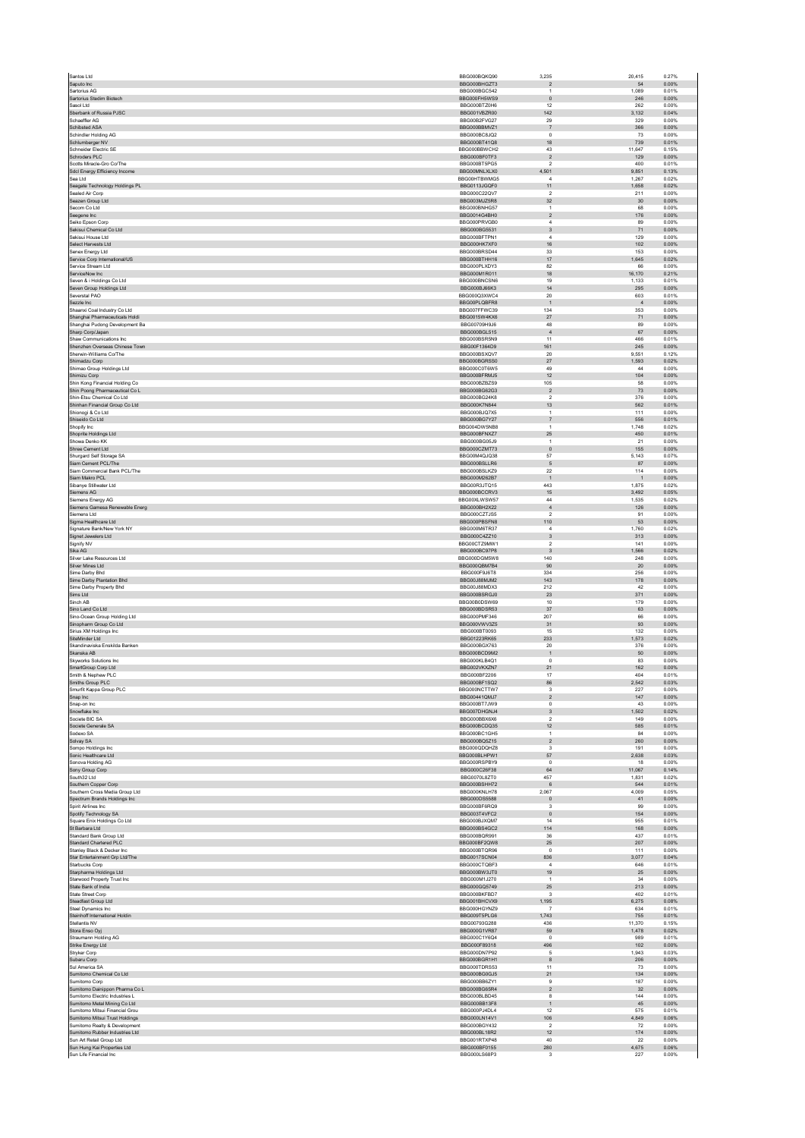| Saputo Inc.                                                      | BBG000BQKQ90                 | 3,235                            | 20,415        | 0.27%          |
|------------------------------------------------------------------|------------------------------|----------------------------------|---------------|----------------|
|                                                                  | BBG000BHGZT3                 | $\overline{2}$                   | 54            | 0.00%          |
| Sartorius AG                                                     | BBG000BGC542                 | $\overline{1}$                   | 1,089         | 0.01%          |
| Sartorius Stedim Biotech                                         | BBG000FH5WS9                 | $\overline{0}$                   | 246           | 0.00%          |
| Sasol Ltd                                                        | BBG000BTZ0H6                 | 12                               | 262           | 0.00%          |
| Sberbank of Russia PJSC<br>Schaeffler AG                         | BBG001VBZR00<br>BBG00B2FVG27 | 142<br>29                        | 3,132<br>329  | 0.04%<br>0.00% |
| Schibsted ASA                                                    | BBG000BBMVZ1                 | $\overline{7}$                   | 366           | 0.00%          |
| Schindler Holding AG                                             | BBG000BC8JQ2                 | $^{\circ}$                       | 73            | 0.00%          |
| Schlumberger NV                                                  | BBG000BT41Q8                 | 18                               | 739           | 0.01%          |
| Schneider Electric SE                                            | BBG000BBWCH2                 | 43                               | 11,647        | 0.15%          |
| Schroders PLC                                                    | BBG000BF0TF3                 | $\overline{2}$                   | 129           | 0.00%          |
| Scotts Miracle-Gro Co/The                                        | BBG000BT5PG5                 | $\overline{\mathbf{2}}$          | 400           | 0.01%          |
| Sdcl Energy Efficiency Income                                    | BBG00MNLXLX0                 | 4,501                            | 9,851         | 0.13%          |
| Sea Ltd                                                          | BBG00HTBWMG5                 | $\overline{4}$                   | 1,267         | 0.02%          |
| Seagate Technology Holdings PL                                   | BBG0113JGQF0                 | 11                               | 1,658         | 0.02%          |
| Sealed Air Corp                                                  | BBG000C22QV7                 | $\overline{2}$                   | 211           | 0.00%          |
| Seazen Group Ltd                                                 | BBG003MJZ5R8                 | 32                               | 30            | 0.00%          |
| Secom Co Ltd<br>Seegene Inc                                      | BBG000BNHG57<br>BBG0014G4BH0 | $\overline{1}$                   | 68<br>176     | 0.00%<br>0.00% |
| Seiko Epson Corp                                                 | BBG000PRVGB0                 | $\overline{2}$<br>$\overline{4}$ | 89            | 0.00%          |
| Sekisui Chemical Co Ltd                                          | BBG000BG5531                 | $\overline{3}$                   | 71            | 0.00%          |
| Sekisui House Ltd                                                | BBG000BFTPN1                 | $\sqrt{4}$                       | 129           | 0.00%          |
| Select Harvests Ltd                                              | BBG000HK7XF0                 | 16                               | 102           | 0.00%          |
| Senex Energy Ltd                                                 | BBG000BRSD44                 | 33                               | 153           | 0.00%          |
| Service Corp International/US                                    | BBG000BTHH16                 | 17                               | 1,645         | 0.02%          |
| Service Stream Ltd                                               | BBG000PLXDY3                 | 82                               | 66            | 0.00%          |
| ServiceNow Inc                                                   | BBG000M1R011                 | 18                               | 16,170        | 0.21%          |
| Seven & i Holdings Co Ltd                                        | BBG000BNCSN6                 | 19                               | 1,133         | 0.01%          |
| Seven Group Holdings Ltd                                         | BBG000BJ66K3                 | 14                               | 295           | 0.00%          |
| Severstal PAO                                                    | BBG000Q3XWC4                 | 20                               | 603           | 0.01%          |
| Sezzle Inc                                                       | BBG00PLQBFR8                 | $\overline{1}$                   | $\frac{4}{3}$ | 0.00%          |
| Shaanxi Coal Industry Co Ltd                                     | BBG007FFWC39                 | 134                              | 353           | 0.00%          |
| Shanghai Pharmaceuticals Holdi<br>Shanghai Pudong Development Ba | BBG0015W4KX6<br>BBG00709H9J6 | 27<br>48                         | 71<br>89      | 0.00%<br>0.00% |
| Sharp Corp/Japan                                                 | BBG000BGL515                 | $\overline{4}$                   | 67            | 0.00%          |
| Shaw Communications Inc.                                         | BBG000BSR5N9                 | 11                               | 466           | 0.01%          |
| Shenzhen Overseas Chinese Town                                   | BBG00F1364D9                 | 161                              | 245           | 0.00%          |
| Sherwin-Williams Co/The                                          | BBG000BSXQV7                 | 20                               | 9.551         | 0.12%          |
| Shimadzu Corp.                                                   | BBG000BGRSS0                 | 27                               | 1,593         | 0.02%          |
| Shimao Group Holdings Ltd                                        | BBG000C0T6W5                 | 49                               | $\bf{44}$     | 0.00%          |
| Shimizu Corp                                                     | BBG000BFRMJ5                 | 12                               | 104           | 0.00%          |
| Shin Kong Financial Holding Co                                   | BBG000BZBZS9                 | 105                              | 58            | 0.00%          |
| Shin Poong Pharmaceutical Co L                                   | BBG000BG62G3                 | $\overline{2}$                   | 73            | 0.00%          |
| Shin-Etsu Chemical Co Ltd                                        | BBG000BG24K8                 | $\overline{2}$                   | 376           | 0.00%          |
| Shinhan Financial Group Co Ltd                                   | BBG000K7N844                 | 13                               | 562           | 0.01%          |
| Shionogi & Co Ltd                                                | BBG000BJQ7X5                 | $\overline{1}$                   | 111           | 0.00%          |
| Shiseido Co Ltd                                                  | BBG000BG7Y27                 | $\overline{7}$                   | 556           | 0.01%          |
| Shopify Inc.                                                     | BBG004DW5NB8                 | $\overline{1}$                   | 1,748         | 0.02%          |
| Shoprite Holdings Ltd<br>Showa Denko KK                          | BBG000BFNXZ7<br>BBG000BG05J9 | 25<br>$\overline{1}$             | 450<br>21     | 0.01%<br>0.00% |
|                                                                  |                              |                                  |               |                |
| Shree Cement Ltd<br>Shurgard Self Storage SA                     | BBG000CZMT73<br>BBG00M4QJQ38 | $\circ$<br>57                    | 155<br>5,143  | 0.00%<br>0.07% |
| Siam Cement PCL/The                                              | BBG000BSLLR6                 | 5                                | 87            | 0.00%          |
| Siam Commercial Bank PCL/The                                     | BBG000BSLKZ9                 | 22                               | 114           | 0.00%          |
| Siam Makro PCL                                                   | BBG000M262B7                 | $\overline{1}$                   | $\mathbf{1}$  | 0.00%          |
| Sibanye Stillwater Ltd                                           | BBG00R3JTQ15                 | 443                              | 1,875         | 0.02%          |
| Siemens AG                                                       | BBG000BCCRV3                 | $15\,$                           | 3,492         | 0.05%          |
| Siemens Energy AG                                                | BBG00XLWSW57                 | 44                               | 1,535         | 0.02%          |
| Siemens Gamesa Renewable Energ                                   | BBG000BH2X22                 | $\overline{4}$                   | 126           | 0.00%          |
| Siemens Ltd                                                      | BBG000CZTJS5                 | $\overline{\mathbf{2}}$          | 91            | 0.00%          |
| Sigma Healthcare Ltd                                             | BBG000PBSFN8                 | 110                              | 53            | 0.00%          |
| Signature Bank/New York NY                                       | BBG000M6TR37                 | $\overline{4}$                   | 1,760         | 0.02%          |
| Signet Jewelers Ltd                                              | BBG000C4ZZ10                 | $\overline{\mathbf{3}}$          | 313           | 0.00%          |
| Signify NV                                                       | BBG00CTZ9MW1                 | $\overline{2}$                   | 141           | 0.00%          |
| Sika AG                                                          | BBG000BC97P8                 | $_{3}$                           | 1,566         | 0.02%          |
| Silver Lake Resources Ltd                                        | BBG000DGM5W8                 | 140                              | 248           | 0.00%          |
| Silver Mines Ltd<br>Sime Darby Bhd                               | BBG000QBM7B4<br>BBG000F9J6T8 | $90\,$<br>334                    | 20<br>256     | 0.00%<br>0.00% |
| Sime Darby Plantation Bhd                                        |                              |                                  |               |                |
|                                                                  |                              |                                  |               |                |
|                                                                  | BBG00J88MJM2                 | 143                              | 178           | 0.00%          |
| Sime Darby Property Bhd                                          | BBG00J88MDX3                 | 212                              | 42            | 0.00%          |
| Sims Ltd                                                         | BBG000BSRGJ0                 | 23                               | 371           | 0.00%          |
| Sinch AB                                                         | BBG00B0DSW69                 | $10$                             | 179           | 0.00%          |
| Sino Land Co Ltd<br>Sino-Ocean Group Holding Ltd                 | BBG000BDSR53<br>BBG000PMF346 | 37<br>207                        | 63<br>66      | 0.00%<br>0.00% |
| Sinopharm Group Co Ltd                                           | BBG000VWV3Z5                 | 31                               | 93            | 0.00%          |
| Sirius XM Holdings Inc                                           | BBG000BT0093                 | 15                               | 132           | 0.00%          |
| SiteMinder Ltd                                                   | BBG01223RK65                 | 233                              | 1,573         | 0.02%          |
| Skandinaviska Enskilda Banken                                    | BBG000BGX763                 | 20                               | 376           | 0.00%          |
| Skanska AB                                                       | BBG000BCD9M2                 | $\overline{1}$                   | 50            | 0.00%          |
| Skyworks Solutions Inc                                           | BBG000KLB4Q1                 | $\,0\,$                          | 83            | 0.00%          |
| SmartGroup Corp Ltd                                              | BBG002VKXZN7                 | 21                               | 162           | 0.00%          |
| Smith & Nephew PLC                                               | BBG000BF2206                 | 17                               | 404           | 0.01%          |
| Smiths Group PLC                                                 | BBG000BF1SQ2                 | 86                               | 2.542         | 0.03%          |
| Smurfit Kappa Group PLC                                          | BBG000NCTTW7                 | 3                                | 227           | 0.00%          |
| Snap Inc                                                         | BBG00441QMJ7<br>BBG000BT7JW9 | $\sqrt{2}$<br>$\Omega$           | 147<br>43     | 0.00%<br>0.00% |
| Snap-on Inc<br>Snowflake Inc                                     | BBG007DHGNJ4                 | 3                                | 1,502         | 0.02%          |
| Societe BIC SA                                                   | BBG000BBX6X6                 | $\overline{2}$                   | 149           | 0.00%          |
| Societe Generale SA                                              | BBG000BCDQ35                 | 12                               | 585           | 0.01%          |
| Sodexo SA                                                        | BBG000BC1GH5                 | $\overline{1}$                   | 84            | 0.00%          |
| Solvay SA                                                        | BBG000BQ5Z15                 | $\overline{2}$                   | 260           | 0.00%          |
| Sompo Holdings Inc                                               | BBG000QDQHZ8                 | $\overline{\mathbf{3}}$          | 191           | 0.00%          |
| Sonic Healthcare Ltd                                             | BBG000BLHPW1                 | 57                               | 2,638         | 0.03%          |
| Sonova Holding AG                                                | BBG000RSPBY9                 | $^{\circ}$                       | 18            | 0.00%          |
| Sony Group Corp<br>South32 Ltd                                   | BBG000C26F38                 | 64<br>457                        | 11,067        | 0.14%          |
|                                                                  | BBG0070L8ZT0<br>BBG000BSHH72 | $_{\rm 6}$                       | 1,831<br>544  | 0.02%<br>0.01% |
| Southern Copper Corp<br>Southern Cross Media Group Ltd           | BBG000KNLH78                 | 2,067                            | 4,009         | 0.05%          |
| Spectrum Brands Holdings Inc                                     | BBG000DS5588                 | $\mathbf{0}$                     | 41            | 0.00%          |
| Spirit Airlines Inc.                                             | BBG000BF6RQ9                 | $\overline{\mathbf{3}}$          | 99            | 0.00%          |
| Spotify Technology SA                                            | BBG003T4VFC2                 | $\mathbf 0$                      | 154           | 0.00%          |
| Square Enix Holdings Co Ltd                                      | BBG000BJXQM7                 | 14                               | 955           | 0.01%          |
| St Barbara Ltd                                                   | BBG000BS4GC2                 | 114                              | 168           | 0.00%          |
| Standard Bank Group Ltd                                          | BBG000BQR991                 | 36                               | 437           | 0.01%          |
| Standard Chartered PLC                                           | BBG000BF2QW8                 | $25\,$                           | 207           | 0.00%          |
| Stanley Black & Decker Inc                                       | BBG000BTQR96                 | $\Omega$                         | 111           | 0.00%          |
| Star Entertainment Grp Ltd/The                                   | <b>BBG0017SCN04</b>          | 836                              | 3,077         | 0.04%          |
| Starbucks Corp                                                   | BBG000CTQBF3                 | $\overline{4}$                   | 646<br>25     | 0.01%<br>0.00% |
| Starpharma Holdings Ltd                                          | BBG000BW3JT0                 | 19<br>$\overline{1}$             |               |                |
| Starwood Property Trust Inc                                      | BBG000M1J270                 | 25                               | $34\,$        | 0.00%          |
| State Bank of India<br>State Street Corp                         | BBG000GQ5749<br>BBG000BKFBD7 | $\overline{\mathbf{3}}$          | 213<br>402    | 0.00%<br>0.01% |
|                                                                  | BBG001BHCVX9                 | 1,195                            | 6,275         | 0.08%          |
| Steadfast Group Ltd<br>Steel Dynamics Inc                        | BBG000HGYNZ9                 | -7                               | 634           | 0.01%          |
| Steinhoff International Holdin                                   | BBG009T5PLG6                 | 1,743                            | 755           | 0.01%          |
| Stellantis NV                                                    | BBG00793G288                 | 436                              | 11,370        | 0.15%          |
| Stora Enso Oyj                                                   | BBG000G1VR87                 | 59                               | 1,478         | 0.02%          |
| Straumann Holding AG                                             | BBG000C1Y6Q4                 | $\,0\,$                          | 989           | 0.01%          |
| Strike Energy Ltd                                                | BBG000F89318                 | 496                              | 102           | 0.00%          |
| Stryker Corp                                                     | BBG000DN7P92                 | $\sqrt{5}$                       | 1,943         | 0.03%          |
| Subaru Corp                                                      | BBG000BGR1H1                 | 8                                | 206           | 0.00%          |
| Sul America SA                                                   | BBG000TDRS53                 | 11                               | 73            | 0.00%          |
| Sumitomo Chemical Co Ltd                                         | BBG000BG0GJ5                 | 21                               | 134           | 0.00%          |
| Sumitomo Corp                                                    | BBG000BB6ZY1                 | 9                                | 187           | 0.00%          |
| Sumitomo Dainippon Pharma Co L                                   | BBG000BG65R4                 | $\overline{2}$                   | 32            | 0.00%          |
| Sumitomo Electric Industries L                                   | BBG000BLBD45<br>BBG000BB13F8 | 8<br>$\overline{1}$              | 144<br>45     | 0.00%<br>0.00% |
| Sumitomo Metal Mining Co Ltd                                     |                              |                                  | 575           |                |
| Sumitomo Mitsui Financial Grou                                   | BBG000PJ4DL4<br>BBG000LN14V1 | 12<br>106                        | 4,849         | 0.01%<br>0.06% |
| Sumitomo Mitsui Trust Holdings<br>Sumitomo Realty & Development  | BBG000BGY432                 | $\overline{\mathbf{2}}$          | ${\bf 72}$    | 0.00%          |
| Sumitomo Rubber Industries Ltd                                   | BBG000BL18R2                 | 12                               | 174           | 0.00%          |
| Sun Art Retail Group Ltd                                         | BBG001RTXP48                 | 40                               | 22            | 0.00%          |
| Sun Hung Kai Properties Ltd<br>Sun Life Financial Inc            | BBG000BF0155<br>BBG000LS68P3 | 280<br>$\overline{\mathbf{3}}$   | 4,675<br>227  | 0.06%<br>0.00% |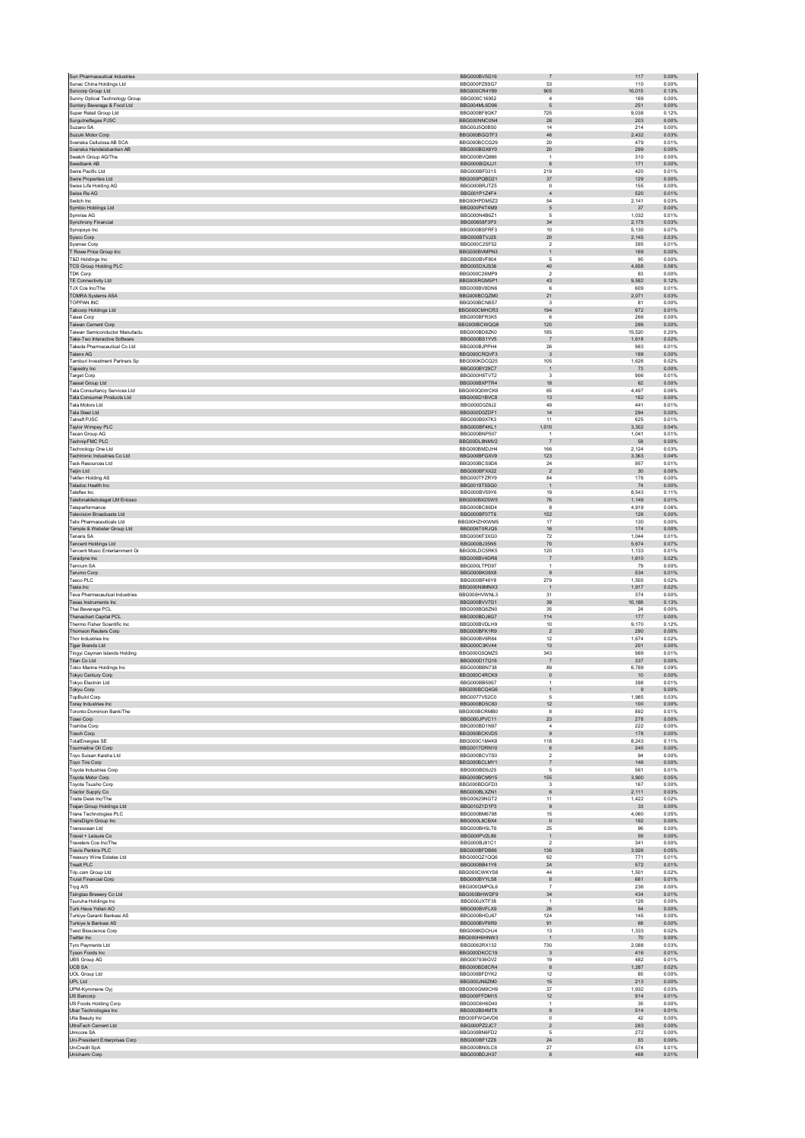| Sun Pharmaceutical Industries                            | BBG000BV5G16                 | $\overline{7}$                             | 117                     | 0.00%          |
|----------------------------------------------------------|------------------------------|--------------------------------------------|-------------------------|----------------|
| Sunac China Holdings Ltd                                 | BBG000PZ8SG7                 | 53                                         | 110                     | 0.00%          |
| Suncorp Group Ltd<br>Sunny Optical Technology Group      | BBG000CR4Y89<br>BBG000C16952 | 905<br>$\overline{4}$                      | 10,015<br>169           | 0.13%<br>0.00% |
| Suntory Beverage & Food Ltd                              | BBG004ML6D96                 | $\sqrt{5}$                                 | 251                     | 0.00%          |
| Super Retail Group Ltd                                   | BBG000BF8GK7                 | 725                                        | 9,038                   | 0.12%          |
| Surgutneftegas PJSC                                      | BBG000NNC0N4                 | 28                                         | 203                     | 0.00%          |
| Suzano SA<br>Suzuki Motor Corp                           | BBG00J5Q0BS0<br>BBG000BGQTF3 | 14<br>46                                   | 214<br>2,432            | 0.00%<br>0.03% |
| Svenska Cellulosa AB SCA                                 | BBG000BCCG29                 | $20\,$                                     | 479                     | 0.01%          |
| Svenska Handelsbanken AB                                 | BBG000BGX8Y0                 | 20                                         | 299                     | 0.00%          |
| Swatch Group AG/The                                      | BBG000BVQ866<br>BBG000BQXJJ1 | $\,$ 1 $\,$<br>6                           | 310<br>171              | 0.00%<br>0.00% |
| Swedbank AB<br>Swire Pacific Ltd                         | BBG000BF0315                 | 219                                        | 420                     | 0.01%          |
| Swire Properties Ltd                                     | BBG000PQBD21                 | $37\,$                                     | 129                     | 0.00%          |
| Swiss Life Holding AG                                    | BBG000BRJTZ5                 | $^{\circ}$                                 | 155                     | 0.00%          |
| Swiss Re AG                                              | BBG001P1Z4F4                 | $\overline{4}$                             | 520                     | 0.01%          |
| Switch Inc.                                              | BBG00HPDM5Z2<br>BBG000P4T4M9 | 54<br>$\sqrt{5}$                           | 2,141<br>37             | 0.03%<br>0.00% |
| Symbio Holdings Ltd<br>Symrise AG                        | BBG000N4B6Z1                 | 5                                          | 1,032                   | 0.01%          |
| Synchrony Financial                                      | BBG00658F3P3                 | 34                                         | 2,175                   | 0.03%          |
| Synopsys Inc.                                            | BBG000BSFRF3                 | $10$                                       | 5,130                   | 0.07%          |
| Sysco Corp<br>Sysmex Corp                                | BBG000BTVJ25<br>BBG000C2SF52 | $20\,$<br>$\overline{2}$                   | 2,145<br>395            | 0.03%<br>0.01% |
| T Rowe Price Group Inc                                   | BBG000BVMPN3                 | $\mathbf{1}$                               | 169                     | 0.00%          |
| T&D Holdings Inc                                         | BBG000BVF804                 | 5                                          | 95                      | 0.00%          |
| <b>TCS Group Holding PLC</b>                             | BBG005DXJS36                 | 40                                         | 4,658                   | 0.06%          |
| <b>TDK Corp</b>                                          | BBG000C26MP9<br>BBG000RGM5P1 | $\overline{2}$<br>43                       | 83<br>9,582             | 0.00%<br>0.12% |
| TE Connectivity Ltd<br>TJX Cos Inc/The                   | BBG000BV8DN6                 | 6                                          | 609                     | 0.01%          |
| <b>TOMRA Systems ASA</b>                                 | BBG000BCQZM0                 | 21                                         | 2,071                   | 0.03%          |
| <b>TOPPAN INC</b>                                        | BBG000BCN8S7                 | 3                                          | 81                      | 0.00%          |
| Tabcorp Holdings Ltd                                     | BBG000CMHCR3                 | 194<br>6                                   | 972<br>266              | 0.01%<br>0.00% |
| Taisei Corp<br>Taiwan Cement Corp                        | BBG000BFR3K5<br>BBG000BCWQQ9 | 120                                        | 286                     | 0.00%          |
| Taiwan Semiconductor Manufactu                           | BBG000BD8ZK0                 | 185                                        | 15,520                  | 0.20%          |
| Take-Two Interactive Software                            | BBG000BS1YV5                 | $\overline{7}$                             | 1,618                   | 0.02%          |
| Takeda Pharmaceutical Co Ltd                             | BBG000BJPPH4                 | 26                                         | 983                     | 0.01%          |
| Talanx AG<br>Tamburi Investment Partners Sp              | BBG000CRQVF3                 | $\overline{3}$                             | 189                     | 0.00%          |
| Tapestry Inc                                             | BBG000KDCQ25<br>BBG000BY29C7 | 105<br>$\overline{1}$                      | 1,626<br>73             | 0.02%<br>0.00% |
| <b>Target Corp</b>                                       | BBG000H8TVT2                 | $\overline{\mathbf{3}}$                    | 906                     | 0.01%          |
| <b>Tassal Group Ltd</b>                                  | BBG000BXPTR4                 | 18                                         | 62                      | 0.00%          |
| <b>Tata Consultancy Services Ltd</b>                     | BBG000Q0WCK6                 | 65                                         | 4.497                   | 0.06%          |
| Tata Consumer Products Ltd<br>Tata Motors Ltd            | BBG000D1BVC8<br>BBG000D0Z6J2 | 13<br>49                                   | 182<br>441              | 0.00%<br>0.01% |
| <b>Tata Steel Ltd</b>                                    | BBG000D0ZDF1                 | 14                                         | 294                     | 0.00%          |
| <b>Tatneft PJSC</b>                                      | BBG000B9X7K3                 | 11                                         | 625                     | 0.01%          |
| Taylor Wimpey PLC                                        | BBG000BF4KL1                 | 1,010                                      | 3.302                   | 0.04%          |
| Tecan Group AG                                           | BBG000BNP507                 | $\mathbf{1}$                               | 1,041                   | 0.01%          |
| <b>TechnipFMC PLC</b><br>Technology One Ltd              | BBG00DL8NMV2<br>BBG000BMDJH4 | $\overline{7}$<br>166                      | 58<br>2.124             | 0.00%<br>0.03% |
| Techtronic Industries Co Ltd                             | BBG000BFGXV9                 | 123                                        | 3,363                   | 0.04%          |
| <b>Teck Resources Ltd</b>                                | BBG000BCS9D6                 | 24                                         | 957                     | 0.01%          |
| Teijin Ltd                                               | BBG000BFXX22                 | $\sqrt{2}$                                 | $30\,$                  | 0.00%          |
| Tekfen Holding AS                                        | BBG000TFZRY9                 | 84                                         | 176                     | 0.00%<br>0.00% |
| Teladoc Health Inc<br>Teleflex Inc                       | BBG0019T5SG0<br>BBG000BV59Y6 | $\overline{1}$<br>19                       | 74<br>8,543             | 0.11%          |
| Telefonaktiebolaget LM Ericsso                           | BBG000BX2SW5                 | 76                                         | 1,149                   | 0.01%          |
| Teleperformance                                          | BBG000BC86D4                 | 8                                          | 4,919                   | 0.06%          |
| <b>Television Broadcasts Ltd</b>                         | BBG000BF07T6                 | 152                                        | 126                     | 0.00%          |
| <b>Telix Pharmaceuticals Ltd</b>                         | BBG00HZHXWM5<br>BBG006T0RJQ5 | 17<br>16                                   | 130<br>174              | 0.00%<br>0.00% |
| Temple & Webster Group Ltd<br><b>Tenaris SA</b>          | BBG000KF3XG0                 | 72                                         | 1,044                   | 0.01%          |
| <b>Tencent Holdings Ltd</b>                              | BBG000BJ35N5                 | $70\,$                                     | 5,674                   | 0.07%          |
| Tencent Music Entertainment Gr                           | BBG00LDC5RK5                 | 120                                        | 1,133                   | 0.01%          |
| Teradyne Inc                                             | BBG000BV4DR6                 | $\overline{7}$                             | 1,610                   | 0.02%          |
| Ternium SA<br><b>Terumo Corp</b>                         | BBG000LTPD97<br>BBG000BK08X8 | $\mathbf{1}$<br>9                          | 79<br>534               | 0.00%<br>0.01% |
| Tesco PLC                                                | BBG000BF46Y8                 | 279                                        | 1,505                   | 0.02%          |
| Tesla Inc                                                | BBG000N9MNX3                 | $\overline{1}$                             | 1,917                   | 0.02%          |
| Teva Pharmaceutical Industries                           | BBG000HVWNL3                 | 31                                         | 374                     | 0.00%          |
| Texas Instruments Inc                                    | BBG000BVV7G1                 | 39<br>35                                   | 10,188<br>24            | 0.13%<br>0.00% |
| Thai Beverage PCL<br><b>Thanachart Capital PCL</b>       | BBG000BQ6ZN0<br>BBG000BDJ6G7 | 114                                        | 177                     | 0.00%          |
| Thermo Fisher Scientific Inc                             | BBG000BVDLH9                 | 10                                         | 9,170                   | 0.12%          |
| <b>Thomson Reuters Corp</b>                              | BBG000BFK1R9                 | $\overline{2}$                             | 290                     | 0.00%          |
| Thor Industries Inc.                                     | BBG000BV6R84                 | 12                                         | 1,674                   | 0.02%          |
| <b>Tiger Brands Ltd</b><br>Tingyi Cayman Islands Holding | BBG000C3KV44<br>BBG000G5QMZ5 | 13<br>343                                  | 201<br>969              | 0.00%<br>0.01% |
| Titan Co Ltd                                             | BBG000D17Q16                 | $\overline{7}$                             | 337                     | 0.00%          |
| Tokio Marine Holdings Inc                                | BBG000BBN738                 | 89                                         | 6.789                   | 0.09%          |
| Tokyo Century Corp                                       | BBG000C4RCK9                 | $\mathbf 0$                                | 10                      | 0.00%          |
| <b>Tokyo Electron Ltd</b><br>Tokyu Corp                  | BBG000BB59S7<br>BBG000BCQ4G6 | 1<br>$\mathbf{1}$                          | 398<br>$\boldsymbol{9}$ | 0.01%<br>0.00% |
| <b>TopBuild Corp</b>                                     | BBG0077VS2C0                 | 5                                          | 1,985                   | 0.03%          |
| Toray Industries Inc                                     | BBG000BD5C60                 | 12                                         | 100                     | 0.00%          |
| Toronto-Dominion Bank/The                                |                              |                                            | 892                     |                |
| Tosei Corp                                               | BBG000BCRMB0                 | 8                                          |                         | 0.01%          |
|                                                          | BBG000JPVC11                 | 23                                         | 278                     | 0.00%          |
| <b>Toshiba Corp</b>                                      | BBG000BD1N97                 | $\sqrt{4}$                                 | 222                     | 0.00%          |
| Tosoh Corp<br><b>TotalEnergies SE</b>                    | BBG000BCKVD5<br>BBG000C1M4K8 | $\boldsymbol{9}$<br>118                    | 178<br>8.243            | 0.00%<br>0.11% |
| Tourmaline Oil Corp                                      | BBG0017DRN10                 | $\,6\,$                                    | 245                     | 0.00%          |
| Toyo Suisan Kaisha Ltd                                   | BBG000BCV7S0                 | $\overline{2}$                             | 94                      | 0.00%          |
| Toyo Tire Corp<br>Toyota Industries Corp                 | BBG000BCLMY1<br>BBG000BD9J25 | $\overline{7}$<br>5                        | 146<br>561              | 0.00%<br>0.01% |
| Toyota Motor Corp                                        | BBG000BCM915                 | 155                                        | 3.900                   | 0.05%          |
| Toyota Tsusho Corp                                       | BBG000BDGFD3                 | $\mathbf 3$                                | 167                     | 0.00%          |
| Tractor Supply Co                                        | BBG000BLXZN1                 | 6                                          | 2,111                   | 0.03%          |
| Trade Desk Inc/The<br>Trajan Group Holdings Ltd          | BBG00629NGT2<br>BBG010Z1D1P3 | 11<br>$\boldsymbol{9}$                     | 1,422<br>33             | 0.02%<br>0.00% |
| Trane Technologies PLC                                   | BBG000BM6788                 | 15                                         | 4.060                   | 0.05%          |
| TransDigm Group Inc                                      | BBG000L8CBX4                 | $\pmb{0}$                                  | 192                     | 0.00%          |
| Transocean Ltd                                           | BBG000BH5LT6                 | 25                                         | 96                      | 0.00%          |
| Travel + Leisure Co<br>Travelers Cos Inc/The             | BBG000PV2L86<br>BBG000BJ81C1 | $\overline{1}$<br>$\overline{\phantom{a}}$ | 59<br>341               | 0.00%<br>0.00% |
| <b>Travis Perkins PLC</b>                                | BBG000BEDB86                 | 136                                        | 3.926                   | 0.05%          |
| Treasury Wine Estates Ltd                                | BBG000QZ1QQ6                 | 62                                         | 771                     | 0.01%          |
| <b>Treatt PLC</b>                                        | BBG000BB41Y8                 | $\bf 24$                                   | 572                     | 0.01%          |
| Trip.com Group Ltd                                       | BBG000CWKYS8<br>BBG000BYYLS8 | $44\,$<br>$^{\rm 8}$                       | 1,501<br>661            | 0.02%<br>0.01% |
| <b>Truist Financial Corp</b><br>Tryg A/S                 | BBG000QMPGL6                 | $\overline{7}$                             | 236                     | 0.00%          |
| Tsingtao Brewery Co Ltd                                  | BBG000BHWDF9                 | $34\,$                                     | 434                     | 0.01%          |
| Tsuruha Holdings Inc                                     | BBG000JXTF38                 | $\overline{1}$                             | 126                     | 0.00%          |
| Turk Hava Yollari AO                                     | BBG000BVFLX9                 | ${\bf 26}$                                 | 54                      | 0.00%          |
| Turkiye Garanti Bankasi AS<br>Turkiye Is Bankasi AS      | BBG000BHDJ67<br>BBG000BVF6R9 | 124<br>91                                  | 145<br>68               | 0.00%<br>0.00% |
| <b>Twist Bioscience Corp</b>                             | BBG006KDCHJ4                 | 13                                         | 1,333                   | 0.02%          |
| Twitter Inc                                              | BBG000H6HNW3                 | $\overline{1}$                             | 70                      | 0.00%          |
| Tyro Payments Ltd                                        | BBG0062RX132                 | 730                                        | 2,088                   | 0.03%          |
| Tyson Foods Inc<br><b>UBS Group AG</b>                   | BBG000DKCC19<br>BBG007936GV2 | $\sqrt{3}$<br>19                           | 416<br>482              | 0.01%<br>0.01% |
| <b>UCB SA</b>                                            | BBG000BD8CR4                 | $\bf8$                                     | 1,287                   | 0.02%          |
| <b>UOL Group Ltd</b>                                     | BBG000BFDYK2                 | 12                                         | 85                      | 0.00%          |
| UPL Ltd                                                  | BBG000JN6ZM0                 | 15                                         | 213                     | 0.00%          |
| UPM-Kymmene Oyj<br>US Bancorp                            | BBG000GM9CH9<br>BBG000FFDM15 | 37<br>12                                   | 1,932<br>914            | 0.03%<br>0.01% |
| US Foods Holding Corp                                    | BBG00C6H6D40                 | $\overline{1}$                             | $35\,$                  | 0.00%          |
| Uber Technologies Inc                                    | BBG002B04MT8                 | 9                                          | 514                     | 0.01%          |
| Ulta Beauty Inc                                          | BBG00FWQ4VD6                 | $\pmb{0}$                                  | 42                      | 0.00%          |
| UltraTech Cement Ltd<br><b>Umicore SA</b>                | BBG000PZ2JC7<br>BBG000BN6FD2 | $\sqrt{2}$<br>5                            | 283<br>272              | 0.00%<br>0.00% |
| Uni-President Enterprises Corp                           | BBG000BF1ZZ6                 | $\bf 24$                                   | 83                      | 0.00%          |
| UniCredit SpA<br>Unicharm Corp                           | BBG000BN0LC6<br>BBG000BDJH37 | 27<br>$^{\rm 8}$                           | 574<br>468              | 0.01%<br>0.01% |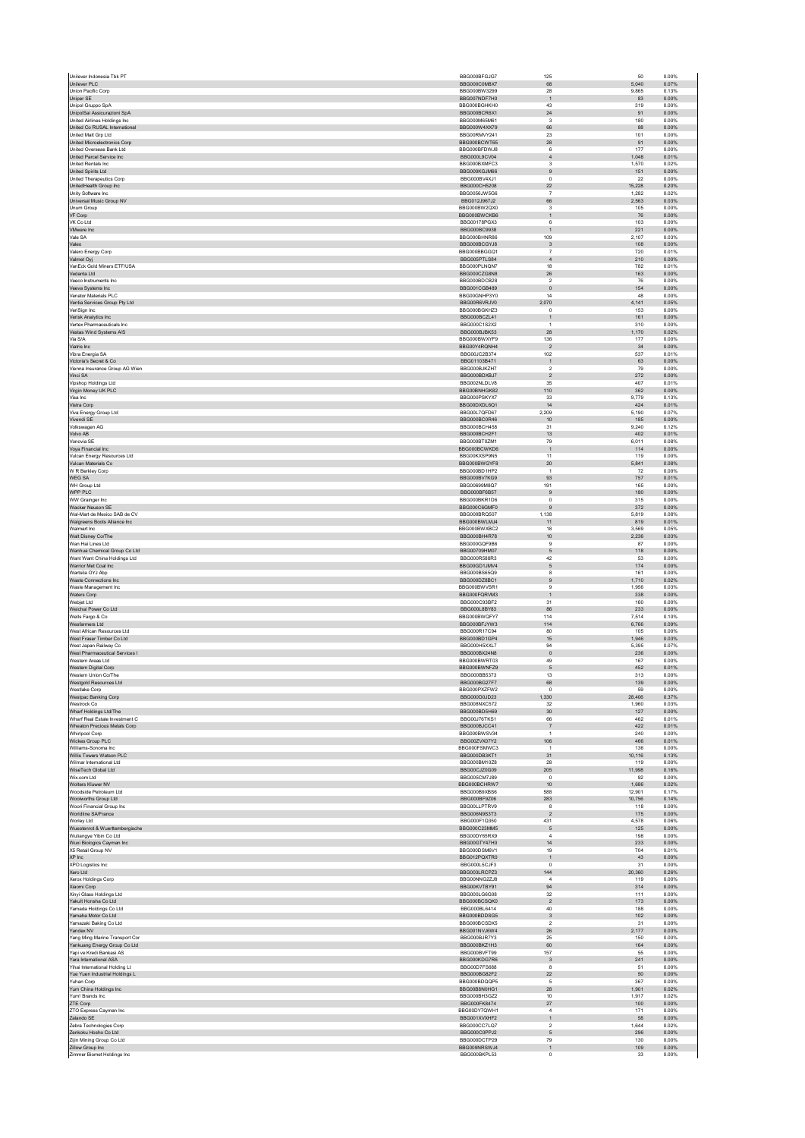| Unilever Indonesia Tbk PT                                             | BBG000BFGJG7                 | 125                           | 50               | 0.00%          |
|-----------------------------------------------------------------------|------------------------------|-------------------------------|------------------|----------------|
| Unilever PLC                                                          | BBG000C0M8X7                 | 68                            | 5.040            | 0.07%          |
| Union Pacific Corp<br>Uniper SE                                       | BBG000BW3299<br>BBG007NDF7H0 | 28<br>$\mathbf{1}$            | 9,865<br>83      | 0.13%<br>0.00% |
| Unipol Gruppo SpA                                                     | BBG000BGHKH0                 | 43                            | 319              | 0.00%          |
| UnipolSai Assicurazioni SpA                                           | BBG000BCR6X1                 | $\bf 24$                      | 91               | 0.00%          |
| <b>United Airlines Holdings Inc.</b><br>United Co RUSAL International | BBG000M65M61<br>BBG000W4XX79 | 3<br>66                       | 180<br>88        | 0.00%<br>0.00% |
| United Malt Grp Ltd                                                   | BBG00RMVY241                 | 23                            | 101              | 0.00%          |
| United Microelectronics Corp.                                         | BBG000BCWT65                 | 28                            | 91               | 0.00%          |
| United Overseas Bank Ltd                                              | BBG000BFDWJ8                 | 6                             | 177              | 0.00%          |
| United Parcel Service Inc.<br>United Rentals Inc.                     | BBG000L9CV04<br>BBG000BXMFC3 | $\overline{4}$<br>$\mathsf 3$ | 1.048<br>1,570   | 0.01%<br>0.02% |
| United Spirits Ltd                                                    | BBG000KGJM66                 | 9                             | 151              | 0.00%          |
| United Therapeutics Corp                                              | BBG000BV4XJ1                 | $^{\circ}$                    | 22               | 0.00%          |
| UnitedHealth Group Inc                                                | BBG000CH5208                 | 22                            | 15,228           | 0.20%          |
| Unity Software Inc.<br>Universal Music Group NV                       | BBG0056JW5G6<br>BBG012J967J2 | $\overline{7}$<br>66          | 1.282<br>2,563   | 0.02%<br>0.03% |
| Unum Group                                                            | BBG000BW2QX0                 | 3                             | 105              | 0.00%          |
| VF Corp                                                               | BBG000BWCKB6                 | $\mathbf{1}$                  | 76               | 0.00%          |
| VK Co Ltd                                                             | BBG00178PGX3                 | 6                             | 103              | 0.00%          |
| VMware Inc<br>Vale SA                                                 | BBG000BC9938<br>BBG000BHNR86 | $\mathbf{1}$<br>109           | 221<br>2,107     | 0.00%<br>0.03% |
| Valeo                                                                 | BBG000BCGYJ8                 | $\ensuremath{\mathsf{3}}$     | 108              | 0.00%          |
| Valero Energy Corp                                                    | BBG000BBGGQ1                 | $\overline{7}$                | 720              | 0.01%          |
| Valmet Oyj                                                            | BBG005PTLS84                 | $\overline{4}$                | 210              | 0.00%          |
| VanEck Gold Miners ETF/USA<br>Vedanta Ltd                             | BBG000PLNON7<br>BBG000CZG8N8 | 18<br>${\bf 26}$              | 782<br>163       | 0.01%<br>0.00% |
| Veeco Instruments Inc.                                                | BBG000BDCB28                 | $\overline{2}$                | 76               | 0.00%          |
| Veeva Systems Inc                                                     | BBG001CGB489                 | $\mathbf{0}$                  | 154              | 0.00%          |
| Venator Materials PLC                                                 | BBG00GNHP3Y0<br>BBG00R6VRJV0 | 14                            | 48               | 0.00%<br>0.05% |
| Ventia Services Group Pty Ltd<br>VeriSign Inc                         | BBG000BGKHZ3                 | 2,070<br>$\mathsf 0$          | 4,141<br>153     | 0.00%          |
| Verisk Analytics Inc                                                  | BBG000BCZL41                 | $\mathbf{1}$                  | 161              | 0.00%          |
| Vertex Pharmaceuticals Inc.                                           | BBG000C1S2X2                 | $\overline{1}$                | 310              | 0.00%          |
| Vestas Wind Systems A/S<br>Via S/A                                    | BBG000BJBK53<br>BBG000BWXYF9 | ${\bf 28}$<br>136             | 1,170<br>177     | 0.02%<br>0.00% |
| Viatris Inc                                                           | BBG00Y4RQNH4                 | $\overline{2}$                | $34\,$           | 0.00%          |
| Vibra Energia SA                                                      | BBG00JC2B374                 | 102                           | 537              | 0.01%          |
| Victoria's Secret & Co.                                               | BBG01103B471                 | $\mathbf{1}$                  | 63               | 0.00%          |
| Vienna Insurance Group AG Wien<br>Vinci SA                            | BBG000BJKZH7<br>BBG000BDXBJ7 | $\sqrt{2}$<br>$\overline{2}$  | 79<br>272        | 0.00%<br>0.00% |
| Vipshop Holdings Ltd                                                  | BBG002NLDLV8                 | 35                            | 407              | 0.01%          |
| Virgin Money UK PLC                                                   | BBG00BNHGK82                 | 110                           | 362              | 0.00%          |
| Visa Inc                                                              | BBG000PSKYX7                 | 33                            | 9.779            | 0.13%          |
| Vistra Corp<br>Viva Energy Group Ltd                                  | BBG00DXDL6Q1<br>BBG00L7QFD67 | $14$<br>2,209                 | 424<br>5,190     | 0.01%<br>0.07% |
| Vivendi SE                                                            | BBG000BC0R46                 | $10$                          | 185              | 0.00%          |
| Volkswagen AG                                                         | BBG000BCH458                 | 31                            | 9.240            | 0.12%          |
| Volvo AB                                                              | BBG000BCH2F1                 | 13                            | 402              | 0.01%          |
| Vonovia SE<br>Voya Financial Inc                                      | BBG000BT0ZM1<br>BBG000BCWKD6 | 79<br>$\mathbf{1}$            | 6,011<br>114     | 0.08%<br>0.00% |
| Vulcan Energy Resources Ltd                                           | BBG00KXSP9N5                 | 11                            | 119              | 0.00%          |
| Vulcan Materials Co                                                   | BBG000BWGYF8                 | 20                            | 5,841            | 0.08%          |
| W R Berkley Corp                                                      | BBG000BD1HP2                 | $\overline{1}$                | 72               | 0.00%          |
| <b>WEGSA</b><br>WH Group Ltd                                          | BBG000BV7KG9<br>BBG00699M8Q7 | 93<br>191                     | 757<br>165       | 0.01%<br>0.00% |
| WPP PLC                                                               | BBG000BF6B57                 | $\boldsymbol{9}$              | 180              | 0.00%          |
| WW Grainger Inc                                                       | BBG000BKR1D6                 | $\pmb{0}$                     | 315              | 0.00%          |
| Wacker Neuson SE                                                      | BBG000C6GMF0                 | 9                             | 372              | 0.00%          |
| Wal-Mart de Mexico SAB de CV<br>Walgreens Boots Alliance Inc          | BBG000BRQ507<br>BBG000BWLMJ4 | 1,138<br>11                   | 5,819<br>819     | 0.08%<br>0.01% |
| Walmart Inc                                                           | BBG000BWXBC2                 | 18                            | 3,569            | 0.05%          |
| Walt Disney Co/The                                                    | BBG000BH4R78                 | 10                            | 2,236            | 0.03%          |
| Wan Hai Lines Ltd                                                     | BBG000GQF9B6                 | 9                             | 87               | 0.00%          |
| Wanhua Chemical Group Co Ltd<br>Want Want China Holdings Ltd          | BBG00709HM07<br>BBG000R588R3 | $\mathsf S$<br>42             | 118<br>53        | 0.00%<br>0.00% |
| Warrior Met Coal Inc                                                  | BBG00GD1JMV4                 | $\mathbf 5$                   | 174              | 0.00%          |
| Wartsila OYJ Abp                                                      | BBG000BS65Q9                 | 8                             | 161              | 0.00%          |
| Waste Connections Inc.<br>Waste Management Inc                        | BBG000DZ8BC1<br>BBG000BWVSR1 | 9<br>$\overline{9}$           | 1.710<br>1,956   | 0.02%<br>0.03% |
| <b>Waters Corp</b>                                                    | BBG000FQRVM3                 | $\mathbf{1}$                  | 338              | 0.00%          |
| Webjet Ltd                                                            | BBG000C93BF2                 | 31                            | 160              | 0.00%          |
| Weichai Power Co Ltd                                                  | BBG000L8BY83                 | 86                            | 233              | 0.00%          |
| Wells Fargo & Co.<br>Wesfarmers Ltd                                   | BBG000BWQFY7<br>BBG000BFJYW3 | 114<br>114                    | 7.514<br>6,766   | 0.10%<br>0.09% |
| West African Resources Ltd                                            | BBG000R17C94                 | 80                            | 105              | 0.00%          |
| West Fraser Timber Co Ltd                                             | BBG000BD1GP4                 | $15\,$                        | 1,946            | 0.03%          |
| West Japan Railway Co                                                 | BBG000H5XXL7                 | 94                            | 5,395            | 0.07%          |
| West Pharmaceutical Services I<br>Western Areas Ltd                   | BBG000BX24N8<br>BBG000BWRT03 | $\mathbf{0}$<br>49            | 236<br>167       | 0.00%<br>0.00% |
| Western Digital Corp                                                  | BBG000BWNFZ9                 | 5                             | 452              | 0.01%          |
| Western Union Co/The                                                  | BBG000BB5373                 | 13                            | 313              | 0.00%          |
| Westgold Resources Ltd<br>Westlake Corp                               | BBG000BG27F7<br>BBG000PXZFW2 | 68<br>$^{\circ}$              | 139<br>59        | 0.00%<br>0.00% |
| Westpac Banking Corp                                                  | BBG000D0JD23                 | 1,330                         | 28,406           | 0.37%          |
| Westrack Co.                                                          | BBG008NXC572                 | 32                            | 1.960            | 0.03%          |
| Wharf Holdings Ltd/The                                                | BBG000BD5H69                 | $30\,$                        | 127              | 0.00%          |
| Wharf Real Estate Investment C<br>Wheaton Precious Metals Corp        | BBG00J76TKS1<br>BBG000BJCC41 | 66<br>$\overline{7}$          | 462<br>422       | 0.01%<br>0.01% |
| Whirlpool Corp                                                        | BBG000BWSV34                 | $\mathbf{1}$                  | 240              | 0.00%          |
| Wickes Group PLC                                                      | BBG00ZVX07Y2                 | 106                           | 466              | 0.01%          |
| Williams-Sonoma Inc                                                   | BBG000FSMWC3                 | $\overline{1}$                | 136              | 0.00%          |
| Willis Towers Watson PLC                                              |                              |                               |                  | 0.13%          |
| Wilmar International Ltd                                              | BBG000DB3KT1<br>BBG000BM10Z8 | 31<br>28                      | 10,116<br>119    | 0.00%          |
| WiseTech Global Ltd                                                   | BBG00CJZ0G09                 | 205                           | 11,998           | 0.16%          |
| Wix.com Ltd                                                           | BBG005CM7J89                 | $\Omega$                      | 92               | 0.00%          |
| Wolters Kluwer NV                                                     | BBG000BCHRW7                 | $10$                          | 1,686            | 0.02%          |
| Woodside Petroleum Ltd<br>Woolworths Group Ltd                        | BBG000B9XBS6<br>BBG000BF9Z06 | 588<br>283                    | 12,901<br>10,756 | 0.17%<br>0.14% |
| Woori Financial Group Inc                                             | BBG00LLPTRV9                 | 8                             | 118              | 0.00%          |
| Worldline SA/France                                                   | BBG006N9S3T3                 | $\overline{2}$                | 175              | 0.00%          |
| Worley Ltd                                                            | BBG000F1Q350                 | 431                           | 4,578            | 0.06%          |
| Wuestenrot & Wuerttembergische<br>Wuliangye Yibin Co Ltd              | BBG000C23MM5<br>BBG00DY65RX9 | $\mathbf 5$<br>4              | 125<br>198       | 0.00%<br>0.00% |
| Wuxi Biologics Cayman Inc                                             | BBG00GTY47H0                 | 14                            | 233              | 0.00%          |
| X5 Retail Group NV                                                    | BBG000DSM6V1                 | 19                            | 704              | 0.01%          |
| XP Inc<br>XPO Logistics Inc                                           | BBG012PQXTR0<br>BBG000L5CJF3 | $\mathbf{1}$<br>$\mathsf 0$   | 43<br>31         | 0.00%<br>0.00% |
| Xero Ltd                                                              | BBG003LRCPZ3                 | 144                           | 20.360           | 0.26%          |
| Xerox Holdings Corp                                                   | BBG00NNG2ZJ8                 | $\overline{4}$                | 119              | 0.00%          |
| Xiaomi Corp                                                           | BBG00KVTBY91                 | 94                            | 314              | 0.00%          |
| Xinyi Glass Holdings Ltd<br>Yakult Honsha Co Ltd                      | BBG000LG6G08<br>BBG000BCSQK0 | 32<br>$\sqrt{2}$              | 111<br>173       | 0.00%<br>0.00% |
| Yamada Holdings Co Ltd                                                | BBG000BL6414                 | 40                            | 188              | 0.00%          |
| Yamaha Motor Co Ltd                                                   | BBG000BDDSG5                 | $\ensuremath{\mathsf{3}}$     | 102              | 0.00%          |
| Yamazaki Baking Co Ltd<br>Yandex NV                                   | BBG000BCSDX5                 | $\mathcal{P}$                 | 31               | 0.00%          |
| Yang Ming Marine Transport Cor                                        | BBG001NVJ6W4<br>BBG000BJR7Y3 | ${\bf 26}$<br>25              | 2,177<br>150     | 0.03%<br>0.00% |
| Yankuang Energy Group Co Ltd                                          | BBG000BKZ1H3                 | 60                            | 164              | 0.00%          |
| Yapi ve Kredi Bankasi AS                                              | BBG000BVFT99                 | 157                           | 55               | 0.00%          |
| Yara International ASA<br>Yihai International Holding Lt              | BBG000KDG7R6<br>BBG00D7FS688 | $\mathbf{3}$<br>8             | 241<br>51        | 0.00%<br>0.00% |
| Yue Yuen Industrial Holdings L                                        | BBG000BG82F2                 | 22                            | $50\,$           | 0.00%          |
| Yuhan Corp                                                            | BBG000BDQQP5                 | 5                             | 367              | 0.00%          |
| Yum China Holdings Inc                                                | BBG00B8N0HG1                 | ${\bf 28}$                    | 1,901            | 0.02%          |
| Yum! Brands Inc<br>ZTE Corp                                           | BBG000BH3GZ2<br>BBG000FK8474 | 10<br>27                      | 1,917<br>100     | 0.02%<br>0.00% |
| ZTO Express Cayman Inc                                                | BBG00DY7QWH1                 | $\overline{4}$                | 171              | 0.00%          |
| Zalando SE                                                            | BBG001XVXHF2                 | $\mathbf{1}$                  | 58               | 0.00%          |
| Zebra Technologies Corp                                               | BBG000CC7LQ7                 | $\overline{\mathbf{2}}$<br>5  | 1,644<br>296     | 0.02%<br>0.00% |
| Zenkoku Hosho Co Ltd<br>Zijin Mining Group Co Ltd                     | BBG000C0PPJ2<br>BBG000DCTP29 | 79                            | 130              | 0.00%          |
| Zillow Group Inc<br>Zimmer Biomet Holdings Inc                        | BBG009NRSWJ4<br>BBG000BKPL53 | $\mathbf{1}$<br>$^{\circ}$    | 109<br>33        | 0.00%<br>0.00% |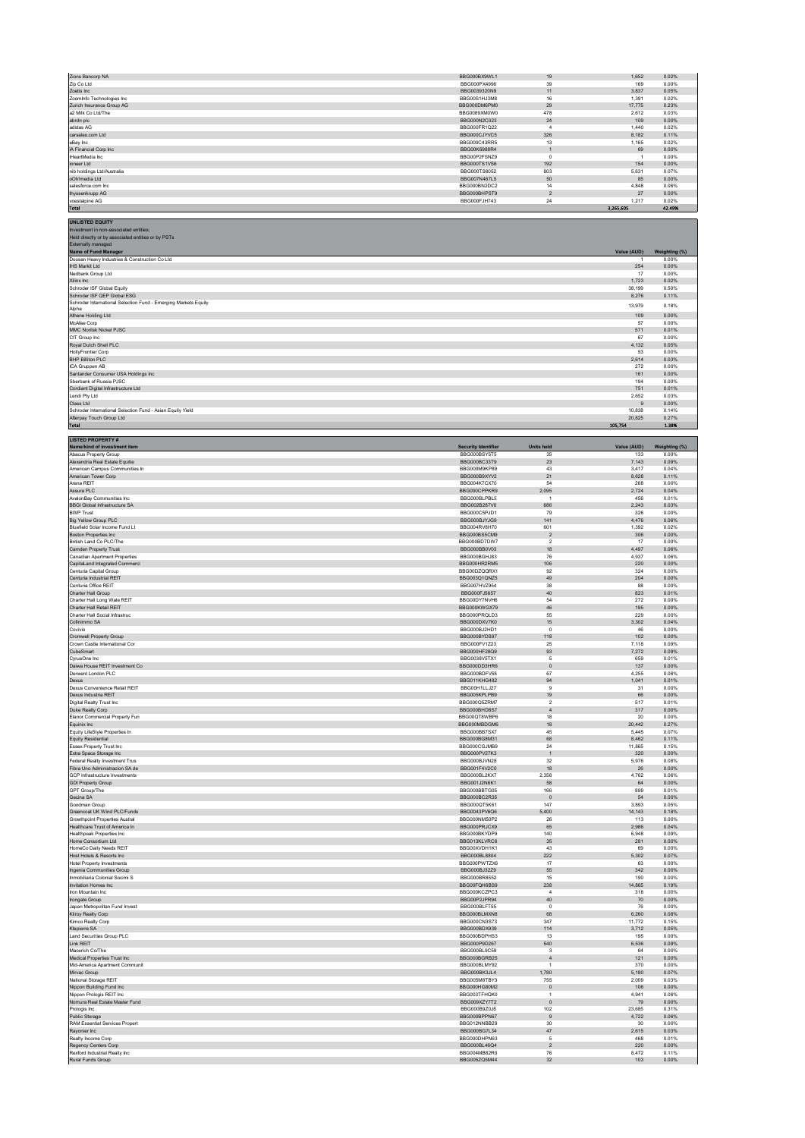| Zions Bancorp NA                                                            | BBG000BX9WL1                                 | 19                       | 1,652                 | 0.02%                   |
|-----------------------------------------------------------------------------|----------------------------------------------|--------------------------|-----------------------|-------------------------|
| Zip Co Ltd                                                                  | BBG000PX4996                                 | 39                       | 169                   | 0.00%                   |
| Zoetis Inc.<br>Zoominfo Technologies Inc                                    | BBG0039320N9<br>BBG00S1HJ3M8                 | 11<br>16                 | 3,837<br>1,391        | 0.05%<br>0.02%          |
| Zurich Insurance Group AG                                                   | BBG000DM6PM0                                 | 29                       | 17,775                | 0.23%                   |
| a2 Milk Co Ltd/The                                                          | BBG0089XM0W0                                 | 478                      | 2,612                 | 0.03%                   |
| abrdn plc<br>adidas AG                                                      | BBG000N2C023<br>BBG000FR1Q22                 | 24<br>$\overline{4}$     | 109<br>1.440          | 0.00%<br>0.02%          |
| carsales.com Ltd                                                            | BBG000CJYVC5                                 | 326                      | 8,182                 | 0.11%                   |
| eBay Inc                                                                    | BBG000C43RR5                                 | 13                       | 1,165                 | 0.02%                   |
| iA Financial Corp Inc                                                       | BBG00K6988R4                                 | $\mathbf{1}$<br>$\Omega$ | 69                    | 0.00%                   |
| iHeartMedia Inc<br>ioneer Ltd                                               | BBG00P2FSNZ9<br>BBG000TS1VS6                 | 192                      | $\overline{1}$<br>154 | 0.00%<br>0.00%          |
| nib holdings Ltd/Australia                                                  | BBG000TS8052                                 | 803                      | 5,631                 | 0.07%                   |
| oOh!media Ltd                                                               | BBG007N467L5                                 | 50                       | 85                    | 0.00%                   |
| salesforce.com Inc<br>thyssenkrupp AG                                       | BBG000BN2DC2<br>BBG000BHPST9                 | 14<br>$\overline{2}$     | 4,848<br>27           | 0.06%<br>0.00%          |
| voestalpine AG                                                              | BBG000FJH743                                 | 24                       | 1.217                 | 0.02%                   |
| <b>Total</b>                                                                |                                              |                          | 3,265,605             | 42.49%                  |
| <b>UNLISTED EQUITY</b>                                                      |                                              |                          |                       |                         |
| Investment in non-associated entities;                                      |                                              |                          |                       |                         |
| Held directly or by associated entities or by PSTs                          |                                              |                          |                       |                         |
| Externally managed                                                          |                                              |                          |                       |                         |
| Name of Fund Manager<br>Doosan Heavy Industries & Construction Co Ltd       |                                              |                          | Value (AUD)<br>-1     | Weighting (%)<br>0.00%  |
| <b>IHS Markit Ltd</b>                                                       |                                              |                          | 254                   | 0.00%                   |
| Nedbank Group Ltd                                                           |                                              |                          | 17                    | 0.00%                   |
| Xilinx Inc<br>Schroder ISF Global Equity                                    |                                              |                          | 1,723<br>38.199       | 0.02%<br>0.50%          |
| Schroder ISF QEP Global ESG                                                 |                                              |                          | 8,276                 | 0.11%                   |
| Schroder International Selection Fund - Emerging Markets Equity             |                                              |                          | 13,979                | 0.18%                   |
| Alpha<br>Athene Holding Ltd                                                 |                                              |                          | 109                   | 0.00%                   |
| McAfee Corp                                                                 |                                              |                          | 57                    | 0.00%                   |
| MMC Norilsk Nickel PJSC<br>CIT Group Inc                                    |                                              |                          | 571                   | 0.01%                   |
| Royal Dutch Shell PLC                                                       |                                              |                          | 67<br>4,132           | 0.00%<br>0.05%          |
| HollyFrontier Corp                                                          |                                              |                          | 53                    | 0.00%                   |
| <b>BHP Billiton PLC</b>                                                     |                                              |                          | 2,614                 | 0.03%                   |
| ICA Gruppen AB<br>Santander Consumer USA Holdings Inc                       |                                              |                          | 272<br>161            | 0.00%<br>0.00%          |
| Sberbank of Russia PJSC                                                     |                                              |                          | 194                   | 0.00%                   |
| Cordiant Digital Infrastructure Ltd                                         |                                              |                          | 751                   | 0.01%                   |
| Lendi Ptv Ltd<br>Class Ltd                                                  |                                              |                          | 2,652<br>9            | 0.03%<br>0.00%          |
| Schroder International Selection Fund - Asian Equity Yield                  |                                              |                          | 10,838                | 0.14%                   |
| Afterpay Touch Group Ltd                                                    |                                              |                          | 20,825                | 0.27%                   |
| <b>Total</b>                                                                |                                              |                          | 105,754               | 1.38%                   |
| <b>LISTED PROPERTY#</b>                                                     |                                              |                          |                       |                         |
| Name/kind of investment item                                                | <b>Security Identifier</b>                   | <b>Units held</b>        | Value (AUD)           | Weighting (%)           |
| Abacus Property Group                                                       | BBG000BSY5T5                                 | 35                       | 133                   | 0.00%                   |
| Alexandria Real Estate Equitie<br>American Campus Communities In            | BBG000BC33T9<br>BBG000M9KP89                 | 23<br>43                 | 7,143<br>3,417        | 0.09%<br>0.04%          |
| American Tower Corp                                                         | BBG000B9XYV2                                 | 21                       | 8.628                 | 0.11%                   |
| Arena REIT                                                                  | BBG004K7CX70                                 | 54                       | 268                   | 0.00%                   |
| Assura PLC<br>AvalonBay Communities Inc                                     | BBG000CPPKR9<br>BBG000BLPBL5                 | 2,095<br>$\overline{1}$  | 2.724<br>456          | 0.04%<br>0.01%          |
| <b>BBGI Global Infrastructure SA</b>                                        | BBG002B287V0                                 | 686                      | 2.243                 | 0.03%                   |
| <b>BWP Trust</b>                                                            | BBG000C5PJD1                                 | 79                       | 326                   | 0.00%                   |
| Big Yellow Group PLC                                                        | BBG000BJYJG9                                 | 141                      | 4,476                 | 0.06%                   |
| Bluefield Solar Income Fund Lt<br>Boston Properties Inc                     | BBG004RV8H70<br>BBG000BS5CM9                 | 601<br>$\sqrt{2}$        | 1.392<br>306          | 0.02%<br>0.00%          |
| British Land Co PLC/The                                                     | BBG000BD7DW7                                 | $\overline{2}$           | 17                    | 0.00%                   |
| Camden Property Trust                                                       | BBG000BB0V03                                 | 18                       | 4,497                 | 0.06%                   |
| Canadian Apartment Properties<br>CapitaLand Integrated Commerci             | BBG000BGHJ83<br>BBG000HR2RM5                 | 76<br>106                | 4,937<br>220          | 0.06%<br>0.00%          |
| Centuria Capital Group                                                      | BBG00DZQQRX1                                 | 92                       | 324                   | 0.00%                   |
| Centuria Industrial REIT                                                    | BBG003Q1QNZ5                                 | 49                       | 204                   | 0.00%                   |
| Centuria Office REIT<br>Charter Hall Group                                  | BBG007HVZ954<br>BBG000FJ5657                 | 38<br>40                 | 88<br>823             | 0.00%<br>0.01%          |
| Charter Hall Long Wale REIT                                                 | BBG00DY7NVH6                                 | 54                       | 272                   | 0.00%                   |
| Charter Hall Retail REIT                                                    | BBG000KWGX79                                 | 46                       | 195                   | 0.00%                   |
| Charter Hall Social Infrastruc<br>Cofinimmo SA                              | BBG000PRQLD3                                 | 55                       | 229                   | 0.00%                   |
| Covivio                                                                     | BBG000DXV7K0<br>BBG000BJ2HD1                 | 15<br>$\,0\,$            | 3,302<br>46           | 0.04%<br>0.00%          |
| Cromwell Property Group                                                     | BBG000BYDS97                                 | 118                      | 102                   | 0.00%                   |
| Crown Castle International Cor                                              | BBG000FV1Z23                                 | 25                       | 7,118                 | 0.09%                   |
| CubeSmart<br>CyrusOne Inc                                                   | BBG000HF28Q9<br>BBG0038V5TX1                 | 93<br>5                  | 7,272<br>659          | 0.09%<br>0.01%          |
| Daiwa House REIT Investment Co                                              | BBG000DD3HR6                                 | $\bf{0}$                 | 137                   | 0.00%                   |
| Derwent London PLC                                                          | BBG000BDFV58                                 | 67<br>94                 | 4,255                 | 0.06%<br>0.01%          |
|                                                                             |                                              |                          |                       |                         |
| Dexus                                                                       | <b>BBG011KHG482</b>                          |                          | 1,041                 |                         |
| Dexus Convenience Retail REIT<br>Dexus Industria REIT                       | BBG00H1LLJ27<br>BBG005KPLPB9                 | $\overline{9}$<br>19     | 31<br>66              | 0.00%<br>0.00%          |
| Digital Realty Trust Inc                                                    | BBG000Q5ZRM7                                 | $\overline{\mathbf{2}}$  | 517                   | 0.01%                   |
| Duke Realty Corp                                                            | BBG000BHD8S7                                 | $\overline{4}$           | 317                   | 0.00%                   |
| Elanor Commercial Property Fun                                              | BBG00QT8WBP6<br>BBG000MBDGM6                 | 18<br>18                 | $20\,$<br>20,442      | 0.00%<br>0.27%          |
| Equinix Inc<br>Equity LifeStyle Properties In                               | BBG000BB7SX7                                 | 45                       | 5.445                 | 0.07%                   |
| <b>Equity Residential</b>                                                   | BBG000BG8M31                                 | 68<br>24                 | 8,462                 | 0.11%                   |
| Essex Property Trust Inc<br>Extra Space Storage Inc                         | BBG000CGJMB9<br>BBG000PV27K3                 | $\overline{1}$           | 11,865<br>320         | 0.15%<br>0.00%          |
| Federal Realty Investment Trus                                              | BBG000BJVN28                                 | $32\,$                   | 5,976                 | 0.08%                   |
| Fibra Uno Administracion SA de                                              | BBG001F4V2C0                                 | 18                       | 26                    | 0.00%                   |
| GCP Infrastructure Investments<br><b>GDI Property Group</b>                 | BBG000BL2KX7<br>BBG001J2N6K1                 | 2,358<br>58              | 4,762<br>64           | 0.06%<br>0.00%          |
| GPT Group/The                                                               | BBG000BBTG05                                 | 166                      | 899                   | 0.01%                   |
| Gecina SA                                                                   | BBG000BC2R35                                 | $\,$ 0                   | 54                    | 0.00%                   |
| Goodman Group<br>Greencoat UK Wind PLC/Funds                                | BBG000QT5K61<br>BBG0043PV6Q6                 | 147<br>5,400             | 3.893<br>14,143       | 0.05%<br>0.18%          |
| Growthpoint Properties Austral                                              | BBG000NM50P2                                 | 26                       | 113                   | 0.00%                   |
| Healthcare Trust of America In                                              | BBG000PRJCX9                                 | 65                       | 2,986                 | 0.04%                   |
| Healthpeak Properties Inc.<br>Home Consortium Ltd                           | BBG000BKYDP9<br>BBG013KLVRC6                 | 140<br>35                | 6,948<br>281          | 0.09%<br>0.00%          |
| HomeCo Daily Needs REIT                                                     | BBG00XVDH1K1                                 | 43                       | 69                    | 0.00%                   |
| Host Hotels & Resorts Inc                                                   | BBG000BL8804                                 | 222                      | 5,302                 | 0.07%                   |
| <b>Hotel Property Investments</b>                                           | BBG000PWTZX6<br>BBG000BJ32Z9                 | 17<br>55                 | 63<br>342             | 0.00%<br>0.00%          |
| Ingenia Communities Group<br>Inmobiliaria Colonial Socimi S                 | BBG000BR8552                                 | 15                       | 190                   | 0.00%                   |
| Invitation Homes Inc                                                        | BBG00FQH6BS9                                 | 238                      | 14,865                | 0.19%                   |
| Iron Mountain Inc.<br>Irongate Group                                        | BBG000KCZPC3<br>BBG00P2JPR94                 | $\overline{a}$<br>40     | 318<br>70             | 0.00%<br>0.00%          |
| Japan Metropolitan Fund Invest                                              | BBG000BLFT55                                 | $\,0\,$                  | 76                    | 0.00%                   |
| Kilroy Realty Corp                                                          | BBG000BLMXN8                                 | 68                       | 6.260                 | 0.08%                   |
| Kimco Realty Corp                                                           | BBG000CN3S73<br>BBG000BDX939                 | 347<br>114               | 11,772<br>3,712       | 0.15%<br>0.05%          |
| Klepierre SA<br>Land Securities Group PLC                                   | BBG000BDPHS3                                 | 13                       | 195                   | 0.00%                   |
| Link REIT                                                                   | BBG000P9D267                                 | 540                      | 6,536                 | 0.09%                   |
| Macerich Co/The                                                             | BBG000BL9C59                                 | -3<br>$\overline{4}$     | 64                    | 0.00%                   |
| Medical Properties Trust Inc<br>Mid-America Apartment Communit              | BBG000BGRB25<br>BBG000BLMY92                 | $\overline{1}$           | 121<br>370            | 0.00%<br>0.00%          |
| Mirvac Group                                                                | BBG000BK3JL4                                 | 1,780                    | 5,180                 | 0.07%                   |
| National Storage REIT                                                       | BBG005M8TBY3<br>BBG000HG80M2                 | 755<br>$\overline{0}$    | 2,009<br>106          | 0.03%<br>0.00%          |
| Nippon Building Fund Inc<br>Nippon Prologis REIT Inc                        | BBG003TFHQK0                                 | $\mathbf{1}$             | 4,941                 | 0.06%                   |
| Nomura Real Estate Master Fund                                              | BBG009XZY7T2                                 | $\circ$                  | 79                    | 0.00%                   |
| Prologis Inc                                                                | BBG000B9Z0J8                                 | 102                      | 23,685                | 0.31%                   |
| Public Storage<br>RAM Essential Services Propert                            | BBG000BPPN67<br>BBG012NNBB29                 | $\boldsymbol{9}$<br>30   | 4,722<br>30           | 0.06%<br>0.00%          |
| Rayonier Inc                                                                | BBG000BG7L34                                 | $47\,$                   | 2,615                 | 0.03%                   |
| Realty Income Corp                                                          | BBG000DHPN63                                 | $\overline{5}$           | 468                   | 0.01%                   |
| Regency Centers Corp<br>Rexford Industrial Realty Inc.<br>Rural Funds Group | BBG000BL46Q4<br>BBG004MB82R0<br>BBG005ZQ5M44 | $\sqrt{2}$<br>76         | 220<br>8,472<br>103   | 0.00%<br>0.11%<br>0.00% |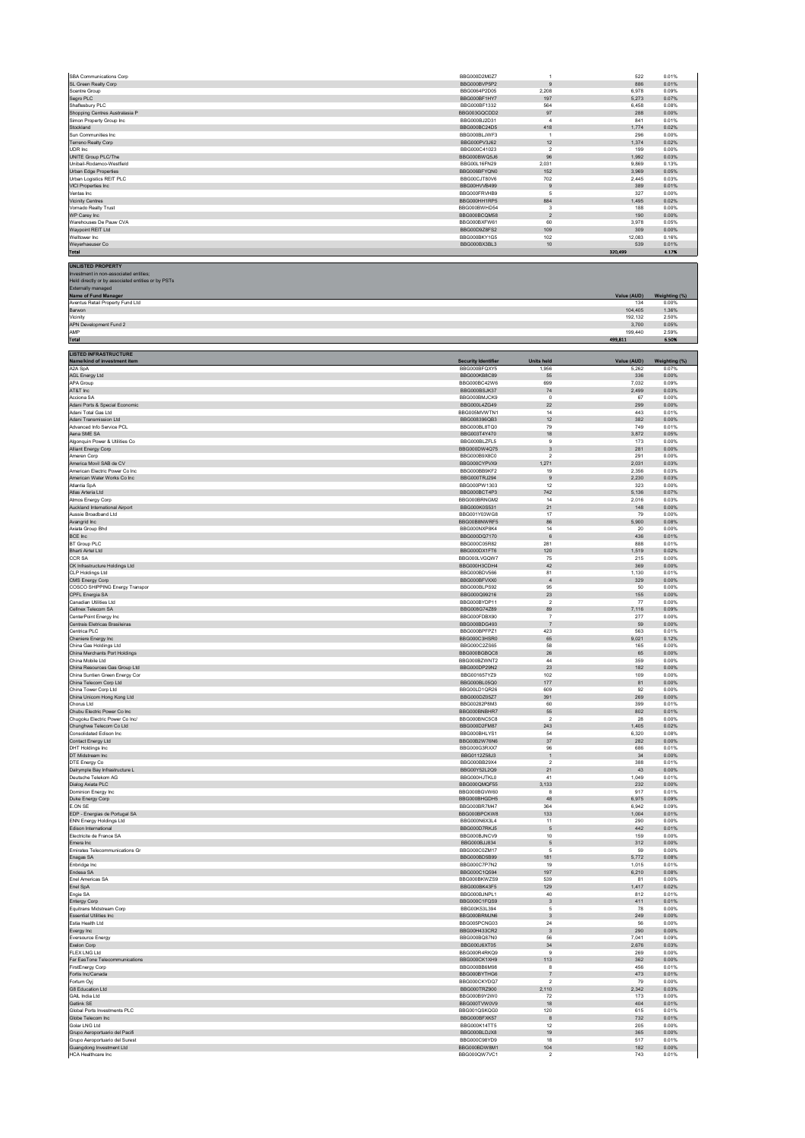| SBA Communications Corp                                                                                                                                                                                    | BBG000D2M0Z7                        | $\overline{1}$                         | 522                | 0.01%                  |
|------------------------------------------------------------------------------------------------------------------------------------------------------------------------------------------------------------|-------------------------------------|----------------------------------------|--------------------|------------------------|
| SL Green Realty Corp<br>Scentre Group                                                                                                                                                                      | BBG000BVP5P2<br>BBG0064P2D05        | 9<br>2.208                             | 886<br>6.978       | 0.01%<br>0.09%         |
| Segro PLC                                                                                                                                                                                                  | BBG000BF1HY7                        | 197                                    | 5,273              | 0.07%                  |
| Shaftesbury PLC<br>Shopping Centres Australasia P                                                                                                                                                          | BBG000BF1332<br>BBG003GQCDD2        | 564<br>97                              | 6,458<br>288       | 0.08%<br>0.00%         |
| Simon Property Group Inc<br>Stockland                                                                                                                                                                      | BBG000BJ2D31                        | $\sqrt{4}$<br>418                      | 841                | 0.01%                  |
| Sun Communities Inc                                                                                                                                                                                        | BBG000BC24D5<br>BBG000BLJWF3        | $\overline{1}$                         | 1,774<br>296       | 0.02%<br>0.00%         |
| Terreno Realty Corp<br>UDR Inc.                                                                                                                                                                            | BBG000PV3J62<br>BBG000C41023        | $12 \overline{ }$<br>$\overline{2}$    | 1,374<br>199       | 0.02%<br>0.00%         |
| UNITE Group PLC/The                                                                                                                                                                                        | BBG000BWQ5J6                        | 96                                     | 1,992              | 0.03%                  |
| Unibail-Rodamco-Westfield<br>Urban Edge Properties                                                                                                                                                         | <b>BBG00L16FN29</b><br>BBG006BFYQN0 | 2.031<br>152                           | 9.869<br>3,969     | 0.13%<br>0.05%         |
| Urban Logistics REIT PLC                                                                                                                                                                                   | BBG00CJT80V6<br>BBG00HVVB499        | 702                                    | 2,445<br>389       | 0.03%<br>0.01%         |
| VICI Properties Inc<br>Ventas Inc                                                                                                                                                                          | BBG000FRVHB9                        | 9<br>$\sqrt{5}$                        | 327                | 0.00%                  |
| <b>Vicinity Centres</b><br>Vornado Realty Trust                                                                                                                                                            | BBG000HH1RP5<br>BBG000BWHD54        | 884<br>$\overline{\mathbf{3}}$         | 1,495<br>188       | 0.02%<br>0.00%         |
| WP Carey Inc                                                                                                                                                                                               | BBG000BCQM58                        | $\sqrt{2}$                             | 190                | 0.00%                  |
| Warehouses De Pauw CVA<br>Waypoint REIT Ltd                                                                                                                                                                | BBG000BXFW61<br>BBG00D9Z8FS2        | 60<br>109                              | 3.978<br>309       | 0.05%<br>0.00%         |
| Welltower Inc.                                                                                                                                                                                             | BBG000BKY1G5<br>BBG000BX3BL3        | 102<br>$10$                            | 12.083             | 0.16%                  |
| Weyerhaeuser Co<br><b>Total</b>                                                                                                                                                                            |                                     |                                        | 539<br>320,499     | 0.01%<br>4.17%         |
| <b>UNLISTED PROPERTY</b><br>Investment in non-associated entities;<br>Held directly or by associated entities or by PSTs<br>Externally managed<br>Name of Fund Manager<br>Aventus Retail Property Fund Ltd |                                     |                                        | Value (AUD)<br>134 | Weighting (%)<br>0.00% |
| Barwon                                                                                                                                                                                                     |                                     |                                        | 104,405            | 1.36%                  |
| Vicinity<br>APN Development Fund 2                                                                                                                                                                         |                                     |                                        | 192,132<br>3,700   | 2.50%<br>0.05%         |
| AMP                                                                                                                                                                                                        |                                     |                                        | 199,440            | 2.59%                  |
| <b>Total</b>                                                                                                                                                                                               |                                     |                                        | 499,811            | 6.50%                  |
| <b>LISTED INFRASTRUCTURE</b><br>Name/kind of investment item                                                                                                                                               | <b>Security Identifier</b>          | <b>Units held</b>                      | Value (AUD)        | Weighting (%)          |
| A2A SpA                                                                                                                                                                                                    | BBG000BFOXY5                        | 1.956                                  | 5.262              | 0.07%                  |
| AGL Energy Ltd<br>APA Group                                                                                                                                                                                | BBG000KB8C89<br>BBG000BC42W6        | 55<br>699                              | 336<br>7,032       | 0.00%<br>0.09%         |
| AT&T Inc                                                                                                                                                                                                   | BBG000BSJK37                        | ${\bf 74}$                             | 2,499              | 0.03%                  |
| Acciona SA<br>Adani Ports & Special Economic                                                                                                                                                               | BBG000BMJCK9<br>BBG000L4ZG49        | $\,0\,$<br>22                          | 67<br>299          | 0.00%<br>0.00%         |
| Adani Total Gas Ltd                                                                                                                                                                                        | BBG005MVWTN1                        | 14                                     | 443                | 0.01%                  |
| Adani Transmission Ltd<br>Advanced Info Service PCL                                                                                                                                                        | BBG008396QB3<br>BBG000BL8TQ0        | 12<br>79                               | 382<br>749         | 0.00%<br>0.01%         |
| Aena SME SA<br>Algonquin Power & Utilities Co                                                                                                                                                              | BBG003T4Y470<br>BBG000BLZFL5        | 18<br>9                                | 3,872<br>173       | 0.05%<br>0.00%         |
| Alliant Energy Corp                                                                                                                                                                                        | BBG000DW4Q75                        | $\ensuremath{\mathsf{3}}$              | 281                | 0.00%                  |
| Ameren Corp<br>America Movil SAB de CV                                                                                                                                                                     | BBG000B9X8C0<br>BBG000CYPVX9        | $\overline{2}$<br>1,271                | 291<br>2,031       | 0.00%<br>0.03%         |
| American Electric Power Co Inc                                                                                                                                                                             | BBG000BB9KF2                        | 19                                     | 2,356              | 0.03%                  |
| American Water Works Co Inc.<br>Atlantia SpA                                                                                                                                                               | BBG000TRJ294<br>BBG000PW1303        | 9<br>12                                | 2.230<br>323       | 0.03%<br>0.00%         |
| Atlas Arteria Ltd                                                                                                                                                                                          | BBG000BCT4P3                        | 742                                    | 5,136              | 0.07%                  |
| Atmos Energy Corp<br>Auckland International Airport                                                                                                                                                        | BBG000BRNGM2<br>BBG000K0S531        | 14<br>21                               | 2.016<br>148       | 0.03%<br>0.00%         |
| Aussie Broadband Ltd                                                                                                                                                                                       | BBG001Y03WG8                        | 17                                     | 79                 | 0.00%                  |
| Avangrid Inc<br>Axiata Group Bhd                                                                                                                                                                           | BBG00B8NWRF5<br>BBG000NXP8K4        | 86<br>14                               | 5,900<br>20        | 0.08%<br>0.00%         |
| BCE Inc<br><b>BT Group PLC</b>                                                                                                                                                                             | BBG000DQ7170<br>BBG000C05R82        | 6<br>281                               | 436<br>888         | 0.01%<br>0.01%         |
| <b>Bharti Airtel Ltd</b>                                                                                                                                                                                   | BBG000DX1FT6                        | 120                                    | 1.519              | 0.02%                  |
| CCR SA<br>CK Infrastructure Holdings Ltd                                                                                                                                                                   | BBG000LVGQW7<br>BBG000H3CDH4        | 75<br>42                               | 215<br>369         | 0.00%<br>0.00%         |
| CLP Holdings Ltd                                                                                                                                                                                           | BBG000BDV566                        | 81                                     | 1.130              | 0.01%                  |
| CMS Energy Corp<br>COSCO SHIPPING Energy Transpor                                                                                                                                                          | BBG000BFVXX0<br>BBG000BLPS92        | $\sqrt{4}$<br>95                       | 329<br>50          | 0.00%<br>0.00%         |
| CPFL Energia SA<br>Canadian Utilities Ltd.                                                                                                                                                                 | BBG000Q99216                        | $23\,$                                 | 155                | 0.00%                  |
| Cellnex Telecom SA                                                                                                                                                                                         | BBG000BYDP11<br>BBG008G74Z89        | $\overline{2}$<br>89                   | 77<br>7,116        | 0.00%<br>0.09%         |
| CenterPoint Energy Inc<br>Centrais Eletricas Brasileiras                                                                                                                                                   | BBG000FDBX90<br>BBG000BDG493        | $\overline{7}$<br>$\overline{7}$       | 277<br>59          | 0.00%<br>0.00%         |
| Centrica PLC                                                                                                                                                                                               | BBG000BPFPZ1                        | 423                                    | 563                | 0.01%                  |
| Cheniere Energy Inc<br>China Gas Holdings Ltd                                                                                                                                                              | BBG000C3HSR0<br>BBG000C2ZS65        | 65<br>58                               | 9,021<br>165       | 0.12%<br>0.00%         |
| China Merchants Port Holdings                                                                                                                                                                              | BBG000BGBQC8                        | 26                                     | 65                 | 0.00%                  |
| China Mobile Ltd<br>China Resources Gas Group Ltd                                                                                                                                                          | BBG000BZWNT2<br>BBG000DP29N2        | 44<br>$23\,$                           | 359<br>182         | 0.00%<br>0.00%         |
| China Suntien Green Energy Cor                                                                                                                                                                             | BBG001657YZ9                        | 102                                    | 109                | 0.00%                  |
| China Telecom Corp Ltd<br>China Tower Corp Ltd                                                                                                                                                             | BBG000BL05Q0<br>BBG00LD1QR26        | $177$<br>609                           | 81<br>92           | 0.00%<br>0.00%         |
| China Unicom Hong Kong Ltd                                                                                                                                                                                 | BBG000DZ05Z7                        | 391                                    | 269                | 0.00%                  |
| Chorus Ltd<br>Chubu Electric Power Co Inc                                                                                                                                                                  | BBG00282P8M3<br>BBG000BNBHR7        | 60<br>55                               | 399<br>802         | 0.01%<br>0.01%         |
| Chugoku Electric Power Co Inc/<br>Chunghwa Telecom Co Ltd                                                                                                                                                  | BBG000BNC5C8<br>BBG000D2FM87        | $\overline{2}$<br>243                  | 28<br>1,405        | 0.00%<br>0.02%         |
| Consolidated Edison Inc.                                                                                                                                                                                   | BBG000BHLYS1                        | 54                                     | 6,320              | 0.08%                  |
| Contact Energy Ltd<br>DHT Holdings Inc.                                                                                                                                                                    | BBG00B2W76N6<br>BBG000G3RXX7        | $37\,$<br>96                           | 282<br>686         | 0.00%<br>0.01%         |
| DT Midstream Inc                                                                                                                                                                                           | BBG0112Z58J3                        | $\overline{1}$                         | 34                 | 0.00%                  |
| DTE Energy Co<br>Dalrymple Bay Infrastructure L                                                                                                                                                            | BBG000BB29X4<br>BBG00Y52L2Q9        | $\overline{\mathbf{2}}$<br>21          | 388<br>43          | 0.01%<br>0.00%         |
| Deutsche Telekom AG                                                                                                                                                                                        | BBG000HJTKL0<br>BBG000QMQF55        | 41<br>3,133                            | 1,049<br>232       | 0.01%<br>0.00%         |
| Dialog Axiata PLC<br>Dominion Energy Inc                                                                                                                                                                   | BBG000BGVW60                        | 8                                      | 917                | 0.01%                  |
| Duke Energy Corp<br>F ON SE                                                                                                                                                                                | BBG000BHGDH5<br>BBG000BR7M47        | 48<br>364                              | 6,975<br>6.942     | 0.09%<br>0.09%         |
| EDP - Energias de Portugal SA                                                                                                                                                                              | BBG000BPCKW8                        | 133                                    | 1,004              | 0.01%                  |
| <b>ENN Energy Holdings Ltd</b><br>Edison International                                                                                                                                                     | BBG000N6X3L4<br>BBG000D7RKJ5        | 11<br>5                                | 290<br>442         | 0.00%<br>0.01%         |
| Electricite de France SA                                                                                                                                                                                   | BBG000BJNCV9<br>BBG000BJJ834        | $10$                                   | 159                | 0.00%                  |
| Emera Inc<br>Emirates Telecommunications Gr                                                                                                                                                                | BBG000C0ZM17                        | $\sqrt{5}$<br>$\sqrt{5}$               | 312<br>59          | 0.00%<br>0.00%         |
| Enagas SA<br>Enbridge Inc.                                                                                                                                                                                 | BBG000BD5B99<br><b>BBG000C7P7N2</b> | 181<br>19                              | 5,772<br>1.015     | 0.08%<br>0.01%         |
| Endesa SA                                                                                                                                                                                                  | BBG000C1Q594                        | 197                                    | 6,210              | 0.08%                  |
| Enel Americas SA<br>Enel SpA                                                                                                                                                                               | BBG000BKWZS9<br>BBG000BK43F5        | 539<br>129                             | 81<br>1,417        | 0.00%<br>0.02%         |
| Engie SA                                                                                                                                                                                                   | BBG000BJNPL1                        | 40                                     | 812                | 0.01%                  |
| <b>Entergy Corp</b><br>Equitrans Midstream Corp                                                                                                                                                            | BBG000C1FQS9<br>BBG00K53L394        | $\overline{\mathbf{3}}$<br>5           | 411<br>${\bf 78}$  | 0.01%<br>0.00%         |
| <b>Essential Utilities Inc.</b><br>Estia Health Ltd                                                                                                                                                        | BBG000BRMJN6<br>BBG005PCNG03        | $\overline{\mathbf{3}}$<br>$\sqrt{24}$ | 249<br>${\bf 56}$  | 0.00%<br>0.00%         |
| Evergy Inc                                                                                                                                                                                                 | BBG00H433CR2                        | $\overline{\mathbf{3}}$                | 290                | 0.00%                  |
| Eversource Energy<br>Exelon Corp                                                                                                                                                                           | BBG000BQ87N0<br>BBG000J6XT05        | 56<br>$34\,$                           | 7.041<br>2,676     | 0.09%<br>0.03%         |
| <b>FLEX LNG Ltd</b>                                                                                                                                                                                        | BBG000R4RKQ9                        | $\mathbf{Q}$                           | 269                | 0.00%                  |
| Far EasTone Telecommunications<br>FirstEnergy Corp                                                                                                                                                         | BBG000CK1XH9<br>BBG000BB6M98        | 113<br>8                               | 362<br>456         | 0.00%<br>0.01%         |
| Fortis Inc/Canada<br>Fortum Oyj                                                                                                                                                                            | BBG000BYTHG6<br>BBG000CKYDQ7        | $\overline{7}$<br>$\sqrt{2}$           | 473<br>79          | 0.01%<br>0.00%         |
| G8 Education Ltd                                                                                                                                                                                           | BBG000TRZ900                        | 2,110                                  | 2.342              | 0.03%                  |
| GAIL India Ltd<br>Getlink SE                                                                                                                                                                               | BBG000B9Y2W0<br>BBG000TVW0V9        | $72\,$<br>18                           | 173<br>404         | 0.00%<br>0.01%         |
| Global Ports Investments PLC                                                                                                                                                                               | BBG001QSKQG0                        | 120                                    | 615                | 0.01%                  |
| Globe Telecom Inc<br>Golar   NG   td                                                                                                                                                                       | BBG000BFXK57<br>BBG000K14TT5        | $^{\rm 8}$<br>12                       | 732<br>205         | 0.01%<br>0.00%         |
| Grupo Aeroportuario del Pacifi                                                                                                                                                                             | BBG000BLDJX8                        | 19                                     | 365                | 0.00%                  |
| Grupo Aeroportuario del Surest<br>Guangdong Investment Ltd                                                                                                                                                 | BBG000C98YD9<br>BBG000BDW8M1        | 18<br>104                              | 517<br>182         | 0.01%<br>0.00%         |
| HCA Healthcare Inc                                                                                                                                                                                         | BBG000QW7VC1                        | $\overline{\mathbf{2}}$                | 743                | 0.01%                  |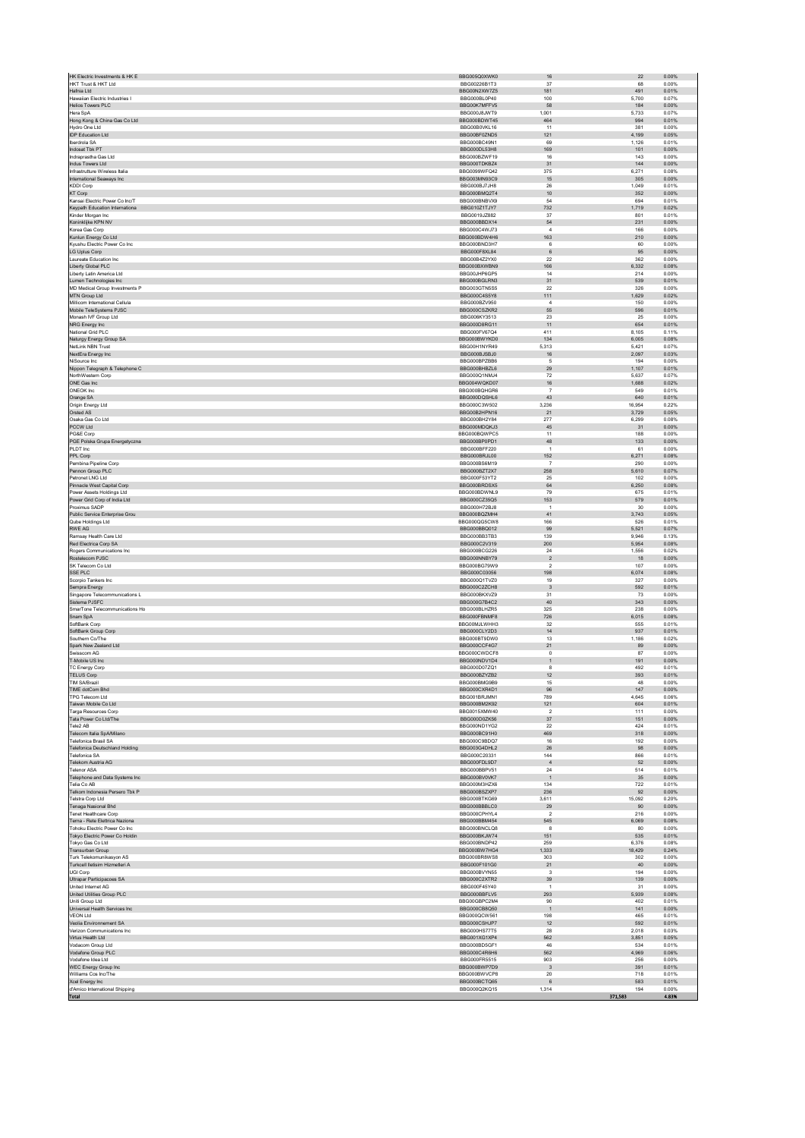| HK Electric Investments & HK E                                | BBG005Q0XWK0                        | $16\,$                        | $22\,$          | 0.00%          |
|---------------------------------------------------------------|-------------------------------------|-------------------------------|-----------------|----------------|
| HKT Trust & HKT Ltd<br>Hafnia Ltd                             | BBG00226B1T3<br>BBG00N2XW7Z5        | 37<br>181                     | 68<br>491       | 0.00%<br>0.01% |
| Hawaiian Electric Industries I                                | BBG000BL0P40                        | 100                           | 5,700           | 0.07%          |
| Helios Towers PLC                                             | BBG00K7MFFV5                        | 58                            | 184             | 0.00%          |
| Hera SpA<br>Hong Kong & China Gas Co Ltd                      | BBG000J8JWT9<br>BBG000BDWT45        | 1,001<br>464                  | 5,733<br>994    | 0.07%<br>0.01% |
| Hydro One Ltd                                                 | BBG00B0VKL16                        | 11                            | 381             | 0.00%          |
| <b>IDP Education Ltd</b><br><b>Iberdrola SA</b>               | BBG00BF0ZND5<br>BBG000BC49N1        | 121<br>69                     | 4,199<br>1,126  | 0.05%<br>0.01% |
| Indosat Tbk PT                                                | BBG000DL53H8                        | 169                           | 101             | 0.00%          |
| Indraprastha Gas Ltd<br>Indus Towers Ltd                      | BBG000BZWF19<br>BBG000TDKBZ4        | 16<br>31                      | 143<br>144      | 0.00%<br>0.00% |
| Infrastrutture Wireless Italia                                | BBG0099WFQ42                        | 375                           | 6,271           | 0.08%          |
| International Seaways Inc                                     | BBG003MN93C9                        | 15                            | 305             | 0.00%          |
| <b>KDDI Corp</b><br>KT Corp                                   | BBG000BJ7JH8<br>BBG000BMQ2T4        | ${\bf 26}$<br>10              | 1,049<br>352    | 0.01%<br>0.00% |
| Kansai Electric Power Co Inc/T                                | BBG000BNBVX9                        | 54                            | 694             | 0.01%          |
| Keypath Education Internationa<br>Kinder Morgan Inc           | BBG010Z1TJY7<br>BBG0019JZ882        | 732<br>37                     | 1,719<br>801    | 0.02%<br>0.01% |
| Koninklijke KPN NV                                            | BBG000BBDX14                        | ${\bf 54}$                    | 231             | 0.00%          |
| Korea Gas Corp<br>Kunlun Energy Co Ltd                        | BBG000C4WJ73<br>BBG000BDW4H6        | $\boldsymbol{A}$<br>163       | 166<br>210      | 0.00%<br>0.00% |
| Kyushu Electric Power Co Inc                                  | BBG000BND3H7                        | 6                             | 60              | 0.00%          |
| LG Uplus Corp<br>Laureate Education Inc.                      | BBG000F8XL84<br>BBG00B4Z2YX0        | $\,6\,$<br>$22\,$             | 95<br>362       | 0.00%<br>0.00% |
| Liberty Global PLC                                            | BBG000BXWBN9                        | 166                           | 6,332           | 0.08%          |
| Liberty Latin America Ltd                                     | BBG00JHP6GP5                        | 14                            | 214             | 0.00%          |
| Lumen Technologies Inc<br>MD Medical Group Investments P      | BBG000BGLRN3<br>BBG003GTN5S5        | 31<br>22                      | 539<br>326      | 0.01%<br>0.00% |
| MTN Group Ltd                                                 | BBG000C4S5Y8                        | 111                           | 1,629           | 0.02%          |
| Millicom International Cellula<br>Mobile TeleSystems PJSC     | BBG000BZV950<br>BBG000CSZKR2        | $\sqrt{4}$<br>55              | 150<br>596      | 0.00%<br>0.01% |
| Monash IVF Group Ltd                                          | BBG006KY3513                        | $23\,$                        | 25              | 0.00%          |
| NRG Energy Inc<br>National Grid PLC                           | BBG000D8RG11<br>BBG000FV67Q4        | 11<br>411                     | 654<br>8,105    | 0.01%<br>0.11% |
| Naturgy Energy Group SA                                       | BBG000BWYKD0                        | 134                           | 6,005           | 0.08%          |
| NetLink NBN Trust                                             | BBG00H1NYR49                        | 5.313                         | 5.421           | 0.07%          |
| NextEra Energy Inc<br>NiSource Inc                            | BBG000BJSBJ0<br>BBG000BPZBB6        | $16\,$<br>$\overline{5}$      | 2,097<br>194    | 0.03%<br>0.00% |
| Nippon Telegraph & Telephone C                                | BBG000BHBZL6                        | $29\,$                        | 1,107           | 0.01%          |
| NorthWestern Corp<br>ONE Gas Inc.                             | BBG000Q1NMJ4<br>BBG004WQKD07        | 72<br>16                      | 5,637<br>1.688  | 0.07%<br>0.02% |
| ONEOK Inc                                                     | BBG000BQHGR6                        | $\overline{7}$                | 549             | 0.01%          |
| Orange SA                                                     | BBG000DQSHL6                        | 43                            | 640             | 0.01%          |
| Origin Energy Ltd<br>Orsted AS                                | BBG000C3W502<br>BBG00B2HPN16        | 3,236<br>21                   | 16,954<br>3,729 | 0.22%<br>0.05% |
| Osaka Gas Co Ltd                                              | BBG000BH2Y84                        | 277                           | 6.299           | 0.08%          |
| PCCW Ltd<br>PG&E Corp                                         | BBG000MDQKJ3<br>BBG000BQWPC5        | 45<br>11                      | 31<br>188       | 0.00%<br>0.00% |
| PGE Polska Grupa Energetyczna                                 | BBG000BP0PD1                        | $48\,$                        | 133             | 0.00%          |
| PLDT Inc<br>PPL Corp                                          | BBG000BFF220<br>BBG000BRJL00        | $\mathbf{1}$<br>152           | 61<br>6,271     | 0.00%<br>0.08% |
| Pembina Pipeline Corp                                         | BBG000BS6M19                        | $\overline{7}$                | 290             | 0.00%          |
| Pennon Group PLC<br>Petronet LNG Ltd                          | BBG000BZT2X7<br>BBG000F53YT2        | 258<br>25                     | 5,610<br>102    | 0.07%<br>0.00% |
| Pinnacle West Capital Corp                                    | BBG000BRDSX5                        | $64\,$                        | 6,250           | 0.08%          |
| Power Assets Holdings Ltd                                     | BBG000BDWNL9                        | 79                            | 675             | 0.01%          |
| Power Grid Corp of India Ltd<br>Proximus SADP                 | BBG000CZ35Q5<br>BBG000H72BJ8        | 153<br>$\overline{1}$         | 579<br>30       | 0.01%<br>0.00% |
| Public Service Enterprise Grou                                | BBG000BQZMH4                        | 41                            | 3,743           | 0.05%          |
| Qube Holdings Ltd<br><b>RWE AG</b>                            | BBG000QG5CW8<br>BBG000BBQ012        | 166<br>99                     | 526<br>5.521    | 0.01%<br>0.07% |
| Ramsay Health Care Ltd                                        | BBG000BB3TB3                        | 139                           | 9,946           | 0.13%          |
| Red Electrica Corp SA<br>Rogers Communications Inc.           | BBG000C2V319<br>BBG000BCG226        | 200<br>24                     | 5,954<br>1,556  | 0.08%<br>0.02% |
| Rostelecom PJSC                                               | BBG000NNBY79                        | $\sqrt{2}$                    | 18              | 0.00%          |
| SK Telecom Co Ltd                                             | BBG000BG79W9                        | $\overline{2}$                | 107             | 0.00%          |
| SSE PLC<br>Scorpio Tankers Inc                                | BBG000C03056<br>BBG000Q1TVZ0        | 198<br>19                     | 6,074<br>327    | 0.08%<br>0.00% |
| Sempra Energy                                                 | BBG000C2ZCH8                        | $\mathbf{3}$                  | 592             | 0.01%          |
| Singapore Telecommunications L<br>Sistema PJSFC               | BBG000BKXVZ9<br>BBG000G7B4C2        | 31<br>40                      | 73<br>343       | 0.00%<br>0.00% |
| SmarTone Telecommunications Ho                                | BBG000BLHZR5                        | 325                           | 238             | 0.00%          |
| Snam SpA<br>SoftBank Corp                                     | BBG000FBNMF8<br>BBG00MJLWHH3        | 726<br>$32\,$                 | 6,015<br>555    | 0.08%<br>0.01% |
| SoftBank Group Corp                                           | BBG000CLY2D3                        | $14\,$                        | 937             | 0.01%          |
| Southern Co/The                                               | BBG000BT9DW0                        | 13                            | 1.186           | 0.02%          |
| Spark New Zealand Ltd<br>Swisscom AG                          | BBG000CCF4G7<br>BBG000CWDCE8        | 21<br>$\Omega$                | 89<br>87        | 0.00%<br>0.00% |
| T-Mobile US Inc                                               | BBG000NDV1D4                        | $\mathbf{1}$                  | 191             | 0.00%          |
| <b>TC Energy Corp</b><br><b>TELUS Corp</b>                    | BBG000D07ZQ1<br>BBG000BZYZB2        | 8<br>12                       | 492<br>393      | 0.01%<br>0.01% |
| TIM SA/Brazil                                                 | BBG000BMG9B9                        | 15                            | 48              | 0.00%          |
| TIME dotCom Bhd<br><b>TPG Telecom Ltd</b>                     | BBG000CXR4D1<br>BBG001BRJMN1        | 96<br>789                     | 147<br>4,645    | 0.00%<br>0.06% |
| Taiwan Mobile Co Ltd                                          | BBG000BM2K92                        | 121                           | 604             | 0.01%          |
| Targa Resources Corp                                          | BBG0015XMW40                        | $\overline{2}$                | 111             | 0.00%          |
| Tata Power Co Ltd/The<br>Tele2 AB                             | BBG000D0ZK56<br>BBG000ND1YG2        | $37\,$<br>22                  | 151<br>424      | 0.00%<br>0.01% |
| Telecom Italia SpA/Milano                                     | BBG000BC91H0                        | 469                           | 318             | 0.00%          |
| Telefonica Brasil SA<br><b>Telefonica Deutschland Holding</b> | BBG000C9BDQ7<br>BBG003G4DHL2        | 16<br>26                      | 192<br>98       | 0.00%<br>0.00% |
| Telefonica SA                                                 | BBG000C20331                        | 144                           | 866             | 0.01%          |
| Telekom Austria AG<br><b>Telenor ASA</b>                      | BBG000FDL9D7<br>BBG000BBPV51        | $\overline{4}$<br>24          | 52<br>514       | 0.00%<br>0.01% |
| Telephone and Data Systems Inc                                | BBG000BV0VK7                        | $\mathbf{1}$                  | $35\,$          | 0.00%          |
| Telia Co AB<br>Telkom Indonesia Persero Tbk P                 | BBG000M3HZX6<br>BBG000BSZXP7        | 134<br>236                    | 722<br>92       | 0.01%<br>0.00% |
| Telstra Corp Ltd                                              | BBG000BTKG69                        | 3,611                         | 15,092          | 0.20%          |
| Tenaga Nasional Bhd<br>Tenet Healthcare Corp                  | BBG000BBBLC0<br>BBG000CPHYL4        | 29<br>$\overline{\mathbf{2}}$ | 90<br>216       | 0.00%<br>0.00% |
| Terna - Rete Flettrica Naziona                                | BBG000BBM454                        | 545                           | 6.069           | 0.08%          |
| Tohoku Electric Power Co Inc                                  | BBG000BNCLQ8<br>BBG000BKJW74        | 8                             | 80              | 0.00%          |
| Tokyo Electric Power Co Holdin<br>Tokyo Gas Co Ltd            | BBG000BNDP42                        | 151<br>259                    | 535<br>6.376    | 0.01%<br>0.08% |
| Transurban Group                                              | BBG000BW7HG4                        | 1,333                         | 18,429          | 0.24%          |
| Turk Telekomunikasvon AS<br>Turkcell lletisim Hizmetleri A    | BBG000BR8WS8<br>BBG000F101G0        | 303<br>$21\,$                 | 302<br>$40\,$   | 0.00%<br>0.00% |
| <b>UGI Corp</b>                                               | BBG000BVYN55                        | $\mathbf{3}$                  | 194             | 0.00%          |
| Ultrapar Participacoes SA<br>United Internet AG               | BBG000C2XTR2<br>BBG000F45Y40        | 39<br>$\overline{1}$          | 139<br>31       | 0.00%<br>0.00% |
| United Utilities Group PLC                                    | BBG000BBFLV5                        | 293                           | 5.939           | 0.08%          |
| Uniti Group Ltd<br>Universal Health Services Inc.             | BBG00GBPC2M4<br>BBG000CB8Q50        | 90                            | 402<br>141      | 0.01%<br>0.00% |
| <b>VEON Ltd</b>                                               | BBG000QCW561                        | $\mathbf{1}$<br>198           | 465             | 0.01%          |
| Veolia Environnement SA                                       | BBG000CSHJP7                        | 12                            | 592             | 0.01%          |
| Verizon Communications Inc.<br>Virtus Health Ltd              | <b>BBG000HS77T5</b><br>BBG001XG1XP4 | 28<br>562                     | 2.018<br>3,851  | 0.03%<br>0.05% |
| Vodacom Group Ltd                                             | BBG000BD5GF1                        | 46                            | 534             | 0.01%          |
| Vodafone Group PLC<br>Vodafone Idea Ltd                       | BBG000C4R6H6<br>BBG000FR5515        | 562<br>903                    | 4.969<br>256    | 0.06%<br>0.00% |
| WEC Energy Group Inc                                          | BBG000BWP7D9                        | $\overline{\mathbf{3}}$       | 391             | 0.01%          |
| Williams Cos Inc/The                                          | BBG000BWVCP8<br>BBG000BCTQ65        | $20\,$                        | 718<br>583      | 0.01%          |
| Xcel Energy Inc<br>d'Amico International Shipping             | BBG000Q2KQ15                        | $\,6\,$<br>1,314              | 194             | 0.01%<br>0.00% |
| <b>Total</b>                                                  |                                     |                               | 371,583         | 4.83%          |